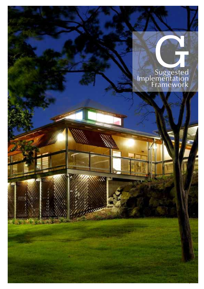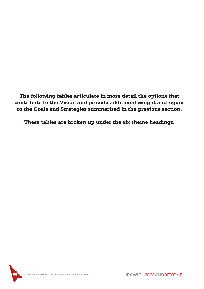**The following tables articulate in more detail the options that contribute to the Vision and provide additional weight and rigour to the Goals and Strategies summarised in the previous section.**

**These tables are broken up under the six theme headings.**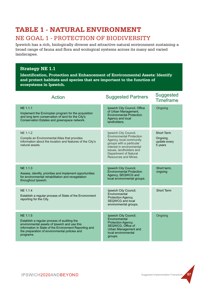# NE GOAL 1 - PROTECTION OF BIODIVERSITY **TABLE 1 - NATURAL ENVIRONMENT**

Ipswich has a rich, biologically diverse and attractive natural environment sustaining a broad range of fauna and flora and ecological systems across its many and varied landscapes.

### **Strategy NE 1.1**

**Identification, Protection and Enhancement of Environmental Assets: Identify and protect habitats and species that are important to the function of ecosystems in Ipswich.**

| <b>Action</b>                                                                                                                                                                                                                  | <b>Suggested Partners</b>                                                                                                                                                                                                       | Suggested<br><b>Timeframe</b>                     |
|--------------------------------------------------------------------------------------------------------------------------------------------------------------------------------------------------------------------------------|---------------------------------------------------------------------------------------------------------------------------------------------------------------------------------------------------------------------------------|---------------------------------------------------|
| <b>NE 1.1.1</b><br>Implement the Enviroplan program for the acquisition<br>and long term conservation of land for the City's<br>Conservation Estates and greenspace network.                                                   | Ipswich City Council, Office<br>of Urban Management,<br><b>Environmental Protection</b><br>Agency and local<br>landholders.                                                                                                     | Ongoing                                           |
| NE 1.1.2<br>Compile an Environmental Atlas that provides<br>information about the location and features of the City's<br>natural assets.                                                                                       | Ipswich City Council,<br><b>Environmental Protection</b><br>Agency, local community<br>groups with a particular<br>interest in environmental<br>issues, landholders and<br><b>Department of Natural</b><br>Resources and Mines. | Short Term<br>Ongoing,<br>update every<br>5 years |
| <b>NE 1.1.3</b><br>Assess, identify, prioritise and implement opportunities<br>for environmental rehabilitation and revegetation<br>throughout Ipswich.                                                                        | Ipswich City Council,<br><b>Environmental Protection</b><br>Agency, SEQWCG and<br>local environmental groups.                                                                                                                   | Short term,<br>ongoing                            |
| <b>NE 1.1.4</b><br>Establish a regular process of State of the Environment<br>reporting for the City.                                                                                                                          | Ipswich City Council,<br>Environmental<br>Protection Agency,<br><b>SEQWCG and local</b><br>environmental groups.                                                                                                                | <b>Short Term</b>                                 |
| NE 1.1.5<br>Establish a regular process of auditing the<br>environmental assets of Ipswich and use this<br>information in State of the Environment Reporting and<br>the preparation of environmental policies and<br>programs. | Ipswich City Council,<br>Environmental<br>Protection Agency,<br>SEQWCG, Office of<br><b>Urban Management and</b><br>local environmental<br>groups.                                                                              | Ongoing                                           |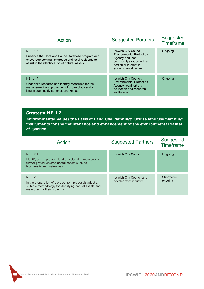| Action                                                                                                                                                               | <b>Suggested Partners</b>                                                                                                                                  | Suggested<br><b>Timeframe</b> |
|----------------------------------------------------------------------------------------------------------------------------------------------------------------------|------------------------------------------------------------------------------------------------------------------------------------------------------------|-------------------------------|
| NE 1.1.6<br>Enhance the Flora and Fauna Database program and<br>encourage community groups and local residents to<br>assist in the identification of natural assets. | Ipswich City Council,<br><b>Environmental Protection</b><br>Agency and local<br>community groups with a<br>particular interest in<br>environmental issues. | Ongoing                       |
| NE 1.1.7<br>Undertake research and identify measures for the<br>management and protection of urban biodiversity<br>issues such as flying foxes and koalas.           | Ipswich City Council,<br><b>Environmental Protection</b><br>Agency, local tertiary<br>education and research<br>institutions.                              | Ongoing                       |

**Environmental Values the Basis of Land Use Planning: Utilise land use planning instruments for the maintenance and enhancement of the environmental values of Ipswich.**

| Action                                                                                                                                                       | <b>Suggested Partners</b>                         | Suggested<br><b>Timeframe</b> |
|--------------------------------------------------------------------------------------------------------------------------------------------------------------|---------------------------------------------------|-------------------------------|
| NE 1.2.1<br>Identify and implement land use planning measures to<br>further protect environmental assets such as<br>biodiversity and waterways.              | Ipswich City Council.                             | Ongoing                       |
| NE 1.2.2<br>In the preparation of development proposals adopt a<br>suitable methodology for identifying natural assets and<br>measures for their protection. | Ipswich City Council and<br>development industry. | Short term,<br>ongoing        |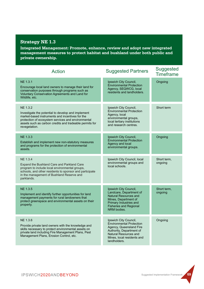**Integrated Management: Promote, enhance, review and adopt new integrated management measures to protect habitat and bushland under both public and private ownership.**

| <b>Action</b>                                                                                                                                                                                                                                       | <b>Suggested Partners</b>                                                                                                                                                              | Suggested<br><b>Timeframe</b> |
|-----------------------------------------------------------------------------------------------------------------------------------------------------------------------------------------------------------------------------------------------------|----------------------------------------------------------------------------------------------------------------------------------------------------------------------------------------|-------------------------------|
| NE 1.3.1<br>Encourage local land owners to manage their land for<br>conservation purposes through programs such as<br>Voluntary Conservation Agreements and Land for<br>Wildlife, etc.                                                              | Ipswich City Council,<br><b>Environmental Protection</b><br>Agency, SEQWCG, local<br>residents and landholders.                                                                        | Ongoing                       |
| NE 1.3.2<br>Investigate the potential to develop and implement<br>market-based instruments and incentives for the<br>protection of ecosystem services and environmental<br>assets such as carbon credits and tradeable permits for<br>revegetation. | Ipswich City Council,<br><b>Environmental Protection</b><br>Agency, local<br>environmental groups,<br>local tertiary institutions<br>and research centres.                             | Short term                    |
| NE 1.3.3<br>Establish and implement new non-statutory measures<br>and programs for the protection of environmental<br>assets.                                                                                                                       | Ipswich City Council,<br><b>Environmental Protection</b><br>Agency and local<br>environmental groups.                                                                                  | Ongoing                       |
| <b>NE 1.3.4</b><br>Expand the Bushland Care and Parkland Care<br>program to include local environmental groups,<br>schools, and other residents to sponsor and participate<br>in the management of Bushland Reserve and<br>parklands.               | Ipswich City Council, local<br>environmental groups and<br>local schools.                                                                                                              | Short term,<br>ongoing        |
| <b>NE 1.3.5</b><br>Implement and identify further opportunities for land<br>management payments for rural landowners that<br>protect greenspace and environmental assets on their<br>property.                                                      | Ipswich City Council,<br>Landcare, Department of<br><b>Natural Resources and</b><br>Mines, Department of<br>Primary Industries and<br><b>Fisheries and Regional</b><br>NRM bodies.     | Short term,<br>ongoing        |
| NE 1.3.6<br>Provide private land owners with the knowledge and<br>skills necessary to protect environmental assets on<br>private land including Fire Management Plans, Pest<br>Management Plans, Erosion Control, etc.                              | Ipswich City Council,<br><b>Environmental Protection</b><br>Agency, Queensland Fire<br>Authority, Department of<br>Natural Resources and<br>Mines, local residents and<br>landholders. | Ongoing                       |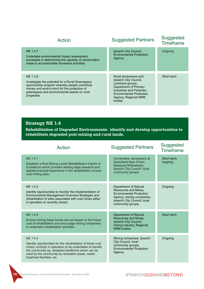| Action                                                                                                                                                                                                                       | <b>Suggested Partners</b>                                                                                                                                                                     | Suggested<br><b>Timeframe</b> |
|------------------------------------------------------------------------------------------------------------------------------------------------------------------------------------------------------------------------------|-----------------------------------------------------------------------------------------------------------------------------------------------------------------------------------------------|-------------------------------|
| <b>NE 1.3.7</b><br>Undertake environmental impact assessment<br>processes in determining the capacity of conservation<br>areas to accommodate recreation activities.                                                         | Ipswich City Council,<br><b>Environmental Protection</b><br>Agency.                                                                                                                           | Ongoing                       |
| NE 1.3.8<br>Investigate the potential for a Rural Greenspace<br>sponsorship program whereby people contribute<br>money and work-in-kind for the protection of<br>greenspace and environmental assets on rural<br>properties. | Rural landowners and<br>Ipswich City Council,<br>Landcare groups,<br>Department of Primary<br>Industries and Fisheries,<br><b>Environmental Protection</b><br>Agency, Regional NRM<br>bodies. | Short term                    |

**Rehabilitation of Degraded Environments: identify and develop opportunities to rehabilitate degraded post-mining and rural lands.**

| Action                                                                                                                                                                                                                                                                            | <b>Suggested Partners</b>                                                                                                                                         | Suggested<br><b>Timeframe</b> |
|-----------------------------------------------------------------------------------------------------------------------------------------------------------------------------------------------------------------------------------------------------------------------------------|-------------------------------------------------------------------------------------------------------------------------------------------------------------------|-------------------------------|
| <b>NE 1.4.1</b><br>Establish a Post Mining Lands Rehabilitation Centre of<br>Excellence which provides leading edge research and<br>applied practical experience in the rehabilitation of post<br>coal mining sites.                                                              | Universities, developers at<br>Swanbank-New Chum.<br>Ebenezer/Willowbank.<br>Ipswich City Council, local<br>community groups.                                     | Short term.<br>ongoing        |
| NE 1.4.2<br>Identify opportunities to monitor the implementation of<br>Environmental Management Overview Strategies and<br>rehabilitation of sites associated with coal mines either<br>in operation or recently closed.                                                          | Department of Natural<br>Resources and Mines.<br><b>Environmental Protection</b><br>Agency, mining companies,<br>Ipswich City Council, local<br>community groups. | Ongoing                       |
| <b>NE 1.4.3</b><br>Ensure mining lease bonds are set based on the future<br>cost of rehabilitation and encourage mining companies<br>to undertake rehabilitation activities.                                                                                                      | <b>Department of Natural</b><br>Resources and Mines.<br>Ipswich City Council,<br>mining industry, Regional<br>NRM bodies.                                         | Short term                    |
| <b>NF 1.4.4</b><br>Identify opportunities for the rehabilitation of those coal<br>mines currently in operation to be undertaken to benefit<br>the community eg. designed landforms which can be<br>used by the community as recreation areas, waste<br>treatment facilities, etc. | Mining companies, Ipswich<br>City Council, local<br>community groups,<br><b>Environmental Protection</b><br>Agency.                                               | Ongoing                       |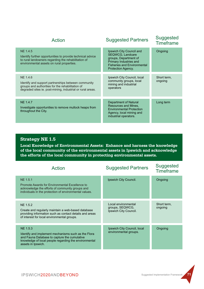| Action                                                                                                                                                                                   | <b>Suggested Partners</b>                                                                                                                                                 | Suggested<br><b>Timeframe</b> |
|------------------------------------------------------------------------------------------------------------------------------------------------------------------------------------------|---------------------------------------------------------------------------------------------------------------------------------------------------------------------------|-------------------------------|
| NE 1.4.5<br>Identify further opportunities to provide technical advice<br>to rural landowners regarding the rehabilitation of<br>environmental assets on rural properties.               | Ipswich City Council and<br><b>SEQWCG, Landcare</b><br>groups, Department of<br>Primary Industries and<br><b>Fisheries and Environmental</b><br><b>Protection Agency.</b> | Ongoing                       |
| <b>NE 1.4.6</b><br>Identify and support partnerships between community<br>groups and authorities for the rehabilitation of<br>degraded sites ie. post-mining, industrial or rural areas. | Ipswich City Council, local<br>community groups, local<br>mining and industrial<br>operators                                                                              | Short term,<br>ongoing        |
| <b>NE 1.4.7</b><br>Investigate opportunities to remove mullock heaps from<br>throughout the City.                                                                                        | Department of Natural<br>Resources and Mines.<br><b>Environmental Protection</b><br>Agency, local mining and<br>industrial operators.                                     | Long term                     |

**Local Knowledge of Environmental Assets: Enhance and harness the knowledge of the local community of the environmental assets in Ipswich and acknowledge the efforts of the local community in protecting environmental assets.**

| Action                                                                                                                                                                                         | <b>Suggested Partners</b>                                       | Suggested<br><b>Timeframe</b> |
|------------------------------------------------------------------------------------------------------------------------------------------------------------------------------------------------|-----------------------------------------------------------------|-------------------------------|
| <b>NE 1.5.1</b><br>Promote Awards for Environmental Excellence to<br>acknowledge the efforts of community groups and<br>individuals in the protection of environmental values.                 | Ipswich City Council.                                           | Ongoing                       |
| NE 1.5.2<br>Create and regularly maintain a web-based database<br>providing information such as contact details and areas<br>of interest for local environmental groups.                       | Local environmental<br>groups, SEQWCG,<br>Ipswich City Council. | Short term,<br>ongoing        |
| NE 1.5.3<br>Identify and implement mechanisms such as the Flora<br>and Fauna Database to capture the cumulative<br>knowledge of local people regarding the environmental<br>assets in Ipswich. | Ipswich City Council, local<br>environmental groups.            | Ongoing                       |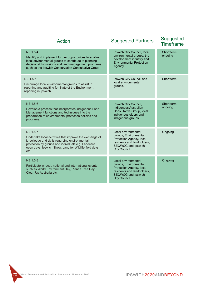| <b>Action</b>                                                                                                                                                                                                                                     | <b>Suggested Partners</b>                                                                                                                            | Suggested<br><b>Timeframe</b> |
|---------------------------------------------------------------------------------------------------------------------------------------------------------------------------------------------------------------------------------------------------|------------------------------------------------------------------------------------------------------------------------------------------------------|-------------------------------|
| <b>NE 1.5.4</b><br>Identify and implement further opportunities to enable<br>local environmental groups to contribute to planning<br>decisions/discussions and land management programs<br>such as the Ipswich Conservation Consultative Group.   | Ipswich City Council, local<br>environmental groups, the<br>development industry and<br><b>Environmental Protection</b><br>Agency.                   | Short term,<br>ongoing        |
| NE 1.5.5<br>Encourage local environmental groups to assist in<br>reporting and auditing for State of the Environment<br>reporting in Ipswich.                                                                                                     | Ipswich City Council and<br>local environmental<br>groups.                                                                                           | Short term                    |
| <b>NE 1.5.6</b><br>Develop a process that incorporates Indigenous Land<br>Management functions and techniques into the<br>preparation of environmental protection policies and<br>programs.                                                       | Ipswich City Council,<br><b>Indigenous Australian</b><br>Consultative Group, local<br>indigenous elders and<br>indigenous groups.                    | Short term,<br>ongoing        |
| <b>NE 1.5.7</b><br>Undertake local activities that improve the exchange of<br>knowledge and skills regarding environmental<br>protection by groups and individuals e.g. Landcare<br>open days, Ipswich Show, Land for Wildlife field days<br>etc. | Local environmental<br>groups, Environmental<br>Protection Agency, local<br>residents and landholders,<br>SEQWCG and Ipswich<br>City Council.        | Ongoing                       |
| <b>NE 1.5.8</b><br>Participate in local, national and international events<br>such as World Environment Day, Plant a Tree Day,<br>Clean Up Australia etc.                                                                                         | Local environmental<br>groups, Environmental<br>Protection Agency, local<br>residents and landholders,<br><b>SEQWCG and Ipswich</b><br>City Council. | Ongoing                       |

**72 Vision Statement and Action Plan Framework - November 2005**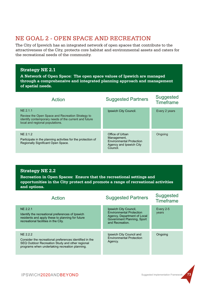# NE GOAL 2 - OPEN SPACE AND RECREATION

The City of Ipswich has an integrated network of open spaces that contribute to the attractiveness of the City, protects core habitat and environmental assets and caters for the recreational needs of the community.

#### **Strategy NE 2.1**

**A Network of Open Space: The open space values of Ipswich are managed through a comprehensive and integrated planning approach and management of spatial needs.** 

| Action                                                                                                                                                   | <b>Suggested Partners</b>                                                                                | Suggested<br><b>Timeframe</b> |
|----------------------------------------------------------------------------------------------------------------------------------------------------------|----------------------------------------------------------------------------------------------------------|-------------------------------|
| NE 2.1.1<br>Review the Open Space and Recreation Strategy to<br>identify contemporary needs of the current and future<br>local and regional populations. | Ipswich City Council.                                                                                    | Every 2 years                 |
| NE 2.1.2<br>Participate in the planning activities for the protection of<br>Regionally Significant Open Space.                                           | Office of Urban<br>Management,<br><b>Environmental Protection</b><br>Agency and Ipswich City<br>Council. | Ongoing                       |

#### **Strategy NE 2.2**

**Recreation in Open Spaces: Ensure that the recreational settings and opportunities in the City protect and promote a range of recreational activities and options.** 

| Action                                                                                                                                                                   | <b>Suggested Partners</b>                                                                                                                | Suggested<br><b>Timeframe</b> |
|--------------------------------------------------------------------------------------------------------------------------------------------------------------------------|------------------------------------------------------------------------------------------------------------------------------------------|-------------------------------|
| NE 2.2.1<br>Identify the recreational preferences of Ipswich<br>residents and apply these to planning for future<br>recreational facilities in the City.                 | Ipswich City Council,<br><b>Environmental Protection</b><br>Agency, Department of Local<br>Government Planning, Sport<br>and Recreation. | Every 2-5<br>years            |
| NE 2.2.2<br>Consider the recreational preferences identified in the<br>SEQ Outdoor Recreation Study and other regional<br>programs when undertaking recreation planning. | Ipswich City Council and<br><b>Environmental Protection</b><br>Agency.                                                                   | Ongoing                       |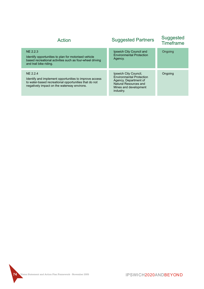| Action                                                                                                                                                                     | <b>Suggested Partners</b>                                                                                                                               | <b>Suggested</b><br><b>Timeframe</b> |
|----------------------------------------------------------------------------------------------------------------------------------------------------------------------------|---------------------------------------------------------------------------------------------------------------------------------------------------------|--------------------------------------|
| NE 2.2.3<br>Identify opportunities to plan for motorised vehicle<br>based recreational activities such as four-wheel driving<br>and trail bike riding.                     | Ipswich City Council and<br><b>Environmental Protection</b><br>Agency.                                                                                  | Ongoing                              |
| NF 2.2.4<br>Identify and implement opportunities to improve access<br>to water-based recreational opportunities that do not<br>negatively impact on the waterway environs. | Ipswich City Council,<br><b>Environmental Protection</b><br>Agency, Department of<br><b>Natural Resources and</b><br>Mines and development<br>industry. | Ongoing                              |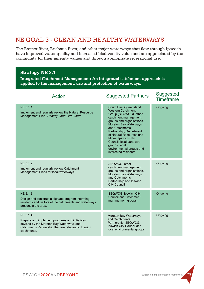# NE GOAL 3 - CLEAN AND HEALTHY WATERWAYS

The Bremer River, Brisbane River, and other major waterways that flow through Ipswich have improved water quality and increased biodiversity value and are appreciated by the community for their amenity values and through appropriate recreational use.

#### **Strategy NE 3.1**

**Integrated Catchment Management: An integrated catchment approach is applied to the management, use and protection of waterways.**

| Action                                                                                                                                                                       | <b>Suggested Partners</b>                                                                                                                                                                                                                                                                                                                                        | <b>Suggested</b><br><b>Timeframe</b> |
|------------------------------------------------------------------------------------------------------------------------------------------------------------------------------|------------------------------------------------------------------------------------------------------------------------------------------------------------------------------------------------------------------------------------------------------------------------------------------------------------------------------------------------------------------|--------------------------------------|
| NE 3.1.1<br>Implement and regularly review the Natural Resource<br>Management Plan- Healthy Land-Our Future.                                                                 | South East Queensland<br><b>Western Catchment</b><br>Group (SEQWCG), other<br>catchment management<br>groups and organisations,<br><b>Moreton Bay Waterways</b><br>and Catchments<br>Partnership, Department<br>of Natural Resources and<br>Mines, Ipswich City<br>Council, local Landcare<br>groups, local<br>environmental groups and<br>interested residents. | Ongoing                              |
| NE 3.1.2<br>Implement and regularly review Catchment<br>Management Plans for local waterways.                                                                                | SEQWCG, other<br>catchment management<br>groups and organisations,<br><b>Moreton Bay Waterways</b><br>and Catchments<br>Partnership and Ipswich<br>City Council.                                                                                                                                                                                                 | Ongoing                              |
| <b>NE 3.1.3</b><br>Design and construct a signage program informing<br>residents and visitors of the catchments and waterways<br>present in the area.                        | <b>SEQWCG, Ipswich City</b><br><b>Council and Catchment</b><br>management groups.                                                                                                                                                                                                                                                                                | Ongoing                              |
| NE 3.1.4<br>Prepare and implement programs and initiatives<br>devised by the Moreton Bay Waterways and<br>Catchments Partnership that are relevant to Ipswich<br>catchments. | <b>Moreton Bay Waterways</b><br>and Catchments<br>Partnership, SEQWCG,<br>Ipswich City Council and<br>local environmental groups.                                                                                                                                                                                                                                | Ongoing                              |

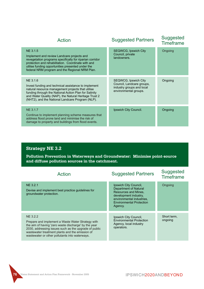| Action                                                                                                                                                                                                                                                                                      | <b>Suggested Partners</b>                                                                               | <b>Suggested</b><br><b>Timeframe</b> |
|---------------------------------------------------------------------------------------------------------------------------------------------------------------------------------------------------------------------------------------------------------------------------------------------|---------------------------------------------------------------------------------------------------------|--------------------------------------|
| NE 3.1.5<br>Implement and review Landcare projects and<br>revegetation programs specifically for riparian corridor<br>protection and rehabilitation. Coordinate with and<br>utilise funding opportunities presented under the<br>federal NRM program and the Regional NRM Plan.             | <b>SEQWCG, Ipswich City</b><br>Council, private<br>landowners.                                          | Ongoing                              |
| NE 3.1.6<br>Invest funding and technical assistance to implement<br>natural resource management projects that utilise<br>funding through the National Action Plan for Salinity<br>and Water Quality (NAP), the Natural Heritage Trust 2<br>(NHT2), and the National Landcare Program (NLP). | SEQWCG, Ipswich City<br>Council, Landcare groups,<br>industry groups and local<br>environmental groups. | Ongoing                              |
| NE 3.1.7<br>Continue to implement planning scheme measures that<br>address flood prone land and minimise the risk of<br>damage to property and buildings from flood events.                                                                                                                 | Ipswich City Council.                                                                                   | Ongoing                              |

**Pollution Prevention in Waterways and Groundwater: Minimise point-source and diffuse pollution sources in the catchment.**

| Action                                                                                                                                                                                                                                                                                     | <b>Suggested Partners</b>                                                                                                                                                         | Suggested<br><b>Timeframe</b> |
|--------------------------------------------------------------------------------------------------------------------------------------------------------------------------------------------------------------------------------------------------------------------------------------------|-----------------------------------------------------------------------------------------------------------------------------------------------------------------------------------|-------------------------------|
| NE 3.2.1<br>Devise and implement best practice guidelines for<br>groundwater protection.                                                                                                                                                                                                   | Ipswich City Council,<br>Department of Natural<br><b>Resources and Mines.</b><br>development industry.<br>environmental industries.<br><b>Environmental Protection</b><br>Agency. | Ongoing                       |
| <b>NE 3.2.2</b><br>Prepare and implement a Waste Water Strategy with<br>the aim of having 'zero waste discharge' by the year<br>2030, addressing issues such as the upgrade of public<br>wastewater treatment plants and the emission of<br>wastewater or other pollutants into waterways. | Ipswich City Council,<br><b>Environmental Protection</b><br>Agency, local industry<br>operators.                                                                                  | Short term,<br>ongoing        |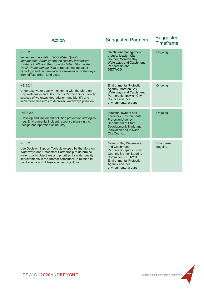| Action                                                                                                                                                                                                                                                                                               | <b>Suggested Partners</b>                                                                                                                                                                                     | <b>Suggested</b><br><b>Timeframe</b> |
|------------------------------------------------------------------------------------------------------------------------------------------------------------------------------------------------------------------------------------------------------------------------------------------------------|---------------------------------------------------------------------------------------------------------------------------------------------------------------------------------------------------------------|--------------------------------------|
| NE 3.2.3<br>Implement the existing SEQ Water Quality<br>Management Strategy and the Healthy Waterways<br>Strategy 2006, and the Council's Urban Stormwater<br>Quality Management Plan to reduce the impact of<br>hydrology and contaminated stormwater on waterways<br>from diffuse urban land uses. | Catchment management<br>groups, Ipswich City<br>Council, Moreton Bay<br><b>Waterways and Catchment</b><br>Partnership and<br>SEQWCG.                                                                          | Ongoing                              |
| <b>NE 3.2.4</b><br>Undertake water quality monitoring with the Moreton<br>Bay Waterways and Catchments Partnership to identify<br>sources of waterway degradation, and identify and<br>implement measures to decrease waterways pollution.                                                           | <b>Environmental Protection</b><br>Agency, Moreton Bay<br><b>Waterways and Catchment</b><br>Partnership, Ipswich City<br>Council and local<br>environmental groups.                                           | Ongoing                              |
| NE 3.2.5<br>Develop and implement pollution prevention strategies<br>(eg. Environmental incident response plans) in the<br>design and operation of industry.                                                                                                                                         | Industrial owners and<br>operators, Environmental<br>Protection Agency,<br><b>Department of State</b><br>Development, Trade and<br>Innovation and Ipswich<br>City Council.                                    | Ongoing                              |
| NE 3.2.6<br>Use Decision Support Tools developed by the Moreton<br>Waterways and Catchment Partnership to determine<br>water quality objectives and priorities for water quality<br>improvements in the Bremer catchment, in relation to<br>point source and diffuse sources of pollution.           | <b>Moreton Bay Waterways</b><br>and Catchments<br>Partnership, Ipswich City<br>Council, Bremer Steering<br>Committee, SEQWCG,<br><b>Environmental Protection</b><br>Agency and local<br>environmental groups. | Short term,<br>ongoing               |

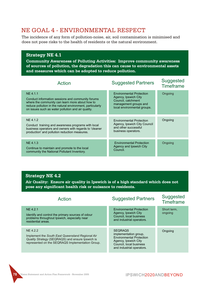# NE GOAL 4 - ENVIRONMENTAL RESPECT

The incidence of any form of pollution-noise, air, soil contamination is minimised and does not pose risks to the health of residents or the natural environment.

#### **Strategy NE 4.1**

**Community Awareness of Polluting Activities: Improve community awareness of sources of pollution, the degradation this can cause to environmental assets and measures which can be adopted to reduce pollution.**

| Action                                                                                                                                                                                                                              | <b>Suggested Partners</b>                                                                                                             | Suggested<br><b>Timeframe</b> |
|-------------------------------------------------------------------------------------------------------------------------------------------------------------------------------------------------------------------------------------|---------------------------------------------------------------------------------------------------------------------------------------|-------------------------------|
| NE 4.1.1<br>Conduct information sessions and community forums<br>where the community can learn more about how to<br>reduce pollution in the natural environment, particularly<br>on issues such as water pollution and air quality. | <b>Environmental Protection</b><br>Agency, Ipswich City<br>Council, catchment<br>management groups and<br>local environmental groups. | Ongoing                       |
| NE 4.1.2<br>Conduct training and awareness programs with local<br>business operators and owners with regards to 'cleaner<br>production' and pollution reduction measures.                                                           | <b>Environmental Protection</b><br>Agency, Ipswich City Council<br>and other successful<br>business operators.                        | Ongoing                       |
| NE 4.1.3<br>Continue to maintain and promote to the local<br>community the National Pollutant Inventory.                                                                                                                            | <b>Environmental Protection</b><br>Agency and Ipswich City<br>Council.                                                                | Ongoing                       |

#### **Strategy NE 4.2**

**Air Quality: Ensure air quality in Ipswich is of a high standard which does not pose any significant health risk or nuisance to residents.**

| Action                                                                                                                                                               | <b>Suggested Partners</b>                                                                                                                                  | <b>Suggested</b><br><b>Timeframe</b> |
|----------------------------------------------------------------------------------------------------------------------------------------------------------------------|------------------------------------------------------------------------------------------------------------------------------------------------------------|--------------------------------------|
| NE 4.2.1<br>Identify and control the primary sources of odour<br>problems throughout Ipswich, especially near<br>residential areas.                                  | <b>Environmental Protection</b><br>Agency, Ipswich City<br>Council, local business<br>and industrial operators.                                            | Short term,<br>ongoing               |
| NE 4.2.2<br>Implement the South East Queensland Regional Air<br>Quality Strategy (SEQRAQS) and ensure Ipswich is<br>represented on the SEQRAQS Implementation Group. | <b>SEQRAQS</b><br>implementation group,<br><b>Environmental Protection</b><br>Agency, Ipswich City<br>Council, local business<br>and industrial operators. | Ongoing                              |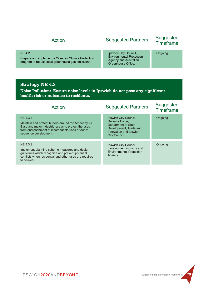#### NE 4.2.3

Prepare and implement a Cities for Climate Protection program to reduce local greenhouse gas emissions.

Ipswich City Council, Environmental Protection Agency and Australian Greenhouse Office.

#### **Strategy NE 4.3**

**Noise Pollution: Ensure noise levels in Ipswich do not pose any significant health risk or nuisance to residents.**

| Action                                                                                                                                                                                                | <b>Suggested Partners</b>                                                                                                           | <b>Suggested</b><br><b>Timeframe</b> |
|-------------------------------------------------------------------------------------------------------------------------------------------------------------------------------------------------------|-------------------------------------------------------------------------------------------------------------------------------------|--------------------------------------|
| NE 4.3.1<br>Maintain and protect buffers around the Amberley Air<br>Base and major industrial areas to protect the uses<br>from encroachment of incompatible uses or out-of-<br>sequence development. | Ipswich City Council,<br>Defence Force.<br>Department of State<br>Development, Trade and<br>Innovation and Ipswich<br>City Council. | Ongoing                              |
| NE 4.3.2<br>Implement planning scheme measures and design<br>guidelines which recognise and prevent potential<br>conflicts when residential and other uses are required<br>to co-exist.               | Ipswich City Council,<br>development industry and<br><b>Environmental Protection</b><br>Agency.                                     | Ongoing                              |

# Suggested Partners Suggested Timeframe Action

Ongoing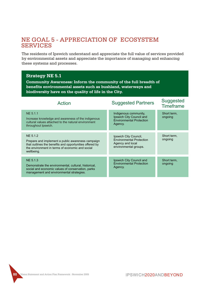# NE GOAL 5 - APPRECIATION OF ECOSYSTEM **SERVICES**

The residents of Ipswich understand and appreciate the full value of services provided by environmental assets and appreciate the importance of managing and enhancing these systems and processes.

# **Strategy NE 5.1 Community Awareness: Inform the community of the full breadth of**

**benefits environmental assets such as bushland, waterways and biodiversity have on the quality of life in the City.**

| Action                                                                                                                                                                                    | <b>Suggested Partners</b>                                                                             | Suggested<br><b>Timeframe</b> |
|-------------------------------------------------------------------------------------------------------------------------------------------------------------------------------------------|-------------------------------------------------------------------------------------------------------|-------------------------------|
| NE 5.1.1<br>Increase knowledge and awareness of the indigenous<br>cultural values attached to the natural environment<br>throughout Ipswich.                                              | Indigenous community,<br>Ipswich City Council and<br><b>Environmental Protection</b><br>Agency.       | Short term,<br>ongoing        |
| NE 5.1.2<br>Prepare and implement a public awareness campaign<br>that outlines the benefits and opportunities offered by<br>the environment in terms of economic and social<br>wellbeing. | Ipswich City Council,<br><b>Environmental Protection</b><br>Agency and local<br>environmental groups. | Short term,<br>ongoing        |
| NE 5.1.3<br>Demonstrate the environmental, cultural, historical,<br>social and economic values of conservation, parks<br>management and environmental strategies.                         | Ipswich City Council and<br><b>Environmental Protection</b><br>Agency.                                | Short term,<br>ongoing        |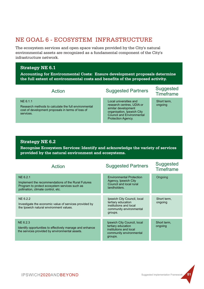# NE GOAL 6 - ECOSYSTEM INFRASTRUCTURE

The ecosystem services and open space values provided by the City's natural environmental assets are recognized as a fundamental component of the City's infrastructure network.

#### **Strategy NE 6.1**

**Accounting for Environmental Costs: Ensure development proposals determine the full extent of environmental costs and benefits of the proposed activity.**

| Action                                                                                                                             | <b>Suggested Partners</b>                                                                                                                                          | Suggested<br>Timeframe |
|------------------------------------------------------------------------------------------------------------------------------------|--------------------------------------------------------------------------------------------------------------------------------------------------------------------|------------------------|
| NE 6.1.1<br>Research methods to calculate the full environmental<br>cost of development proposals in terms of loss of<br>services. | Local universities and<br>research centres, UDIA or<br>similar development<br>organisation, Ipswich City<br><b>Council and Environmental</b><br>Protection Agency. | Short term,<br>ongoing |

### **Strategy NE 6.2**

**Recognise Ecosystem Services: Identify and acknowledge the variety of services provided by the natural environment and ecosystems.**

| Action                                                                                                                                                | <b>Suggested Partners</b>                                                                                         | Suggested<br><b>Timeframe</b> |
|-------------------------------------------------------------------------------------------------------------------------------------------------------|-------------------------------------------------------------------------------------------------------------------|-------------------------------|
| NE 6.2.1<br>Implement the recommendations of the Rural Futures<br>Program to protect ecosystem services such as<br>pollination, climate control, etc. | <b>Environmental Protection</b><br>Agency, Ipswich City<br>Council and local rural<br>landholders.                | Ongoing                       |
| NE 6.2.2<br>Investigate the economic value of services provided by<br>the Ipswich natural environment values.                                         | Ipswich City Council, local<br>tertiary education<br>institutions and local<br>community environmental<br>groups. | Short term,<br>ongoing        |
| NE 6.2.3<br>Identify opportunities to effectively manage and enhance<br>the services provided by environmental assets.                                | Ipswich City Council, local<br>tertiary education<br>institutions and local<br>community environmental<br>groups. | Short term,<br>ongoing        |

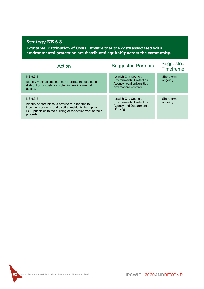**Equitable Distribution of Costs: Ensure that the costs associated with environmental protection are distributed equitably across the community.**

| Action                                                                                                                                                                                         | <b>Suggested Partners</b>                                                                                       | Suggested<br>Timeframe |
|------------------------------------------------------------------------------------------------------------------------------------------------------------------------------------------------|-----------------------------------------------------------------------------------------------------------------|------------------------|
| NE 6.3.1<br>Identify mechanisms that can facilitate the equitable<br>distribution of costs for protecting environmental<br>assets.                                                             | Ipswich City Council,<br><b>Environmental Protection</b><br>Agency, local universities<br>and research centres. | Short term.<br>ongoing |
| NE 6.3.2<br>Identify opportunities to provide rate rebates to<br>incoming residents and existing residents that apply<br>ESD principles to the building or redevelopment of their<br>property. | Ipswich City Council,<br><b>Environmental Protection</b><br>Agency and Department of<br>Housing.                | Short term.<br>ongoing |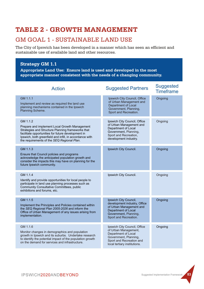# **TABLE 2 - GROWTH MANAGEMENT**

# GM GOAL 1 - SUSTAINABLE LAND USE

The City of Ipswich has been developed in a manner which has seen an efficient and sustainable use of available land and other resources.

### **Strategy GM 1.1**

**Appropriate Land Use: Ensure land is used and developed in the most appropriate manner consistent with the needs of a changing community.**

| <b>Action</b>                                                                                                                                                                                                                                                                 | <b>Suggested Partners</b>                                                                                                                                        | <b>Suggested</b><br><b>Timeframe</b> |
|-------------------------------------------------------------------------------------------------------------------------------------------------------------------------------------------------------------------------------------------------------------------------------|------------------------------------------------------------------------------------------------------------------------------------------------------------------|--------------------------------------|
| GM 1.1.1<br>Implement and review as required the land use<br>planning mechanisms contained in the Ipswich<br>Planning Scheme.                                                                                                                                                 | Ipswich City Council, Office<br>of Urban Management and<br>Department of Local<br>Government, Planning,<br>Sport and Recreation.                                 | Ongoing                              |
| GM 1.1.2<br>Prepare and implement Local Growth Management<br>Strategies and Structure Planning frameworks that<br>facilitate opportunities for future development in<br>Ipswich, both greenfield and infill, in accordance with<br>the requirements of the SEQ Regional Plan. | Ipswich City Council, Office<br>of Urban Management and<br>Department of Local<br>Government, Planning,<br>Sport and Recreation,<br>development industry.        | Ongoing                              |
| GM 1.1.3<br>Ensure that Council policies and programs<br>acknowledge the anticipated population growth and<br>consider the impacts this may have on planning for the<br>future Ipswich community.                                                                             | Ipswich City Council.                                                                                                                                            | Ongoing                              |
| GM 1.1.4<br>Identify and provide opportunities for local people to<br>participate in land use planning processes such as<br>Community Consultative Committees, public<br>exhibitions and forums, etc.                                                                         | Ipswich City Council.                                                                                                                                            | Ongoing                              |
| GM 1.1.5<br>Implement the Principles and Policies contained within<br>the SEQ Regional Plan 2005-2026 and inform the<br>Office of Urban Management of any issues arising from<br>implementation.                                                                              | Ipswich City Council,<br>development industry, Office<br>of Urban Management and<br>Department of Local<br>Government, Planning,<br>Sport and Recreation.        | Ongoing                              |
| GM 1.1.6<br>Monitor changes in demographics and population<br>growth in Ipswich and its suburbs. Undertake research<br>to identify the potential impact of the population growth<br>on the demand for services and infrastructure.                                            | Ipswich City Council, Office<br>of Urban Management,<br>Department of Local<br>Government, Planning,<br>Sport and Recreation and<br>local tertiary institutions. | Ongoing                              |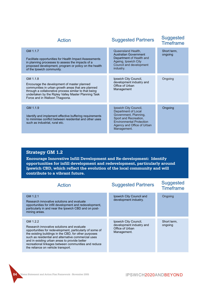| <b>Action</b>                                                                                                                                                                                                                                                    | <b>Suggested Partners</b>                                                                                                                                                      | <b>Suggested</b><br><b>Timeframe</b> |
|------------------------------------------------------------------------------------------------------------------------------------------------------------------------------------------------------------------------------------------------------------------|--------------------------------------------------------------------------------------------------------------------------------------------------------------------------------|--------------------------------------|
| GM 1.1.7<br>Facilitate opportunities for Health Impact Assessments<br>in planning processes to assess the impacts of a<br>proposed development, program or policy on the health<br>of the Ipswich community.                                                     | Queensland Health,<br><b>Australian Government</b><br>Department of Health and<br>Ageing, Ipswich City<br>Council and development<br>industry.                                 | Short term,<br>ongoing               |
| GM 1.1.8<br>Encourage the development of master planned<br>communities in urban growth areas that are planned<br>through a collaborative process similar to that being<br>undertaken by the Ripley Valley Master Planning Task<br>Force and in Walloon Thagoona. | Ipswich City Council,<br>development industry and<br>Office of Urban<br>Management                                                                                             | Ongoing                              |
| GM 1.1.9<br>Identify and implement effective buffering requirements<br>to minimise conflict between residential and other uses<br>such as industrial, rural etc.                                                                                                 | Ipswich City Council,<br>Department of Local<br>Government, Planning,<br>Sport and Recreation,<br><b>Environmental Protection</b><br>Agency and Office of Urban<br>Management. | Ongoing                              |

# **Strategy GM 1.2**

**Encourage Innovative Infill Development and Re-development: Identify opportunities for infill development and redevelopment, particularly around Ipswich CBD, which reflect the evolution of the local community and will contribute to a vibrant future.**

| Action                                                                                                                                                                                                                                                                                                                                                                            | <b>Suggested Partners</b>                                                           | <b>Suggested</b><br><b>Timeframe</b> |
|-----------------------------------------------------------------------------------------------------------------------------------------------------------------------------------------------------------------------------------------------------------------------------------------------------------------------------------------------------------------------------------|-------------------------------------------------------------------------------------|--------------------------------------|
| GM 1.2.1<br>Research innovative solutions and evaluate<br>opportunities for infill development and redevelopment.<br>particularly in and near the Ipswich CBD and on post-<br>mining areas.                                                                                                                                                                                       | Ipswich City Council and<br>development industry.                                   | Ongoing                              |
| GM 1.2.2<br>Research innovative solutions and evaluate<br>opportunities for redevelopment, particularly of some of<br>the existing buildings in the CBD, for other purposes<br>such as residential and alternative commercial uses<br>and in existing urban areas to provide better<br>recreational linkages between communities and reduce<br>the reliance on vehicle transport. | Ipswich City Council,<br>development industry and<br>Office of Urban<br>Management. | Short term,<br>ongoing               |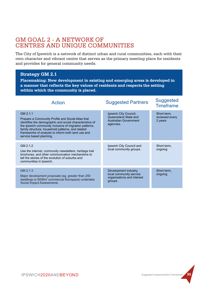# GM GOAL 2 - A NETWORK OF CENTRES AND UNIQUE COMMUNITIES

The City of Ipswich is a network of distinct urban and rural communities, each with their own character and vibrant centre that serves as the primary meeting place for residents and provides for general community needs.

#### **Strategy GM 2.1**

**Placemaking: New development in existing and emerging areas is developed in a manner that reflects the key values of residents and respects the setting within which the community is placed.**

| <b>Action</b>                                                                                                                                                                                                                                                                                                             | <b>Suggested Partners</b>                                                                 | <b>Suggested</b><br><b>Timeframe</b>     |
|---------------------------------------------------------------------------------------------------------------------------------------------------------------------------------------------------------------------------------------------------------------------------------------------------------------------------|-------------------------------------------------------------------------------------------|------------------------------------------|
| GM 2.1.1<br>Prepare a Community Profile and Social Atlas that<br>identifies the demographic and social characteristics of<br>the Ipswich community inclusive of migration patterns,<br>family structure, household patterns, and related<br>frameworks of analysis to inform both land use and<br>service based planning. | Ipswich City Council,<br>Queensland State and<br>Australian Government<br>agencies.       | Short term,<br>reviewed every<br>2 years |
| GM 2.1.2<br>Use the internet, community newsletters, heritage trail<br>brochures, and other communication mechanisms to<br>tell the stories of the evolution of suburbs and<br>communities in Ipswich.                                                                                                                    | Ipswich City Council and<br>local community groups.                                       | Short term,<br>ongoing                   |
| GM 2.1.3<br>Major development proposals (eg. greater than 250<br>dwellings or 6000m <sup>2</sup> commercial floorspace) undertake<br>Social Impact Assessments.                                                                                                                                                           | Development industry,<br>local community service<br>organisations and interest<br>groups. | Short term,<br>ongoing                   |

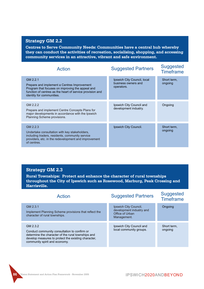# **Strategy GM 2.2**

**Centres to Serve Community Needs: Communities have a central hub whereby they can conduct the activities of recreation, socialising, shopping, and accessing community services in an attractive, vibrant and safe environment.**

| <b>Action</b>                                                                                                                                                                                         | <b>Suggested Partners</b>                                        | <b>Suggested</b><br><b>Timeframe</b> |
|-------------------------------------------------------------------------------------------------------------------------------------------------------------------------------------------------------|------------------------------------------------------------------|--------------------------------------|
| GM 2.2.1<br>Prepare and implement a Centres Improvement<br>Program that focuses on improving the appeal and<br>function of centres as the heart of service provision and<br>identity for communities. | Ipswich City Council, local<br>business owners and<br>operators. | Short term,<br>ongoing               |
| GM 2.2.2<br>Prepare and implement Centre Concepts Plans for<br>major developments in accordance with the Ipswich<br>Planning Scheme provisions.                                                       | Ipswich City Council and<br>development industry.                | Ongoing                              |
| GM 2.2.3<br>Undertake consultation with key stakeholders,<br>including traders, residents, community service<br>providers, etc. in the redevelopment and improvement<br>of centres.                   | Ipswich City Council.                                            | Short term,<br>ongoing               |

#### **Strategy GM 2.3**

**Rural Townships: Protect and enhance the character of rural townships throughout the City of Ipswich such as Rosewood, Marburg, Peak Crossing and Harrisville.**

| <b>Action</b>                                                                                                                                                                                          | <b>Suggested Partners</b>                                                           | <b>Suggested</b><br><b>Timeframe</b> |
|--------------------------------------------------------------------------------------------------------------------------------------------------------------------------------------------------------|-------------------------------------------------------------------------------------|--------------------------------------|
| GM 2.3.1<br>Implement Planning Scheme provisions that reflect the<br>character of rural townships.                                                                                                     | Ipswich City Council,<br>development industry and<br>Office of Urban<br>Management. | Ongoing                              |
| GM 2.3.2<br>Conduct community consultation to confirm or<br>determine the character of the rural townships and<br>develop measures to protect the existing character,<br>community spirit and economy. | Ipswich City Council and<br>local community groups.                                 | Short term,<br>ongoing               |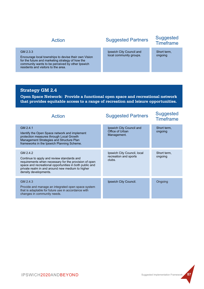#### GM 2.3.3

Encourage local townships to devise their own Vision for the future and marketing strategy of how the community wants to be perceived by other Ipswich residents and visitors to the area.

# Suggested Partners Suggested Timeframe Action

Ipswich City Council and local community groups.

Short term, ongoing

#### **Strategy GM 2.4**

**Open Space Network: Provide a functional open space and recreational network that provides equitable access to a range of recreation and leisure opportunities.**

| <b>Action</b>                                                                                                                                                                                                                                           | <b>Suggested Partners</b>                                      | <b>Suggested</b><br><b>Timeframe</b> |
|---------------------------------------------------------------------------------------------------------------------------------------------------------------------------------------------------------------------------------------------------------|----------------------------------------------------------------|--------------------------------------|
| GM 2.4.1<br>Identify the Open Space network and implement<br>protection measures through Local Growth<br>Management Strategies and Structure Plan<br>frameworks in the Ipswich Planning Scheme.                                                         | Ipswich City Council and<br>Office of Urban<br>Management.     | Short term,<br>ongoing               |
| GM 2.4.2<br>Continue to apply and review standards and<br>requirements when necessary for the provision of open<br>space and recreational opportunities in both public and<br>private realm in and around new medium to higher<br>density developments. | Ipswich City Council, local<br>recreation and sports<br>clubs. | Short term,<br>ongoing               |
| GM 2.4.3<br>Provide and manage an integrated open space system<br>that is adaptable for future use in accordance with<br>changes in community needs.                                                                                                    | Ipswich City Council.                                          | Ongoing                              |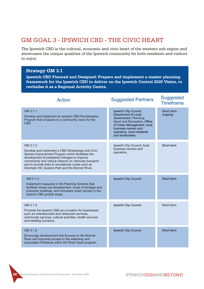# GM GOAL 3 - IPSWICH CBD - THE CIVIC HEART

The Ipswich CBD is the cultural, economic and civic heart of the western sub-region and showcases the unique qualities of the Ipswich community for both residents and visitors to enjoy.

#### **Strategy GM 3.1**

**Ipswich CBD Planned and Designed: Prepare and implement a master planning framework for the Ipswich CBD to deliver on the Ipswich Central 2020 Vision, to revitalise it as a Regional Activity Centre.**

| <b>Action</b>                                                                                                                                                                                                                                                                                                                          | <b>Suggested Partners</b>                                                                                                                                                                                    | <b>Suggested</b><br><b>Timeframe</b> |
|----------------------------------------------------------------------------------------------------------------------------------------------------------------------------------------------------------------------------------------------------------------------------------------------------------------------------------------|--------------------------------------------------------------------------------------------------------------------------------------------------------------------------------------------------------------|--------------------------------------|
| GM 3.1.1<br>Develop and implement an Ipswich CBD Revitalisation<br>Program that is based on a community vision for the<br>CBD.                                                                                                                                                                                                         | Ipswich City Council,<br>Department of Local<br>Government, Planning,<br>Sport and Recreation, Office<br>of Urban Management, local<br>business owners and<br>operators, local residents<br>and landholders. | Short term,<br>ongoing               |
| GM 3.1.2<br>Develop and implement a CBD Streetscape and Civic<br>Spaces Improvement Program which facilitates the<br>development of pedestrian linkages to improve<br>connectivity and reduce reliance on vehicular transport<br>and to provide links to recreational nodes such as<br>Denmark Hill, Queens Park and the Bremer River. | Ipswich City Council, local<br>business owners and<br>operators.                                                                                                                                             | Short term                           |
| GM 3.1.3<br>Implement measures in the Planning Scheme that<br>facilitate mixed use development, reuse of heritage and<br>character buildings, and increased urban density in the<br>Ipswich CBD growth areas.                                                                                                                          | Ipswich City Council.                                                                                                                                                                                        | Short term                           |
| GM 3.1.4<br>Promote the Ipswich CBD as a location for businesses<br>such as entertainment and restaurant services,<br>community services, cultural activities, health services<br>and retailing functions.                                                                                                                             | Ipswich City Council.                                                                                                                                                                                        | Short term                           |
| GM 3.1.5<br>Encourage development that focuses on the Bremer<br>River and improves access to the waterway and<br>associated Parklands within the River Heart program.                                                                                                                                                                  | Ipswich City Council.                                                                                                                                                                                        | Short term                           |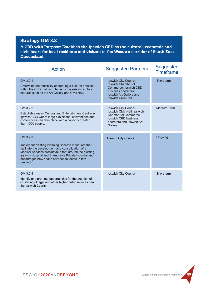# **Strategy GM 3.2**

**A CBD with Purpose: Establish the Ipswich CBD as the cultural, economic and civic heart for local residents and visitors to the Western corridor of South East Queensland.**

| <b>Action</b>                                                                                                                                                                                                                                                                                        | <b>Suggested Partners</b>                                                                                                                     | <b>Suggested</b><br><b>Timeframe</b> |
|------------------------------------------------------------------------------------------------------------------------------------------------------------------------------------------------------------------------------------------------------------------------------------------------------|-----------------------------------------------------------------------------------------------------------------------------------------------|--------------------------------------|
| GM 3.2.1<br>Determine the feasibility of creating a cultural precinct<br>within the CBD that complements the existing cultural<br>features such as the Art Gallery and Civic Hall.                                                                                                                   | Ipswich City Council,<br>Ipswich Chamber of<br>Commerce, Ipswich CBD<br>business operators,<br>Ipswich Art Gallery and<br>Ipswich Civic Hall. | Short term                           |
| GM 3.2.2<br>Establish a major Cultural and Entertainment Centre in<br>Ipswich CBD where large exhibitions, conventions and<br>conferences can take place with a capacity greater<br>than 1000 people.                                                                                                | Ipswich City Council,<br>Ipswich Civic Hall, Ipswich<br>Chamber of Commerce,<br>Ipswich CBD business<br>operators and Ipswich Art<br>Gallery. | Medium Term                          |
| GM 3.2.3<br>Implement existing Planning Scheme measures that<br>facilitate the development and consolidation of a<br>Medical Services precinct/hub that around the existing<br>Ipswich Hospital and St Andrews Private Hospital and<br>encourages new health services to locate in that<br>precinct. | Ipswich City Council.                                                                                                                         | Ongoing                              |
| GM 3.2.4<br>Identify and promote opportunities for the creation of<br>clustering of legal and other higher order services near<br>the Ipswich Courts.                                                                                                                                                | Ipswich City Council.                                                                                                                         | Short term                           |

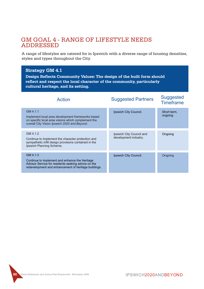# GM GOAL 4 - RANGE OF LIFESTYLE NEEDS ADDRESSED

A range of lifestyles are catered for in Ipswich with a diverse range of housing densities, styles and types throughout the City.

### **Strategy GM 4.1 Design Reflects Community Values: The design of the built form should reflect and respect the local character of the community, particularly cultural heritage, and its setting.**

| <b>Action</b>                                                                                                                                                             | <b>Suggested Partners</b>                         | <b>Suggested</b><br><b>Timeframe</b> |
|---------------------------------------------------------------------------------------------------------------------------------------------------------------------------|---------------------------------------------------|--------------------------------------|
| GM 4.1.1<br>Implement local area development frameworks based<br>on specific local area visions which complement the<br>overall City Vision Ipswich 2020 and Beyond.      | Ipswich City Council.                             | Short term,<br>ongoing               |
| GM 4.1.2<br>Continue to implement the character protection and<br>sympathetic infill design provisions contained in the<br>Ipswich Planning Scheme.                       | Ipswich City Council and<br>development industry. | Ongoing                              |
| GM 4.1.3<br>Continue to implement and enhance the Heritage<br>Advisor Service for residents seeking advice on the<br>redevelopment and enhancement of heritage buildings. | Ipswich City Council.                             | Ongoing                              |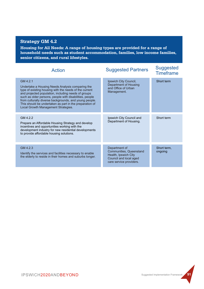# **Strategy GM 4.2**

**Housing for All Needs: A range of housing types are provided for a range of household needs such as student accommodation, families, low income families, senior citizens, and rural lifestyles.**

| Action                                                                                                                                                                                                                                                                                                                                                                                               | <b>Suggested Partners</b>                                                                                             | <b>Suggested</b><br><b>Timeframe</b> |
|------------------------------------------------------------------------------------------------------------------------------------------------------------------------------------------------------------------------------------------------------------------------------------------------------------------------------------------------------------------------------------------------------|-----------------------------------------------------------------------------------------------------------------------|--------------------------------------|
| GM 4.2.1<br>Undertake a Housing Needs Analysis comparing the<br>type of existing housing with the needs of the current<br>and projected population, including needs of groups<br>such as older persons, people with disabilities, people<br>from culturally diverse backgrounds, and young people.<br>This should be undertaken as part in the preparation of<br>Local Growth Management Strategies. | Ipswich City Council,<br>Department of Housing<br>and Office of Urban<br>Management.                                  | Short term                           |
| GM 4.2.2<br>Prepare an Affordable Housing Strategy and develop<br>incentives and opportunities working with the<br>development industry for new residential developments<br>to provide affordable housing solutions.                                                                                                                                                                                 | Ipswich City Council and<br>Department of Housing.                                                                    | Short term                           |
| GM 4.2.3<br>Identify the services and facilities necessary to enable<br>the elderly to reside in their homes and suburbs longer.                                                                                                                                                                                                                                                                     | Department of<br>Communities, Queensland<br>Health, Ipswich City<br>Council and local aged<br>care service providers. | Short term,<br>ongoing               |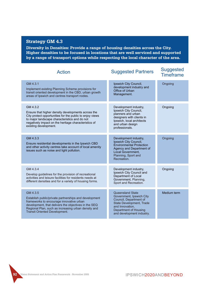#### **Strategy GM 4.3**

**Diversity in Densities: Provide a range of housing densities across the City. Higher densities to be focused in locations that are well serviced and supported by a range of transport options while respecting the local character of the area.**

| <b>Action</b>                                                                                                                                                                                                                                                        | <b>Suggested Partners</b>                                                                                                                                                          | <b>Suggested</b><br><b>Timeframe</b> |
|----------------------------------------------------------------------------------------------------------------------------------------------------------------------------------------------------------------------------------------------------------------------|------------------------------------------------------------------------------------------------------------------------------------------------------------------------------------|--------------------------------------|
| GM 4.3.1<br>Implement existing Planning Scheme provisions for<br>transit oriented development in the CBD, urban growth<br>areas of Ipswich and centres transport nodes.                                                                                              | Ipswich City Council,<br>development industry and<br>Office of Urban<br>Management.                                                                                                | Ongoing                              |
| GM 4.3.2<br>Ensure that higher density developments across the<br>City protect opportunities for the public to enjoy views<br>to major landscape characteristics and do not<br>negatively impact on the heritage characteristics of<br>existing development.         | Development industry,<br>Ipswich City Council,<br>planners and urban<br>designers with clients in<br>Ipswich, local architects<br>and urban design<br>professionals.               | Ongoing                              |
| GM 4.3.3<br>Ensure residential developments in the Ipswich CBD<br>and other activity centres take account of local amenity<br>issues such as noise and light pollution.                                                                                              | Development industry,<br>Ipswich City Council,<br><b>Environmental Protection</b><br>Agency and Department of<br>Local Government.<br>Planning, Sport and<br>Recreation.           | Ongoing                              |
| GM 4.3.4<br>Develop guidelines for the provision of recreational<br>activities and leisure facilities for residents needs at<br>different densities and for a variety of housing forms.                                                                              | Development industry,<br>Ipswich City Council and<br>Department of Local<br>Government, Planning,<br>Sport and Recreation.                                                         | Ongoing                              |
| GM 4.3.5<br>Establish public/private partnerships and development<br>frameworks to encourage innovative urban<br>development, that delivers the objectives in the SEQ<br>Regional Plan, such as increasing urban density and<br><b>Transit Oriented Development.</b> | <b>Queensland State</b><br>Government, Ipswich City<br>Council, Department of<br>State Development, Trade<br>and Innovation,<br>Department of Housing<br>and development industry. | Medium term                          |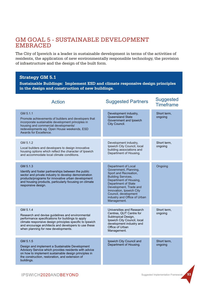# GM GOAL 5 - SUSTAINABLE DEVELOPMENT EMBRACED

The City of Ipswich is a leader in sustainable development in terms of the activities of residents, the application of new environmentally responsible technology, the provision of infrastructure and the design of the built form.

#### **Strategy GM 5.1**

**Sustainable Buildings: Implement ESD and climate responsive design principles in the design and construction of new buildings.**

| <b>Action</b>                                                                                                                                                                                                                                                                | <b>Suggested Partners</b>                                                                                                                                                                                                                                                        | <b>Suggested</b><br><b>Timeframe</b> |
|------------------------------------------------------------------------------------------------------------------------------------------------------------------------------------------------------------------------------------------------------------------------------|----------------------------------------------------------------------------------------------------------------------------------------------------------------------------------------------------------------------------------------------------------------------------------|--------------------------------------|
| GM 5.1.1<br>Promote achievements of builders and developers that<br>incorporate sustainable development principles in<br>housing and commercial developments/<br>redevelopments eg. Open House weekends, ESD<br>Awards for Excellence.                                       | Development industry,<br>Queensland State<br>Government and Ipswich<br>City Council.                                                                                                                                                                                             | Short term,<br>ongoing               |
| GM 5.1.2<br>Local builders and developers to design innovative<br>housing options which reflect the character of Ipswich<br>and accommodate local climate conditions.                                                                                                        | Development industry.<br>Ipswich City Council, local<br>building associations and<br>Department of Housing.                                                                                                                                                                      | Short term.<br>ongoing               |
| GM 5.1.3<br>Identify and foster partnerships between the public<br>sector and private industry to develop demonstration<br>products/programs for innovative urban development<br>and housing products, particularly focusing on climate<br>responsive design.                | Department of Local<br>Government, Planning,<br>Sport and Recreation,<br><b>Building Services,</b><br>Department of Housing,<br>Department of State<br>Development, Trade and<br>Innovation, Ipswich City<br>Council, development<br>industry and Office of Urban<br>Management. | Ongoing                              |
| GM 5.1.4<br>Research and devise guidelines and environmental<br>performance specifications for buildings to apply<br>climate responsive design principles specific to Ipswich<br>and encourage architects and developers to use these<br>when planning for new developments. | Universities and Research<br>Centres, QUT Centre for<br>Subtropical Design,<br>Ipswich City Council, local<br>development industry and<br>Office of Urban<br>Management.                                                                                                         | Short term,<br>ongoing               |
| GM 5.1.5<br>Design and implement a Sustainable Development<br>Advisory Service which provides residents with advice<br>on how to implement sustainable design principles in<br>the construction, restoration, and extension of<br>buildings.                                 | Ipswich City Council and<br>Department of Housing.                                                                                                                                                                                                                               | Short term,<br>ongoing               |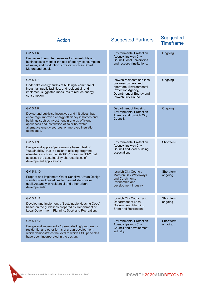| <b>Action</b>                                                                                                                                                                                                                                                                                     | <b>Suggested Partners</b>                                                                                                                                 | <b>Suggested</b><br><b>Timeframe</b> |
|---------------------------------------------------------------------------------------------------------------------------------------------------------------------------------------------------------------------------------------------------------------------------------------------------|-----------------------------------------------------------------------------------------------------------------------------------------------------------|--------------------------------------|
| GM 5.1.6<br>Devise and promote measures for households and<br>businesses to monitor the use of energy, consumption<br>of water, and production of waste, such as Smart<br>Meters and ecobiz.                                                                                                      | <b>Environmental Protection</b><br>Agency, Ipswich City<br>Council, local universities<br>and research institutions.                                      | Ongoing                              |
| GM 5.1.7<br>Undertake energy audits of buildings- commercial,<br>industrial, public facilities, and residential- and<br>implement suggested measures to reduce energy<br>consumption.                                                                                                             | Ipswich residents and local<br>business owners and<br>operators, Environmental<br>Protection Agency,<br>Department of Energy and<br>Ipswich City Council. | Ongoing                              |
| GM 5.1.8<br>Devise and publicise incentives and initiatives that<br>encourage improved energy efficiency in homes and<br>buildings such as investment in energy efficient<br>appliances and installation of solar hot water,<br>alternative energy sources, or improved insulation<br>techniques. | Department of Housing,<br><b>Environmental Protection</b><br>Agency and Ipswich City<br>Council.                                                          | Ongoing                              |
| GM 5.1.9<br>Design and apply a 'performance based' test of<br>'sustainability' that is similar to existing programs<br>elsewhere such as the BASIX Program in NSW that<br>assesses the sustainability characteristics of<br>development applications.                                             | <b>Environmental Protection</b><br>Agency, Ipswich City<br>Council and local building<br>association.                                                     | Short term                           |
| GM 5.1.10<br>Prepare and implement Water Sensitive Urban Design<br>standards and guidelines for desired stormwater<br>quality/quantity in residential and other urban<br>developments.                                                                                                            | Ipswich City Council,<br>Moreton Bay Waterways<br>and Catchments<br>Partnership and<br>development industry.                                              | Short term,<br>ongoing               |
| GM 5.1.11<br>Develop and implement a 'Sustainable Housing Code'<br>based on the guidelines prepared by Department of<br>Local Government, Planning, Sport and Recreation.                                                                                                                         | Ipswich City Council and<br>Department of Local<br>Government, Planning,<br>Sport and Recreation.                                                         | Short term,<br>ongoing               |
| GM 5.1.12<br>Design and implement a 'green labelling' program for<br>residential and other forms of urban development<br>which demonstrates the level to which ESD principles<br>have been incorporated in the design.                                                                            | <b>Environmental Protection</b><br>Agency, Ipswich City<br>Council and development<br>industry.                                                           | Short term,<br>ongoing               |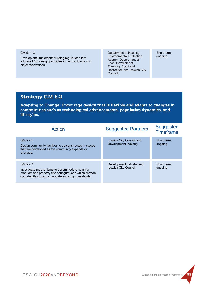#### GM 5.1.13

Develop and implement building regulations that address ESD design principles in new buildings and major renovations.

Department of Housing, Environmental Protection Agency, Department of Local Government, Recreation and Ipswich City Council. Planning, Sport and

Short term, ongoing

# **Strategy GM 5.2**

**Adapting to Change: Encourage design that is flexible and adapts to changes in communities such as technological advancements, population dynamics, and lifestyles.**

| Action                                                                                                                                                                     | <b>Suggested Partners</b>                         | <b>Suggested</b><br><b>Timeframe</b> |
|----------------------------------------------------------------------------------------------------------------------------------------------------------------------------|---------------------------------------------------|--------------------------------------|
| GM 5.2.1<br>Design community facilities to be constructed in stages<br>that are developed as the community expands or<br>changes.                                          | Ipswich City Council and<br>Development industry. | Short term.<br>ongoing               |
| GM 5.2.2<br>Investigate mechanisms to accommodate housing<br>products and property title configurations which provide<br>opportunities to accommodate evolving households. | Development industry and<br>Ipswich City Council. | Short term.<br>ongoing               |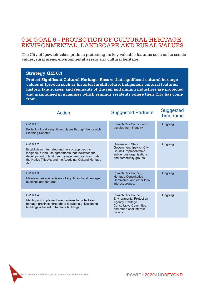# GM GOAL 6 - PROTECTION OF CULTURAL HERITAGE, ENVIRONMENTAL, LANDSCAPE AND RURAL VALUES

The City of Ipswich takes pride in protecting its key valuable features such as its scenic values, rural areas, environmental assets and cultural heritage.

#### **Strategy GM 6.1**

**Protect Significant Cultural Heritage: Ensure that significant cultural heritage values of Ipswich such as historical architecture, indigenous cultural features, historic landscapes, and remnants of the rail and mining industries are protected and maintained in a manner which reminds residents where their City has come from.**

| Action                                                                                                                                                                                                                                         | <b>Suggested Partners</b>                                                                                                                      | <b>Suggested</b><br><b>Timeframe</b> |
|------------------------------------------------------------------------------------------------------------------------------------------------------------------------------------------------------------------------------------------------|------------------------------------------------------------------------------------------------------------------------------------------------|--------------------------------------|
| GM 6.1.1<br>Protect culturally significant places through the Ipswich<br>Planning Scheme.                                                                                                                                                      | Ipswich City Council and<br>development industry.                                                                                              | Ongoing                              |
| GM 6.1.2<br>Establish an integrated and holistic approach to<br>indigenous land use agreements that facilitates the<br>development of land use management practices under<br>the Native Title Act and the Aboriginal Cultural Heritage<br>Act. | Queensland State<br>Government, Ipswich City<br>Council, representative<br>indigenous organisations<br>and community groups.                   | Ongoing                              |
| GM 6.1.3<br>Maintain heritage registers of significant local heritage<br>buildings and features.                                                                                                                                               | Ipswich City Council,<br><b>Heritage Consultative</b><br>Committee, and other local<br>interest groups.                                        | Ongoing                              |
| GM 6.1.4<br>Identify and implement mechanisms to protect key<br>heritage precincts throughout Ipswich e.g. Designing<br>buildings adjacent to heritage buildings.                                                                              | Ipswich City Council,<br><b>Environmental Protection</b><br>Agency, Heritage<br>Consultative Committee.<br>and other local interest<br>groups. | Ongoing                              |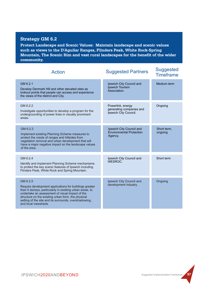#### **Strategy GM 6.2**

**Protect Landscape and Scenic Values: Maintain landscape and scenic values such as views to the D'Aguilar Ranges, Flinders Peak, White Rock-Spring Mountain, The Scenic Rim and vast rural landscapes for the benefit of the wider community.**

| <b>Action</b>                                                                                                                                                                                                                                                                                                            | <b>Suggested Partners</b>                                              | <b>Suggested</b><br><b>Timeframe</b> |
|--------------------------------------------------------------------------------------------------------------------------------------------------------------------------------------------------------------------------------------------------------------------------------------------------------------------------|------------------------------------------------------------------------|--------------------------------------|
| GM 6.2.1<br>Develop Denmark Hill and other elevated sites as<br>lookout points that people can access and experience<br>the views of the district and City.                                                                                                                                                              | Ipswich City Council and<br>Ipswich Tourism<br>Association.            | Medium term                          |
| GM 6.2.2<br>Investigate opportunities to develop a program for the<br>undergrounding of power lines in visually prominent<br>areas.                                                                                                                                                                                      | Powerlink, energy<br>generating companies and<br>Ipswich City Council. | Ongoing                              |
| GM 6.2.3<br>Implement existing Planning Scheme measures to<br>protect the crests of ranges and hillsides from<br>vegetation removal and urban development that will<br>have a major negative impact on the landscape values<br>of the area.                                                                              | Ipswich City Council and<br>Environmental Protection<br>Agency.        | Short term.<br>ongoing               |
| GM 6.2.4<br>Identify and implement Planning Scheme mechanisms<br>to protect the key scenic features of Ipswich including<br>Flinders Peak, White Rock and Spring Mountain.                                                                                                                                               | Ipswich City Council and<br>WESROC.                                    | Short term                           |
| GM 6.2.5<br>Require development applications for buildings greater<br>than 5 storeys, particularly in existing urban areas, to<br>undertake an assessment of visual impact of the<br>structure on the existing urban form, the physical<br>setting of the site and its surrounds, overshadowing,<br>and local viewsheds. | Ipswich City Council and<br>development industry.                      | Ongoing                              |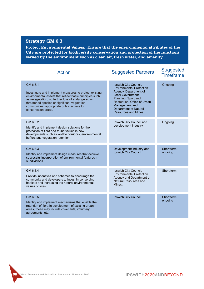#### **Strategy GM 6.3**

**Protect Environmental Values: Ensure that the environmental attributes of the City are protected for biodiversity conservation and protection of the functions served by the environment such as clean air, fresh water, and amenity.**

| <b>Action</b>                                                                                                                                                                                                                                                                                          | <b>Suggested Partners</b>                                                                                                                                                                                                              | <b>Suggested</b><br><b>Timeframe</b> |
|--------------------------------------------------------------------------------------------------------------------------------------------------------------------------------------------------------------------------------------------------------------------------------------------------------|----------------------------------------------------------------------------------------------------------------------------------------------------------------------------------------------------------------------------------------|--------------------------------------|
| GM 6.3.1<br>Investigate and implement measures to protect existing<br>environmental assets that reflect basic principles such<br>as revegetation, no further loss of endangered or<br>threatened species or significant vegetation<br>communities, appropriate public access to<br>conservation areas. | Ipswich City Council,<br><b>Environmental Protection</b><br>Agency, Department of<br>Local Government.<br>Planning, Sport and<br>Recreation, Office of Urban<br>Management and<br><b>Department of Natural</b><br>Resources and Mines. | Ongoing                              |
| GM 6.3.2<br>Identify and implement design solutions for the<br>protection of flora and fauna values in new<br>developments such as wildlife corridors, environmental<br>buffers and vegetation retention.                                                                                              | Ipswich City Council and<br>development industry.                                                                                                                                                                                      | Ongoing                              |
| GM 6.3.3<br>Identify and implement design measures that achieve<br>successful incorporation of environmental features in<br>subdivisions.                                                                                                                                                              | Development industry and<br>Ipswich City Council.                                                                                                                                                                                      | Short term,<br>ongoing               |
| GM 6.3.4<br>Provide incentives and schemes to encourage the<br>community and developers to invest in conserving<br>habitats and increasing the natural environmental<br>values of sites.                                                                                                               | Ipswich City Council,<br><b>Environmental Protection</b><br>Agency and Department of<br>Natural Resources and<br>Mines.                                                                                                                | Short term                           |
| GM 6.3.5<br>Identify and implement mechanisms that enable the<br>retention of flora in development of existing urban<br>areas, these may include covenants, voluntary<br>agreements, etc.                                                                                                              | Ipswich City Council.                                                                                                                                                                                                                  | Short term,<br>ongoing               |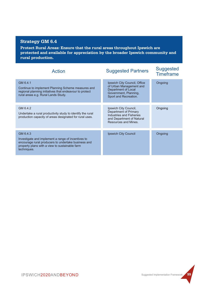# **Strategy GM 6.4**

**Protect Rural Areas: Ensure that the rural areas throughout Ipswich are protected and available for appreciation by the broader Ipswich community and rural production.**

| <b>Action</b>                                                                                                                                                                          | <b>Suggested Partners</b>                                                                                                              | <b>Suggested</b><br><b>Timeframe</b> |
|----------------------------------------------------------------------------------------------------------------------------------------------------------------------------------------|----------------------------------------------------------------------------------------------------------------------------------------|--------------------------------------|
| GM 6.4.1<br>Continue to implement Planning Scheme measures and<br>regional planning initiatives that endeavour to protect<br>rural areas e.g. Rural Lands Study.                       | Ipswich City Council, Office<br>of Urban Management and<br>Department of Local<br>Government, Planning,<br>Sport and Recreation.       | Ongoing                              |
| GM 6.4.2<br>Undertake a rural productivity study to identify the rural<br>production capacity of areas designated for rural uses.                                                      | Ipswich City Council,<br>Department of Primary<br><b>Industries and Fisheries</b><br>and Department of Natural<br>Resources and Mines. | Ongoing                              |
| GM 6.4.3<br>Investigate and implement a range of incentives to<br>encourage rural producers to undertake business and<br>property plans with a view to sustainable farm<br>techniques. | Ipswich City Council                                                                                                                   | Ongoing                              |

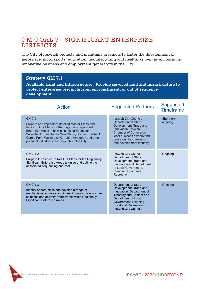# GM GOAL 7 - SIGNIFICANT ENTERPRISE DISTRICTS

The City of Ipswich protects and maintains precincts to foster the development of aerospace, motorsports, education, manufacturing and health, as well as encouraging innovative business and employment generators in the City.

#### **Strategy GM 7.1**

**Available Land and Infrastructure: Provide serviced land and infrastructure to protect enterprise precincts from encroachment, or out of sequence development.**

#### GM 7.1.1 Prepare and implement detailed Master Plans and Infrastructure Plans for the Regionally Significant Enterprise Areas in Ipswich such as Ebenezer-Willowbank, Swanbank- New Chum, Bremer, Redbank, Carole Park, Wulkaraka-Karrabin, Amberley and other potential industrial areas throughout the City. GM 7.1.3 Identify opportunities and develop a range of mechanisms to create and invest in major infrastructure solutions and delivery frameworks within Regionally Significant Enterprise Areas. GM 7.1.2 Prepare Infrastructure Roll Out Plans for the Regionally Significant Enterprise Areas to guide and outline the associated sequencing and cost. Ipswich City Council, Department of State Development, Trade and Innovation, Ipswich Chamber of Commerce, local business owners and operators, land owners and development industry. Department of State Development, Trade and Innovation, Department of Treasury and Cabinet and Department of Local Government, Planning, Sport and Recreation, Ipswich City Council. Ipswich City Council, Department of State Development, Trade and Innovation and Department of Local Government, Planning, Sport and Recreation. Short term, ongoing **Ongoing Ongoing** Suggested Partners Suggested Timeframe Action

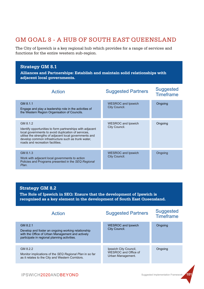## GM GOAL 8 - A HUB OF SOUTH EAST QUEENSLAND

The City of Ipswich is a key regional hub which provides for a range of services and functions for the entire western sub-region.

#### **Strategy GM 8.1**

**Alliances and Partnerships: Establish and maintain solid relationships with adjacent local governments.**

| Action                                                                                                                                                                                                                                                                            | <b>Suggested Partners</b>                  | <b>Suggested</b><br><b>Timeframe</b> |
|-----------------------------------------------------------------------------------------------------------------------------------------------------------------------------------------------------------------------------------------------------------------------------------|--------------------------------------------|--------------------------------------|
| GM 8.1.1<br>Engage and play a leadership role in the activities of<br>the Western Region Organisation of Councils.                                                                                                                                                                | <b>WESROC and Ipswich</b><br>City Council. | Ongoing                              |
| GM 8.1.2<br>Identify opportunities to form partnerships with adjacent<br>local governments to avoid duplication of services,<br>utilise the strengths of adjacent local governments and<br>develop common infrastructure such as trunk water,<br>roads and recreation facilities. | <b>WESROC and Ipswich</b><br>City Council. | Ongoing                              |
| GM 8.1.3<br>Work with adjacent local governments to action<br>Policies and Programs presented in the SEQ Regional<br>Plan.                                                                                                                                                        | <b>WESROC and Ipswich</b><br>City Council. | Ongoing                              |

#### **Strategy GM 8.2**

**The Role of Ipswich in SEQ: Ensure that the development of Ipswich is recognised as a key element in the development of South East Queensland.**

| Action                                                                                                                                                             | <b>Suggested Partners</b>                                                 | <b>Suggested</b><br><b>Timeframe</b> |
|--------------------------------------------------------------------------------------------------------------------------------------------------------------------|---------------------------------------------------------------------------|--------------------------------------|
| GM 8.2.1<br>Develop and foster an ongoing working relationship<br>with the Office of Urban Management and actively<br>participate in regional planning activities. | <b>WESROC and Ipswich</b><br>City Council.                                | Ongoing                              |
| GM 8.2.2<br>Monitor implications of the SEQ Regional Plan in so far<br>as it relates to the City and Western Corridors.                                            | Ipswich City Council,<br><b>WESROC and Office of</b><br>Urban Management. | Ongoing                              |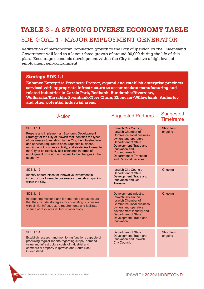## **TABLE 3 - A STRONG DIVERSE ECONOMY TABLE**

### SDE GOAL 1 - MAJOR EMPLOYMENT GENERATOR

Redirection of metropolitan population growth to the City of Ipswich by the Queensland Government will lead to a labour force growth of around 90,000 during the life of this plan. Encourage economic development within the City to achieve a high level of employment self-containment.

#### **Strategy SDE 1.1**

**Enhance Enterprise Precincts: Protect, expand and establish enterprise precincts serviced with appropriate infrastructure to accommodate manufacturing and related industries in Carole Park, Redbank, Bundamba/Riverview, Wulkaraka/Karrabin, Swanbank/New Chum, Ebenezer/Willowbank, Amberley and other potential industrial areas.**

| <b>Action</b>                                                                                                                                                                                                                                                                                                                                                                                                                                | <b>Suggested Partners</b>                                                                                                                                                                                                                              | <b>Suggested</b><br><b>Timeframe</b> |
|----------------------------------------------------------------------------------------------------------------------------------------------------------------------------------------------------------------------------------------------------------------------------------------------------------------------------------------------------------------------------------------------------------------------------------------------|--------------------------------------------------------------------------------------------------------------------------------------------------------------------------------------------------------------------------------------------------------|--------------------------------------|
| <b>SDE 1.1.1</b><br>Prepare and implement an Economic Development<br>Strategy for the City of Ipswich that identifies the types<br>of businesses to establish in the City, the infrastructure<br>and services required to encourage this business,<br>monitoring of business activity, and strategies to enable<br>the City to be relatively self-contained in terms of<br>employment provision and adjust to the changes in the<br>economy. | Ipswich City Council,<br>Ipswich Chamber of<br>Commerce, local business<br>owners and operators,<br><b>Department of State</b><br>Development, Trade and<br>Innovation and<br>Commonwealth<br><b>Department of Transport</b><br>and Regional Services. | Short term,<br>ongoing               |
| <b>SDE 1.1.2</b><br>Identify opportunities for innovative investment in<br>infrastructure to enable businesses to establish quickly<br>within the City.                                                                                                                                                                                                                                                                                      | Ipswich City Council,<br><b>Department of State</b><br>Development, Trade and<br>Innovation and Old<br>Treasury.                                                                                                                                       | Ongoing                              |
| <b>SDE 1.1.3</b><br>In preparing master plans for enterprise areas ensure<br>that they include strategies for co-locating businesses<br>with similar infrastructure requirements and facilitate<br>sharing of resources ie. Industrial ecology.                                                                                                                                                                                              | Development industry,<br>Ipswich City Council,<br>Ipswich Chamber of<br>Commerce, local business<br>owners and operators,<br>development industry and<br><b>Department of State</b><br>Development, Trade and<br>Innovation.                           | Ongoing                              |
| <b>SDE 1.1.4</b><br>Establish research and monitoring functions capable of<br>producing regular reports regarding supply, demand,<br>value and infrastructure costs of industrial and<br>commercial property in Ipswich and South East<br>Queensland.                                                                                                                                                                                        | <b>Department of State</b><br>Development, Trade and<br>Innovation and Ipswich<br>City Council.                                                                                                                                                        | Short term.<br>ongoing               |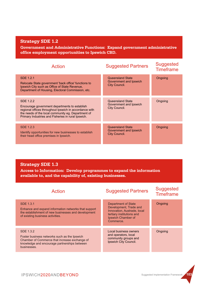#### **Strategy SDE 1.2**

**Government and Administrative Functions: Expand government administrative office employment opportunities to Ipswich CBD.**

| Action                                                                                                                                                                                                                           | <b>Suggested Partners</b>                                          | <b>Suggested</b><br><b>Timeframe</b> |
|----------------------------------------------------------------------------------------------------------------------------------------------------------------------------------------------------------------------------------|--------------------------------------------------------------------|--------------------------------------|
| SDE 1.2.1<br>Relocate State government 'back office' functions to<br>Ipswich City such as Office of State Revenue,<br>Department of Housing, Electoral Commission, etc.                                                          | Queensland State<br>Government and Ipswich<br>City Council.        | Ongoing                              |
| SDE 1.2.2<br>Encourage government departments to establish<br>regional offices throughout Ipswich in accordance with<br>the needs of the local community eg. Department of<br>Primary Industries and Fisheries in rural Ipswich. | Queensland State<br>Government and Ipswich<br>City Council.        | Ongoing                              |
| SDE 1.2.3<br>Identify opportunities for new businesses to establish<br>their head office premises in Ipswich.                                                                                                                    | <b>Queensland State</b><br>Government and Ipswich<br>City Council. | Ongoing                              |

### **Strategy SDE 1.3**

**Access to Information: Develop programmes to expand the information available to, and the capability of, existing businesses.**

| Action                                                                                                                                                                    | <b>Suggested Partners</b>                                                                                                                    | <b>Suggested</b><br><b>Timeframe</b> |
|---------------------------------------------------------------------------------------------------------------------------------------------------------------------------|----------------------------------------------------------------------------------------------------------------------------------------------|--------------------------------------|
| <b>SDE 1.3.1</b><br>Enhance and expand information networks that support<br>the establishment of new businesses and development<br>of existing business activities.       | Department of State<br>Development, Trade and<br>Innovation, Austrade, local<br>tertiary institutions and<br>Ipswich Chamber of<br>Commerce. | Ongoing                              |
| SDE 1.3.2<br>Foster business networks such as the Ipswich<br>Chamber of Commerce that increase exchange of<br>knowledge and encourage partnerships between<br>businesses. | Local business owners<br>and operators, local<br>community groups and<br>Ipswich City Council.                                               | Ongoing                              |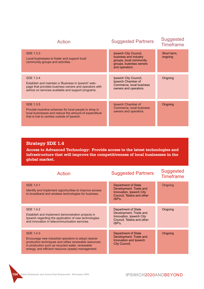| Action                                                                                                                                                                            | <b>Suggested Partners</b>                                                                                              | <b>Suggested</b><br><b>Timeframe</b> |
|-----------------------------------------------------------------------------------------------------------------------------------------------------------------------------------|------------------------------------------------------------------------------------------------------------------------|--------------------------------------|
| SDE 1.3.3<br>Local businesses to foster and support local<br>community groups and activities.                                                                                     | Ipswich City Council,<br>business and industry<br>groups, local community<br>groups, business owners<br>and operators. | Short term,<br>ongoing               |
| SDE 1.3.4<br>Establish and maintain a 'Business in Ipswich' web-<br>page that provides business owners and operators with<br>advice on services available and support programs.   | Ipswich City Council,<br>Ipswich Chamber of<br>Commerce, local business<br>owners and operators.                       | Ongoing                              |
| <b>SDE 1.3.5</b><br>Provide incentive schemes for local people to shop in<br>local businesses and reduce the amount of expenditure<br>that is lost to centres outside of Ipswich. | Ipswich Chamber of<br>Commerce, local business<br>owners and operators.                                                | Ongoing                              |

#### **Strategy SDE 1.4**

**Access to Advanced Technology: Provide access to the latest technologies and infrastructure that will improve the competitiveness of local businesses in the global market.**

| Action                                                                                                                                                                                                                             | <b>Suggested Partners</b>                                                                                                | <b>Suggested</b><br><b>Timeframe</b> |
|------------------------------------------------------------------------------------------------------------------------------------------------------------------------------------------------------------------------------------|--------------------------------------------------------------------------------------------------------------------------|--------------------------------------|
| <b>SDE 1.4.1</b><br>Identify and implement opportunities to improve access<br>to broadband and wireless technologies for business.                                                                                                 | <b>Department of State</b><br>Development, Trade and<br>Innovation, Ipswich City<br>Council, Telstra and other<br>ISP's. | Ongoing                              |
| SDE 1.4.2<br>Establish and implement demonstration projects in<br>Ipswich regarding the application of new technologies<br>and innovation in telecommunication services.                                                           | Department of State<br>Development, Trade and<br>Innovation, Ipswich City<br>Council, Telstra and other<br>ISP's.        | Ongoing                              |
| SDE 1.4.3<br>Encourage new industrial operators to adopt cleaner<br>production techniques and utilise renewable resources<br>in production such as recycled water, renewable<br>energy, and efficient resource (waste) management. | Department of State<br>Development, Trade and<br>Innovation and Ipswich<br>City Council.                                 | Ongoing                              |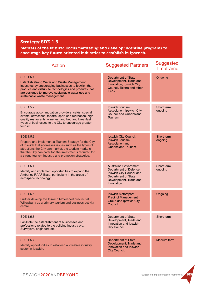### **Strategy SDE 1.5**

**Markets of the Future: Focus marketing and develop incentive programs to encourage key future-oriented industries to establish in Ipswich.**

| <b>Action</b>                                                                                                                                                                                                                                                                                                  | <b>Suggested Partners</b>                                                                                                                                 | <b>Suggested</b><br><b>Timeframe</b> |
|----------------------------------------------------------------------------------------------------------------------------------------------------------------------------------------------------------------------------------------------------------------------------------------------------------------|-----------------------------------------------------------------------------------------------------------------------------------------------------------|--------------------------------------|
| <b>SDE 1.5.1</b><br>Establish strong Water and Waste Management<br>industries by encouraging businesses to Ipswich that<br>produce and distribute technologies and products that<br>are designed to improve sustainable water use and<br>sustainable waste management.                                         | <b>Department of State</b><br>Development, Trade and<br>Innovation, Ipswich City<br>Council, Telstra and other<br>ISP's.                                  | Ongoing                              |
| SDE 1.5.2<br>Encourage accommodation providers, cafés, special<br>events, attractions, theatre, sport and recreation, high<br>quality restaurants, wineries, and bed and breakfast<br>types of businesses to the City to encourage greater<br>tourism.                                                         | Ipswich Tourism<br>Association, Ipswich City<br><b>Council and Queensland</b><br>Tourism.                                                                 | Short term,<br>ongoing               |
| <b>SDE 1.5.3</b><br>Prepare and implement a Tourism Strategy for the City<br>of Ipswich that addresses issues such as the types of<br>attractions the City can market, the tourism markets<br>that the City can cater for, the investments required for<br>a strong tourism industry and promotion strategies. | Ipswich City Council,<br><b>Ipswich Tourism</b><br>Association and<br>Queensland Tourism.                                                                 | Short term,<br>ongoing               |
| <b>SDE 1.5.4</b><br>Identify and implement opportunities to expand the<br>Amberley RAAF Base, particularly in the areas of<br>aerospace technology.                                                                                                                                                            | <b>Australian Government</b><br>Department of Defence,<br>Ipswich City Council and<br><b>Department of State</b><br>Development, Trade and<br>Innovation. | Short term,<br>ongoing               |
| <b>SDE 1.5.5</b><br>Further develop the Ipswich Motorsport precinct at<br>Willowbank as a primary tourism and business activity<br>centre.                                                                                                                                                                     | Ipswich Motorsport<br><b>Precinct Management</b><br>Group and Ipswich City<br>Council.                                                                    | Ongoing                              |
| SDE 1.5.6<br>Facilitate the establishment of businesses and<br>professions related to the building industry e.g.<br>Surveyors, engineers etc.                                                                                                                                                                  | <b>Department of State</b><br>Development, Trade and<br>Innovation and Ipswich<br>City Council.                                                           | Short term                           |
| <b>SDE 1.5.7</b><br>Identify opportunities to establish a 'creative industry'<br>sector in Ipswich.                                                                                                                                                                                                            | <b>Department of State</b><br>Development, Trade and<br>Innovation and Ipswich<br>City Council.                                                           | Medium term                          |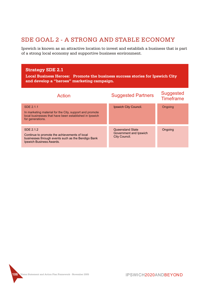## SDE GOAL 2 - A STRONG AND STABLE ECONOMY

Ipswich is known as an attractive location to invest and establish a business that is part of a strong local economy and supportive business environment.

#### **Strategy SDE 2.1**

**Local Business Heroes: Promote the business success stories for Ipswich City and develop a "heroes" marketing campaign.**

| Action                                                                                                                                             | <b>Suggested Partners</b>                                   | <b>Suggested</b><br><b>Timeframe</b> |
|----------------------------------------------------------------------------------------------------------------------------------------------------|-------------------------------------------------------------|--------------------------------------|
| SDE 2.1.1<br>In marketing material for the City, support and promote<br>local businesses that have been established in Ipswich<br>for generations. | Ipswich City Council.                                       | Ongoing                              |
| SDE 2.1.2<br>Continue to promote the achievements of local<br>businesses through events such as the Bendigo Bank<br>Ipswich Business Awards.       | Queensland State<br>Government and Ipswich<br>City Council. | Ongoing                              |

**106 Vision Statement and Action Plan Framework - November 2005**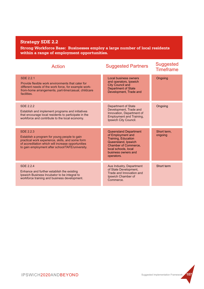### **Strategy SDE 2.2**

**Strong Workforce Base: Businesses employ a large number of local residents within a range of employment opportunities.**

| Action                                                                                                                                                                                                                         | <b>Suggested Partners</b>                                                                                                                                                            | <b>Suggested</b><br><b>Timeframe</b> |
|--------------------------------------------------------------------------------------------------------------------------------------------------------------------------------------------------------------------------------|--------------------------------------------------------------------------------------------------------------------------------------------------------------------------------------|--------------------------------------|
| <b>SDE 2.2.1</b><br>Provide flexible work environments that cater for<br>different needs of the work force, for example work-<br>from-home arrangements, part-time/casual, childcare<br>facilities.                            | Local business owners<br>and operators, Ipswich<br><b>City Council and</b><br>Department of State<br>Development, Trade and                                                          | Ongoing                              |
| SDF 2.2.2<br>Establish and implement programs and initiatives<br>that encourage local residents to participate in the<br>workforce and contribute to the local economy.                                                        | <b>Department of State</b><br>Development, Trade and<br>Innovation, Department of<br><b>Employment and Training,</b><br>Ipswich City Council.                                        | Ongoing                              |
| <b>SDE 2.2.3</b><br>Establish a program for young people to gain<br>practical work experience, skills, and some form<br>of accreditation which will increase opportunities<br>to gain employment after school/TAFE/university. | <b>Queensland Department</b><br>of Employment and<br>Training, Education<br>Queensland, Ipswich<br>Chamber of Commerce,<br>local schools, local<br>business owners and<br>operators. | Short term.<br>ongoing               |
| SDF 2.2.4<br>Enhance and further establish the existing<br>Ipswich Business Incubator to be integral to<br>workforce training and business development.                                                                        | Aus Industry, Department<br>of State Development,<br>Trade and Innovation and<br>Ipswich Chamber of<br>Commerce.                                                                     | Short term                           |

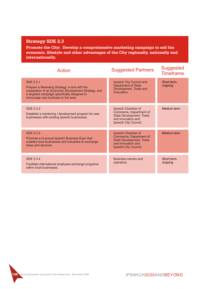### **Strategy SDE 2.3**

**Promote the City: Develop a comprehensive marketing campaign to sell the economic, lifestyle and other advantages of the City regionally, nationally and internationally.**

| Action                                                                                                                                                                                                            | <b>Suggested Partners</b>                                                                                                       | <b>Suggested</b><br><b>Timeframe</b> |
|-------------------------------------------------------------------------------------------------------------------------------------------------------------------------------------------------------------------|---------------------------------------------------------------------------------------------------------------------------------|--------------------------------------|
| <b>SDE 2.3.1</b><br>Prepare a Marketing Strategy, in-line with the<br>preparation of an Economic Development Strategy, and<br>a targeted campaign specifically designed to<br>encourage new business to the area. | Ipswich City Council and<br><b>Department of State</b><br>Development, Trade and<br>Innovation.                                 | Short term.<br>ongoing               |
| <b>SDE 2.3.2</b><br>Establish a mentoring / development program for new<br>businesses with existing Ipswich businesses.                                                                                           | Ipswich Chamber of<br>Commerce, Department of<br><b>State Development, Trade</b><br>and Innovation and<br>Ipswich City Council. | Medium term                          |
| SDF 2.3.3<br>Promote a bi-annual Ipswich Business Expo that<br>enables local businesses and industries to exchange<br>ideas and services.                                                                         | Ipswich Chamber of<br>Commerce, Department of<br><b>State Development, Trade</b><br>and Innovation and<br>Ipswich City Council. | Medium term                          |
| SDF 2.3.4<br>Facilitate international employee exchange programs<br>within local businesses.                                                                                                                      | Business owners and<br>operators.                                                                                               | Short term.<br>ongoing               |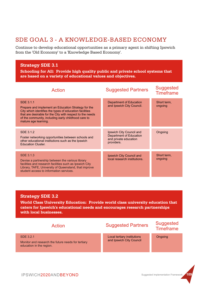## SDE GOAL 3 - A KNOWLEDGE-BASED ECONOMY

Continue to develop educational opportunities as a primary agent in shifting Ipswich from the 'Old Economy' to a 'Knowledge Based Economy'.

#### **Strategy SDE 3.1**

**Schooling for All: Provide high quality public and private school systems that are based on a variety of educational values and objectives.**

| Action                                                                                                                                                                                                                                                                  | <b>Suggested Partners</b>                                                                  | <b>Suggested</b><br><b>Timeframe</b> |
|-------------------------------------------------------------------------------------------------------------------------------------------------------------------------------------------------------------------------------------------------------------------------|--------------------------------------------------------------------------------------------|--------------------------------------|
| SDE 3.1.1<br>Prepare and implement an Education Strategy for the<br>City which identifies the types of education facilities<br>that are desirable for the City with respect to the needs<br>of the community, including early childhood care to<br>mature age learning. | Department of Education<br>and Ipswich City Council.                                       | Short term,<br>ongoing               |
| SDE 3.1.2<br>Foster networking opportunities between schools and<br>other educational institutions such as the Ipswich<br><b>Education Cluster.</b>                                                                                                                     | Ipswich City Council and<br>Department of Education<br>and private education<br>providers. | Ongoing                              |
| SDE 3.1.3<br>Devise a partnership between the various library<br>facilities and research facilities such as Ipswich City<br>Library, TAFE, University of Queensland, that improve<br>student access to information services.                                            | Ipswich City Council and<br>local research institutions.                                   | Short term,<br>ongoing               |

#### **Strategy SDE 3.2**

**World Class University Education: Provide world class university education that caters for Ipswich's educational needs and encourages research partnerships with local businesses.**

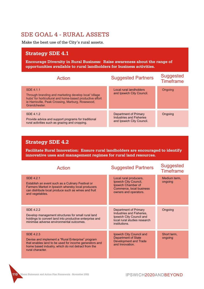## SDE GOAL 4 - RURAL ASSETS

Make the best use of the City's rural assets.

## **Strategy SDE 4.1**

**Encourage Diversity in Rural Business: Raise awareness about the range of opportunities available to rural landholders for business activities.**

| Action                                                                                                                                                                                               | <b>Suggested Partners</b>                                                             | <b>Suggested</b><br><b>Timeframe</b> |
|------------------------------------------------------------------------------------------------------------------------------------------------------------------------------------------------------|---------------------------------------------------------------------------------------|--------------------------------------|
| SDE 4.1.1<br>Through branding and marketing develop local 'village<br>hubs' for horticultural and home-based productive effort<br>ie Harrisville, Peak Crossing, Marburg, Rosewood,<br>Grandchester. | Local rural landholders<br>and Ipswich City Council.                                  | Ongoing                              |
| SDE 4.1.2<br>Provide advice and support programs for traditional<br>rural activities such as grazing and cropping.                                                                                   | Department of Primary<br><b>Industries and Fisheries</b><br>and Ipswich City Council. | Ongoing                              |

### **Strategy SDE 4.2**

**Facilitate Rural Innovation: Ensure rural landholders are encouraged to identify innovative uses and management regimes for rural land resources.**

| <b>Action</b>                                                                                                                                                                                         | <b>Suggested Partners</b>                                                                                                       | <b>Suggested</b><br><b>Timeframe</b> |
|-------------------------------------------------------------------------------------------------------------------------------------------------------------------------------------------------------|---------------------------------------------------------------------------------------------------------------------------------|--------------------------------------|
| <b>SDE 4.2.1</b><br>Establish an event such as a Culinary Festival or<br>Farmers Market in Ipswich whereby local producers<br>can distribute local produce such as wines and fruit<br>and vegetables. | Local rural producers,<br>Ipswich City Council,<br>Ipswich Chamber of<br>Commerce, local business<br>owners and operators.      | Medium term,<br>ongoing              |
| SDF 4.2.2<br>Develop management structures for small rural land<br>holdings to convert land into productive enterprise and<br>minimise adverse environmental outcomes.                                | Department of Primary<br>Industries and Fisheries,<br>Ipswich City Council and<br>local rural studies research<br>institutions. | Ongoing                              |
| SDF 4.2.3<br>Devise and implement a "Rural Enterprise" program<br>that enables land to be used for income generators and<br>home based industry, which do not detract from the<br>rural character.    | Ipswich City Council and<br><b>Department of State</b><br>Development and Trade<br>and Innovation.                              | Short term,<br>ongoing               |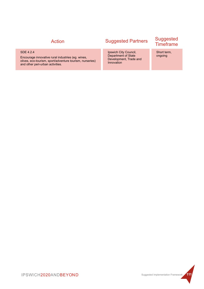#### SDE 4.2.4

Encourage innovative rural industries (eg. wines, olives, eco-tourism, sport/adventure tourism, nurseries) and other peri-urban activities.

# Suggested Partners Suggested Timeframe Action

Ipswich City Council, Department of State Development, Trade and Innovation

Short term, ongoing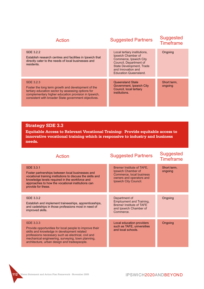| Action                                                                                                                                                                                                                                | <b>Suggested Partners</b>                                                                                                                                                                       | <b>Suggested</b><br><b>Timeframe</b> |
|---------------------------------------------------------------------------------------------------------------------------------------------------------------------------------------------------------------------------------------|-------------------------------------------------------------------------------------------------------------------------------------------------------------------------------------------------|--------------------------------------|
| SDE 3.2.2<br>Establish research centres and facilities in Ipswich that<br>directly cater to the needs of local businesses and<br>residents.                                                                                           | Local tertiary institutions,<br>Ipswich Chamber of<br>Commerce, Ipswich City<br>Council, Department of<br><b>State Development, Trade</b><br>and Innovation and<br><b>Education Queensland.</b> | Ongoing                              |
| SDF 3.2.3<br>Foster the long term growth and development of the<br>tertiary education sector by assessing options for<br>complementary higher education provision in Ipswich,<br>consistent with broader State government objectives. | Queensland State<br>Government, Ipswich City<br>Council, local tertiary<br>institutions.                                                                                                        | Short term,<br>ongoing               |

#### **Strategy SDE 3.3**

**Equitable Access to Relevant Vocational Training: Provide equitable access to innovative vocational training which is responsive to industry and business needs.**

| <b>Action</b>                                                                                                                                                                                                                                                                          | <b>Suggested Partners</b>                                                                                                        | <b>Suggested</b><br><b>Timeframe</b> |
|----------------------------------------------------------------------------------------------------------------------------------------------------------------------------------------------------------------------------------------------------------------------------------------|----------------------------------------------------------------------------------------------------------------------------------|--------------------------------------|
| SDE 3.3.1<br>Foster partnerships between local businesses and<br>vocational training institutions to discuss the skills and<br>knowledge levels required in the workforce and<br>approaches to how the vocational institutions can<br>provide for these.                               | Bremer Institute of TAFE,<br>Ipswich Chamber of<br>Commerce, local business<br>owners and operators and<br>Ipswich City Council. | Short term,<br>ongoing               |
| SDE 3.3.2<br>Establish and implement traineeships, apprenticeships,<br>and cadetships in those professions most in need of<br>improved skills.                                                                                                                                         | Department of<br>Employment and Training,<br><b>Bremer Institute of TAFE</b><br>and Ipswich Chamber of<br>Commerce.              | Ongoing                              |
| <b>SDE 3.3.3</b><br>Provide opportunities for local people to improve their<br>skills and knowledge in development related<br>professions necessary such as electrical, civil and<br>mechanical engineering, surveying, town planning,<br>architecture, urban design and tradespeople. | Local education providers<br>such as TAFE, universities<br>and local schools.                                                    | Ongoing                              |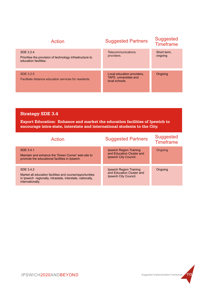| Action                                                                                         | <b>Suggested Partners</b>                                              | <b>Suggested</b><br><b>Timeframe</b> |
|------------------------------------------------------------------------------------------------|------------------------------------------------------------------------|--------------------------------------|
| SDE 3.2.4<br>Prioritise the provision of technology infrastructure to<br>education facilities. | Telecommunications<br>providers.                                       | Short term.<br>ongoing               |
| SDE 3.2.5<br>Facilitate distance education services for residents.                             | Local education providers,<br>TAFE, universities and<br>local schools. | Ongoing                              |

### **Strategy SDE 3.4**

**Export Education: Enhance and market the education facilities of Ipswich to encourage intra-state, interstate and international students to the City.**

| Action                                                                                                                                                  | <b>Suggested Partners</b>                                                     | <b>Suggested</b><br><b>Timeframe</b> |
|---------------------------------------------------------------------------------------------------------------------------------------------------------|-------------------------------------------------------------------------------|--------------------------------------|
| SDE 3.4.1<br>Maintain and enhance the 'Green Corner' web-site to<br>promote the educational facilities in Ipswich.                                      | Ipswich Region Training<br>and Education Cluster and<br>Ipswich City Council. | Ongoing                              |
| SDE 3.4.2<br>Market all education facilities and course/opportunities<br>in Ipswich regionally, intrastate, interstate, nationally,<br>internationally. | Ipswich Region Training<br>and Education Cluster and<br>Ipswich City Council. | Ongoing                              |

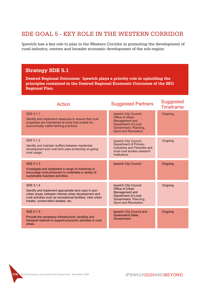## SDE GOAL 5 - KEY ROLE IN THE WESTERN CORRIDOR

Ipswich has a key role to play in the Western Corridor in promoting the development of rural industry, centres and broader economic development of the sub-region.

### **Strategy SDE 5.1**

**Desired Regional Outcomes: Ipswich plays a priority role in upholding the principles contained in the Desired Regional Economic Outcomes of the SEQ Regional Plan.**

| <b>Action</b>                                                                                                                                                                                                                   | <b>Suggested Partners</b>                                                                                                              | Suggested<br><b>Timeframe</b> |
|---------------------------------------------------------------------------------------------------------------------------------------------------------------------------------------------------------------------------------|----------------------------------------------------------------------------------------------------------------------------------------|-------------------------------|
| <b>SDE 5.1.1</b><br>Identify and implement measures to ensure that rural<br>properties are maintained at sizes that enable for<br>economically viable farming practices.                                                        | Ipswich City Council,<br>Office of Urban<br>Management and<br>Department of Local<br>Government, Planning,<br>Sport and Recreation.    | Ongoing                       |
| SDF 5.1.2<br>Identify and maintain buffers between residential<br>development and rural land uses protecting on-going<br>rural usage.                                                                                           | Ipswich City Council,<br><b>Department of Primary</b><br>Industries and Fisheries and<br>local rural studies research<br>institutions. | Ongoing                       |
| SDF 5.1.3<br>Investigate and implement a range of incentives to<br>encourage rural producers to undertake a variety of<br>sustainable business activities.                                                                      | Ipswich City Council.                                                                                                                  | Ongoing                       |
| SDF 5.1.4<br>Identify and implement appropriate land uses in peri-<br>urban areas, between intense urban development and<br>rural activities such as recreational facilities, inter-urban<br>breaks, conservation estates, etc. | Ipswich City Council,<br>Office of Urban<br>Management and<br>Department of Local<br>Government, Planning,<br>Sport and Recreation.    | Ongoing                       |
| SDE 5.1.5<br>Provide the necessary infrastructure, facilities and<br>transport network to support economic activities in rural<br>areas.                                                                                        | Ipswich City Council and<br>Queensland State<br>Government.                                                                            | Ongoing                       |

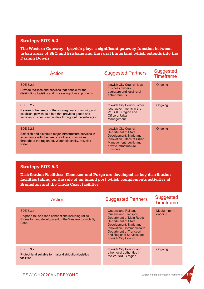#### **Strategy SDE 5.2**

**The Western Gateway: Ipswich plays a significant gateway function between urban areas of SEQ and Brisbane and the rural hinterland which extends into the Darling Downs.**

| Action                                                                                                                                                                                       | <b>Suggested Partners</b>                                                                                                                                                      | <b>Suggested</b><br><b>Timeframe</b> |
|----------------------------------------------------------------------------------------------------------------------------------------------------------------------------------------------|--------------------------------------------------------------------------------------------------------------------------------------------------------------------------------|--------------------------------------|
| SDE 5.2.1<br>Provide facilities and services that enable for the<br>distribution/logistics and processing of rural products.                                                                 | Ipswich City Council, local<br>business owners,<br>operators and local rural<br>entrepreneurs.                                                                                 | Ongoing                              |
| SDE 5.2.2<br>Research the needs of the sub-regional community and<br>establish Ipswich as a hub that provides goods and<br>services to other communities throughout the sub-region.          | Ipswich City Council, other<br>local governments in the<br><b>WESROC</b> region and<br>Office of Urban<br>Management.                                                          | Ongoing                              |
| SDE 5.2.3<br>Establish and distribute major infrastructure services in<br>accordance with the needs of other communities<br>throughout the region eg. Water, electricity, recycled<br>water. | Ipswich City Council,<br><b>Department of State</b><br>Development, Trade and<br>Innovation, Office of Urban<br>Management, public and<br>private infrastructure<br>providers. | Ongoing                              |

#### **Strategy SDE 5.3**

**Distribution Facilities: Ebenezer and Purga are developed as key distribution facilities taking on the role of an inland port which complements activities at Bromelton and the Trade Coast facilities.**

| <b>Action</b>                                                                                                                    | <b>Suggested Partners</b>                                                                                                                                                                                                                             | <b>Suggested</b><br><b>Timeframe</b> |
|----------------------------------------------------------------------------------------------------------------------------------|-------------------------------------------------------------------------------------------------------------------------------------------------------------------------------------------------------------------------------------------------------|--------------------------------------|
| SDE 5.3.1<br>Upgrade rail and road connections including rail to<br>Bromelton and development of the Western Ipswich By<br>Pass. | Queensland Rail and<br>Queensland Transport,<br>Department of Main Roads,<br><b>Department of State</b><br>Development, Trade and<br>Innovation, Commonwealth<br><b>Department of Transport</b><br>and Regional Services and<br>Ipswich City Council. | Medium term.<br>ongoing              |
| SDE 5.3.2<br>Protect land suitable for major distribution/logistics<br>facilities.                                               | Ipswich City Council and<br>other local authorities in<br>the WESROC region.                                                                                                                                                                          | Ongoing                              |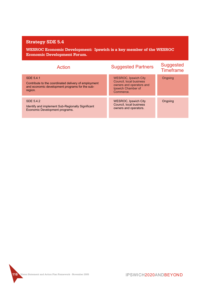### **Strategy SDE 5.4**

**WESROC Economic Development: Ipswich is a key member of the WESROC Economic Development Forum.**

| Action                                                                                                                         | <b>Suggested Partners</b>                                                                                             | <b>Suggested</b><br><b>Timeframe</b> |
|--------------------------------------------------------------------------------------------------------------------------------|-----------------------------------------------------------------------------------------------------------------------|--------------------------------------|
| SDE 5.4.1<br>Contribute to the coordinated delivery of employment<br>and economic development programs for the sub-<br>region. | <b>WESROC, Ipswich City</b><br>Council. local business<br>owners and operators and<br>Ipswich Chamber of<br>Commerce. | Ongoing                              |
| SDE 5.4.2<br>Identify and implement Sub-Regionally Significant<br>Economic Development programs.                               | <b>WESROC, Ipswich City</b><br>Council, local business<br>owners and operators.                                       | Ongoing                              |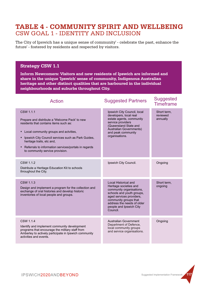## CSW GOAL 1 - IDENTITY AND INCLUSION **TABLE 4 - COMMUNITY SPIRIT AND WELLBEING**

The City of Ipswich has a unique sense of community' - celebrate the past, enhance the future' - fostered by residents and respected by visitors.

#### **Strategy CSW 1.1**

**Inform Newcomers: Visitors and new residents of Ipswich are informed and share in the unique 'Ipswich' sense of community, Indigenous Australian heritage and other distinct qualities that are harboured in the individual neighbourhoods and suburbs throughout City.**

| <b>Action</b>                                                                                                                                                                                                                                                                                                                     | <b>Suggested Partners</b>                                                                                                                                                                                                         | Suggested<br><b>Timeframe</b>       |
|-----------------------------------------------------------------------------------------------------------------------------------------------------------------------------------------------------------------------------------------------------------------------------------------------------------------------------------|-----------------------------------------------------------------------------------------------------------------------------------------------------------------------------------------------------------------------------------|-------------------------------------|
| CSW 1.1.1<br>Prepare and distribute a 'Welcome Pack' to new<br>residents that contains items such as:<br>Local community groups and actvities,<br>٠<br>Ipswich City Council services such as Park Guides,<br>heritage trails, etc and,<br>Referrals to information services/portals in regards<br>to community service provision. | Ipswich City Council, local<br>developers, local real<br>estate agents, community<br>service providers<br>(Queensland State and<br>Australian Governments)<br>and peak community<br>organisations.                                | Short term,<br>reviewed<br>annually |
| CSW 1.1.2<br>Distribute a Heritage Education Kit to schools<br>throughout the City.                                                                                                                                                                                                                                               | Ipswich City Council.                                                                                                                                                                                                             | Ongoing                             |
| CSW 1.1.3<br>Design and implement a program for the collection and<br>exchange of oral histories and develop historic<br>inventories of local people and groups.                                                                                                                                                                  | Local Historical and<br>Heritage societies and<br>community organisations,<br>schools and youth groups,<br>aged services providers,<br>community groups that<br>address the needs of older<br>people and Ipswich City<br>Council. | Short term.<br>ongoing              |
| CSW 1.1.4<br>Identify and implement community development<br>programs that encourage the military staff from<br>Amberley to actively participate in Ipswich community<br>activities and events.                                                                                                                                   | <b>Australian Government</b><br>Department of Defence,<br>local community groups<br>and service organisations.                                                                                                                    | Ongoing                             |

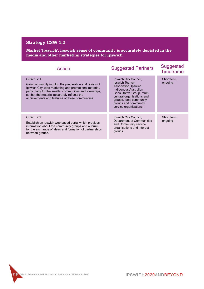## **Strategy CSW 1.2**

**Market 'Ipswich': Ipswich sense of community is accurately depicted in the media and other marketing strategies for Ipswich.**

| <b>Action</b>                                                                                                                                                                                                                                                                             | <b>Suggested Partners</b>                                                                                                                                                                                                                 | <b>Suggested</b><br><b>Timeframe</b> |
|-------------------------------------------------------------------------------------------------------------------------------------------------------------------------------------------------------------------------------------------------------------------------------------------|-------------------------------------------------------------------------------------------------------------------------------------------------------------------------------------------------------------------------------------------|--------------------------------------|
| CSW 1.2.1<br>Gain community input in the preparation and review of<br>Ipswich City-wide marketing and promotional material,<br>particularly for the smaller communities and townships,<br>so that the material accurately reflects the<br>achievements and features of these communities. | Ipswich City Council,<br>Ipswich Tourism<br>Association, Ipswich<br><b>Indigenous Australian</b><br>Consultative Group, multi-<br>cultural organisations and<br>groups, local community<br>groups and community<br>service organisations. | Short term,<br>ongoing               |
| CSW 1.2.2<br>Establish an Ipswich web based portal which provides<br>information about the community groups and a forum<br>for the exchange of ideas and formation of partnerships<br>between groups.                                                                                     | Ipswich City Council,<br>Department of Communities<br>and Community service<br>organisations and interest<br>groups.                                                                                                                      | Short term,<br>ongoing               |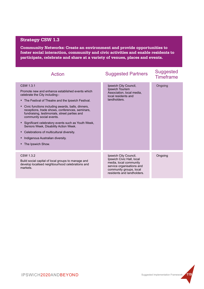### **Strategy CSW 1.3**

**Community Networks: Create an environment and provide opportunities to foster social interaction, community and civic activities and enable residents to participate, celebrate and share at a variety of venues, places and events.**

| Action                                                                                                                                                                                                                                                                                                                                                                                                                                                                                                                                                                   | <b>Suggested Partners</b>                                                                                                                                          | <b>Suggested</b><br><b>Timeframe</b> |
|--------------------------------------------------------------------------------------------------------------------------------------------------------------------------------------------------------------------------------------------------------------------------------------------------------------------------------------------------------------------------------------------------------------------------------------------------------------------------------------------------------------------------------------------------------------------------|--------------------------------------------------------------------------------------------------------------------------------------------------------------------|--------------------------------------|
| CSW 1.3.1<br>Promote new and enhance established events which<br>celebrate the City including:-<br>• The Festival of Theatre and the Ipswich Festival.<br>Civic functions including awards, balls, dinners,<br>٠<br>receptions, trade shows, conferences, seminars,<br>fundraising, testimonials, street parties and<br>community social events.<br>Significant celebratory events such as Youth Week,<br>٠<br>Seniors Week, Disability Action Week.<br>Celebrations of multicultural diversity.<br>٠<br>Indigenous Australian diversity.<br>٠<br>The Ipswich Show.<br>٠ | Ipswich City Council,<br>Ipswich Tourism<br>Association, local media,<br>local residents and<br>landholders.                                                       | Ongoing                              |
| CSW 1.3.2<br>Build social capital of local groups to manage and<br>develop localised neighbourhood celebrations and<br>markets.                                                                                                                                                                                                                                                                                                                                                                                                                                          | Ipswich City Council,<br>Ipswich Civic Hall, local<br>media, local community<br>service organisations and<br>community groups, local<br>residents and landholders. | Ongoing                              |

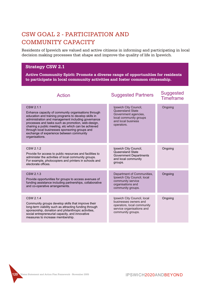## CSW GOAL 2 - PARTICIPATION AND COMMUNITY CAPACITY

Residents of Ipswich are valued and active citizens in informing and participating in local decision making processes that shape and improve the quality of life in Ipswich.

#### **Strategy CSW 2.1**

**Active Community Spirit: Promote a diverse range of opportunities for residents to participate in local community activities and foster common citizenship.**

| <b>Action</b>                                                                                                                                                                                                                                                                                                                                                                                                | <b>Suggested Partners</b>                                                                                                              | <b>Suggested</b><br><b>Timeframe</b> |
|--------------------------------------------------------------------------------------------------------------------------------------------------------------------------------------------------------------------------------------------------------------------------------------------------------------------------------------------------------------------------------------------------------------|----------------------------------------------------------------------------------------------------------------------------------------|--------------------------------------|
| CSW 2.1.1<br>Enhance capacity of community organisations through<br>education and training programs to develop skills in<br>administration and management including governance<br>processes and tasks such as promotion, web-design,<br>chairing a public meeting, etc which can be achieved<br>through local businesses sponsoring groups and<br>exchange of experience between community<br>organisations. | Ipswich City Council,<br><b>Queensland State</b><br>Government agencies,<br>local community groups<br>and local business<br>operators. | Ongoing                              |
| CSW 2.1.2<br>Provide for access to public resources and facilities to<br>administer the activities of local community groups.<br>For example, photocopiers and printers in schools and<br>electorate offices.                                                                                                                                                                                                | Ipswich City Council,<br>Queensland State<br><b>Government Departments</b><br>and local community<br>groups.                           | Ongoing                              |
| CSW 2.1.3<br>Provide opportunities for groups to access avenues of<br>funding assistance including partnerships, collaborative<br>and co-operative arrangements.                                                                                                                                                                                                                                             | Department of Communities,<br>Ipswich City Council, local<br>community service<br>organisations and<br>community groups.               | Ongoing                              |
| CSW 2.1.4<br>Community groups develop skills that improve their<br>long-term viability such as attracting funding through<br>sponsorship, donation and philanthropic activities,<br>social entrepreneurial capacity, and innovative<br>measures to increase membership.                                                                                                                                      | Ipswich City Council, local<br>businesses owners and<br>operators, local community<br>service organisations and<br>community groups.   | Ongoing                              |

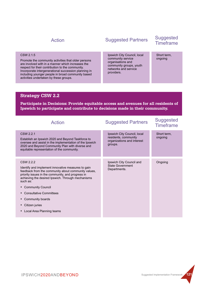#### CSW 2.1.5

Promote the community activities that older persons are involved with in a manner which increases the respect for their contribution to the community. Incorporate intergenerational succession planning in including younger people in broad community based activities undertaken by these groups.

# Suggested Partners Suggested Timeframe Action

Ipswich City Council, local community service organisations and community groups, youth networks and service providers.

Short term, ongoing

#### **Strategy CSW 2.2**

**Participate in Decisions: Provide equitable access and avenues for all residents of Ipswich to participate and contribute to decisions made in their community.**

| <b>Action</b>                                                                                                                                                                                                                                                                                                                                                                | <b>Suggested Partners</b>                                                                    | <b>Suggested</b><br><b>Timeframe</b> |
|------------------------------------------------------------------------------------------------------------------------------------------------------------------------------------------------------------------------------------------------------------------------------------------------------------------------------------------------------------------------------|----------------------------------------------------------------------------------------------|--------------------------------------|
| CSW 2.2.1<br>Establish an Ipswich 2020 and Beyond Taskforce to<br>oversee and assist in the implementation of the Ipswich<br>2020 and Beyond Community Plan with diverse and<br>equitable representation of the community.                                                                                                                                                   | Ipswich City Council, local<br>residents, community<br>organizations and interest<br>groups. | Short term,<br>ongoing               |
| CSW 2.2.2<br>Identify and implement innovative measures to gain<br>feedback from the community about community values,<br>priority issues in the community, and progress in<br>achieving the desired Ipswich. Through mechanisms<br>such as:<br>• Community Council<br><b>Consultative Committees</b><br>• Community boards<br>• Citizen juries<br>Local Area Planning teams | Ipswich City Council and<br>State Government<br>Departments.                                 | Ongoing                              |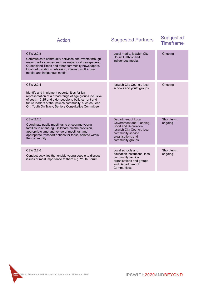| <b>Action</b>                                                                                                                                                                                                                                                                                 | <b>Suggested Partners</b>                                                                                                                                              | <b>Suggested</b><br><b>Timeframe</b> |
|-----------------------------------------------------------------------------------------------------------------------------------------------------------------------------------------------------------------------------------------------------------------------------------------------|------------------------------------------------------------------------------------------------------------------------------------------------------------------------|--------------------------------------|
| CSW 2.2.3<br>Communicate community activities and events through<br>major media sources such as major local newspapers,<br>Queensland Times and other community newspapers,<br>local radio stations, television, internet, multilingual<br>media, and indigenous media.                       | Local media, Ipswich City<br>Council, ethnic and<br>indigenous media.                                                                                                  | Ongoing                              |
| CSW 2.2.4<br>Identify and implement opportunities for fair<br>representation of a broad range of age groups inclusive<br>of youth 12-25 and older people to build current and<br>future leaders of the Ipswich community, such as Lead<br>On, Youth On Track, Seniors Consultative Committee. | Ipswich City Council, local<br>schools and youth groups.                                                                                                               | Ongoing                              |
| CSW 2.2.5<br>Coordinate public meetings to encourage young<br>families to attend eg. Childcare/creche provision,<br>appropriate time and venue of meetings, and<br>appropriate transport options for those isolated within<br>the community.                                                  | Department of Local<br>Government and Planning,<br>Sport and Recreation,<br>Ipswich City Council, local<br>community service<br>organisations and<br>community groups. | Short term,<br>ongoing               |
| CSW 2.2.6<br>Conduct activities that enable young people to discuss<br>issues of most importance to them e.g. Youth Forum.                                                                                                                                                                    | Local schools and<br>education institutions, local<br>community service<br>organisations and groups<br>and Department of<br>Communities.                               | Short term.<br>ongoing               |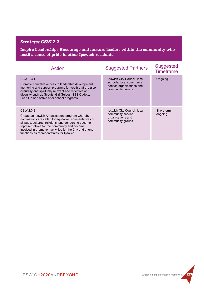### **Strategy CSW 2.3**

**Inspire Leadership: Encourage and nurture leaders within the community who instil a sense of pride in other Ipswich residents.**

| <b>Action</b>                                                                                                                                                                                                                                                                                                                          | <b>Suggested Partners</b>                                                                                 | <b>Suggested</b><br><b>Timeframe</b> |
|----------------------------------------------------------------------------------------------------------------------------------------------------------------------------------------------------------------------------------------------------------------------------------------------------------------------------------------|-----------------------------------------------------------------------------------------------------------|--------------------------------------|
| CSW 2.3.1<br>Promote equitable access to leadership development,<br>mentoring and support programs for youth that are also<br>culturally and spiritually relevant and reflective of<br>diversity such as Scouts, Girl Guides, SES Cadets,<br>Lead On and active after school programs.                                                 | Ipswich City Council, local<br>schools, local community<br>service organisations and<br>community groups. | Ongoing                              |
| CSW 2.3.2<br>Create an Ipswich Ambassadors program whereby<br>nominations are called for equitable representatives of<br>all ages, cultures, religions, and genders to become<br>representatives for the community and become<br>involved in promotion activities for the City and attend<br>functions as representatives for Ipswich. | Ipswich City Council, local<br>community service<br>organisations and<br>community groups.                | Short term,<br>ongoing               |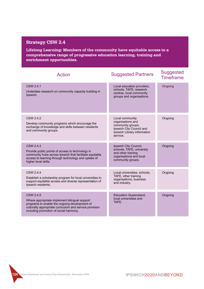### **Strategy CSW 2.4**

**Lifelong Learning: Members of the community have equitable access to a comprehensive range of progressive education learning, training and enrichment opportunities.**

| Action                                                                                                                                                                                                           | <b>Suggested Partners</b>                                                                                                        | <b>Suggested</b><br><b>Timeframe</b> |
|------------------------------------------------------------------------------------------------------------------------------------------------------------------------------------------------------------------|----------------------------------------------------------------------------------------------------------------------------------|--------------------------------------|
| CSW 2.4.1<br>Undertake research on community capacity building in<br>Ipswich.                                                                                                                                    | Local education providers,<br>schools, TAFE, research<br>centres, local community<br>groups and organisations.                   | Ongoing                              |
| CSW 2.4.2<br>Develop community programs which encourage the<br>exchange of knowledge and skills between residents<br>and community groups.                                                                       | Local community<br>organisations and<br>community groups,<br>Ipswich City Council and<br>Ipswich Library information<br>service. | Ongoing                              |
| CSW 2.4.3<br>Provide public points of access to technology in<br>community hubs across Ipswich that facilitate equitable<br>access to learning through technology and uptake of<br>higher level skills.          | Ipswich City Council,<br>schools, TAFE, university<br>and other training<br>organisations and local<br>community groups.         | Ongoing                              |
| CSW 2.4.4<br>Establish a scholarship program for local universities to<br>support equitable access and diverse representation of<br>Ipswich residents.                                                           | Local universities, schools,<br>TAFE, other training<br>organisations, business<br>and industry.                                 | Ongoing                              |
| CSW 2.4.5<br>Where appropriate implement bilingual support<br>programs to enable the ongoing development of<br>culturally appropriate curriculum and service provision<br>including promotion of social harmony. | <b>Education Queensland,</b><br>local universities and<br>TAFE.                                                                  | Ongoing                              |

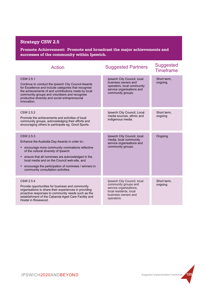### **Strategy CSW 2.5**

**Promote Achievement: Promote and broadcast the major achievements and successes of the community within Ipswich.**

| Action                                                                                                                                                                                                                                                                                                                                                   | <b>Suggested Partners</b>                                                                                                                    | <b>Suggested</b><br><b>Timeframe</b> |
|----------------------------------------------------------------------------------------------------------------------------------------------------------------------------------------------------------------------------------------------------------------------------------------------------------------------------------------------------------|----------------------------------------------------------------------------------------------------------------------------------------------|--------------------------------------|
| CSW 2.5.1<br>Continue to conduct the Ipswich City Council Awards<br>for Excellence and include categories that recognise<br>the achievements of and contributions made by local<br>community groups and volunteers and recognise<br>productive diversity and social entrepreneurial<br>innovation.                                                       | Ipswich City Council, local<br>business owners and<br>operators, local community<br>service organisations and<br>community groups.           | Short term,<br>ongoing               |
| CSW 2.5.2<br>Promote the achievements and activities of local<br>community groups, acknowledging their efforts and<br>encouraging others to participate eg. Good Sports.                                                                                                                                                                                 | Ipswich City Council, Local<br>media sources, ethnic and<br>indigenous media.                                                                | Short term,<br>ongoing               |
| CSW 2.5.3<br>Enhance the Australia Day Awards in order to:-<br>encourage more community nominations reflective<br>of the cultural diversity of Ipswich<br>ensure that all nominees are acknowledged in the<br>local media and on the Council web-site, and<br>encourage the participation of nominees / winners in<br>community consultation activities. | Ipswich City Council, local<br>media, local community<br>service organisations and<br>community groups.                                      | Ongoing                              |
| CSW 2.5.4<br>Provide opportunities for business and community<br>organisations to share their experiences in providing<br>proactive responses to community needs such as the<br>establishment of the Cabanda Aged Care Facility and<br>Hostel in Rosewood.                                                                                               | Ipswich City Council, local<br>community groups and<br>service organisations,<br>local residents, local<br>business owners and<br>operators. | Short term,<br>ongoing               |

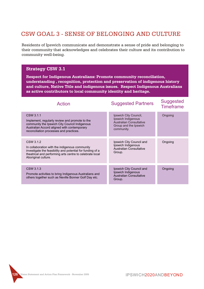## CSW GOAL 3 - SENSE OF BELONGING AND CULTURE

Residents of Ipswich communicate and demonstrate a sense of pride and belonging to their community that acknowledges and celebrates their culture and its contribution to community well-being.

#### CSW 3.1.1 Implement, regularly review and promote to the community the Ipswich City Council Indigenous Australian Accord aligned with contemporary reconciliation processes and practices. CSW 3.1.3 Promote activities to bring Indigenous Australians and others together such as Neville Bonner Golf Day etc. CSW 3.1.2 In collaboration with the indigenous community investigate the feasibility and potential for funding of a theatrical and performing arts centre to celebrate local Aboriginal culture. Ipswich City Council, Ipswich Indigenous Australian Consultative Group and the Ipswich community. Ipswich City Council and Ipswich Indigenous Australian Consultative Group. Ipswich City Council and Ipswich Indigenous Australian Consultative Group. **Ongoing Ongoing** Ongoing **Strategy CSW 3.1 Respect for Indigenous Australians: Promote community reconciliation, understanding , recognition, protection and preservation of indigenous history and culture, Native Title and indigenous issues. Respect Indigenous Australians as active contributors to local community identity and heritage.** Suggested Partners Suggested Timeframe Action

**126 Vision Statement and Action Plan Framework - November 2005**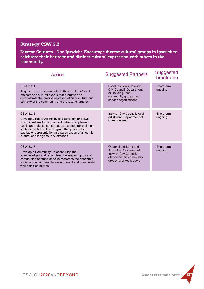### **Strategy CSW 3.2**

**Diverse Cultures - One Ipswich: Encourage diverse cultural groups in Ipswich to celebrate their heritage and distinct cultural expression with others in the community.**

| <b>Action</b>                                                                                                                                                                                                                                                                                                                                 | <b>Suggested Partners</b>                                                                                                          | <b>Suggested</b><br><b>Timeframe</b> |
|-----------------------------------------------------------------------------------------------------------------------------------------------------------------------------------------------------------------------------------------------------------------------------------------------------------------------------------------------|------------------------------------------------------------------------------------------------------------------------------------|--------------------------------------|
| CSW 3.2.1<br>Engage the local community in the creation of local<br>projects and cultural events that promote and<br>demonstrate the diverse representation of culture and<br>ethnicity of the community and the local character.                                                                                                             | Local residents, Ipswich<br><b>City Council, Department</b><br>of Housing, local<br>community groups and<br>service organisations. | Short term.<br>ongoing               |
| CSW 3.2.2<br>Develop a Public Art Policy and Strategy for Ipswich<br>which identifies funding opportunities to implement<br>public art projects into streetscapes and public places<br>such as the Art Built In program that provide for<br>equitable representation and participation of all ethnic,<br>cultural and indigenous Australians. | Ipswich City Council, local<br>artists and Department of<br>Communities.                                                           | Short term.<br>ongoing               |
| CSW 3.2.3<br>Develop a Community Relations Plan that<br>acknowledges and recognises the leadership by and<br>contribution of ethno-specific sectors to the economic,<br>social and environmental development and community<br>well-being of Ipswich.                                                                                          | Queensland State and<br>Australian Governments,<br>Ipswich City Council,<br>ethno-specific community<br>groups and key leaders.    | Short term,<br>ongoing               |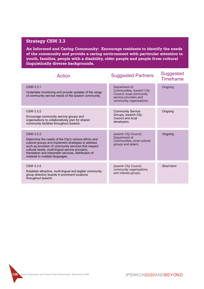#### **Strategy CSW 3.3**

**An Informed and Caring Community: Encourage residents to identify the needs of the community and provide a caring environment with particular attention to youth, families, people with a disability, older people and people from cultural linguistically diverse backgrounds.**

| <b>Action</b>                                                                                                                                                                                                                                                                                                                    | <b>Suggested Partners</b>                                                                                                   | <b>Suggested</b><br><b>Timeframe</b> |
|----------------------------------------------------------------------------------------------------------------------------------------------------------------------------------------------------------------------------------------------------------------------------------------------------------------------------------|-----------------------------------------------------------------------------------------------------------------------------|--------------------------------------|
| CSW 3.3.1<br>Undertake monitoring and provide updates of the range<br>of community service needs of the Ipswich community.                                                                                                                                                                                                       | Department of<br>Communities, Ipswich City<br>Council, local community<br>service providers and<br>community organisations. | Ongoing                              |
| CSW 3.3.2<br>Encourage community service groups and<br>organisations to collaboratively plan for shared<br>community facilities throughout Ipswich.                                                                                                                                                                              | <b>Community Service</b><br>Groups, Ipswich City<br>Council and local<br>developers.                                        | Ongoing                              |
| CSW 3.3.3<br>Determine the needs of the City's various ethnic and<br>cultural groups and implement strategies to address<br>such as provision of community services that respect<br>cultural needs, multi-lingual service provision,<br>translation and interpreter services, distribution of<br>material in multiple languages. | Ipswich City Council,<br>Department of<br>Communities, local cultural<br>groups and elders.                                 | Ongoing                              |
| CSW 3.3.4<br>Establish attractive, multi-lingual and legible community<br>group directory boards in prominent locations<br>throughout Ipswich.                                                                                                                                                                                   | Ipswich City Council,<br>community organisations<br>and interest groups.                                                    | Short term                           |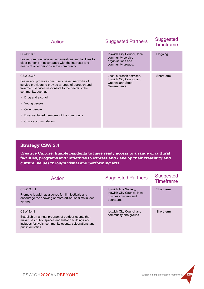| <b>Action</b>                                                                                                                                                                                                                                                                                                              | <b>Suggested Partners</b>                                                                  | <b>Suggested</b><br><b>Timeframe</b> |
|----------------------------------------------------------------------------------------------------------------------------------------------------------------------------------------------------------------------------------------------------------------------------------------------------------------------------|--------------------------------------------------------------------------------------------|--------------------------------------|
| CSW 3.3.5<br>Foster community-based organisations and facilities for<br>older persons in accordance with the interests and<br>needs of older persons in the community.                                                                                                                                                     | Ipswich City Council, local<br>community service<br>organisations and<br>community groups. | Ongoing                              |
| CSW 3.3.6<br>Foster and promote community based networks of<br>service providers to provide a range of outreach and<br>treatment services responsive to the needs of the<br>community, such as:-<br>• Drug and alcohol<br>• Young people<br>Older people<br>Disadvantaged members of the community<br>Crisis accommodation | Local outreach services,<br>Ipswich City Council and<br>Queensland State<br>Governments.   | Short term                           |

### **Strategy CSW 3.4**

**Creative Culture: Enable residents to have ready access to a range of cultural facilities, programs and initiatives to express and develop their creativity and cultural values through visual and performing arts.**

| Action                                                                                                                                                                                                | <b>Suggested Partners</b>                                                                 | <b>Suggested</b><br><b>Timeframe</b> |
|-------------------------------------------------------------------------------------------------------------------------------------------------------------------------------------------------------|-------------------------------------------------------------------------------------------|--------------------------------------|
| CSW 3.4.1<br>Promote Ipswich as a venue for film festivals and<br>encourage the showing of more art-house films in local<br>venues.                                                                   | Ipswich Arts Society.<br>Ipswich City Council, local<br>business owners and<br>operators. | Short term                           |
| CSW 3.4.2<br>Establish an annual program of outdoor events that<br>maximises public spaces and historic buildings and<br>includes festivals, community events, celebrations and<br>public activities. | Ipswich City Council and<br>community arts groups.                                        | Short term                           |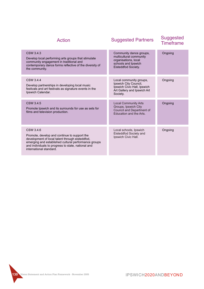| Action                                                                                                                                                                                                                                                | <b>Suggested Partners</b>                                                                                                  | <b>Suggested</b><br><b>Timeframe</b> |
|-------------------------------------------------------------------------------------------------------------------------------------------------------------------------------------------------------------------------------------------------------|----------------------------------------------------------------------------------------------------------------------------|--------------------------------------|
| CSW 3.4.3<br>Develop local performing arts groups that stimulate<br>community engagement in traditional and<br>contemporary dance forms reflective of the diversity of<br>the community.                                                              | Community dance groups,<br>multicultural community<br>organisations, local<br>schools and Ipswich<br>Eisteddfod Society.   | Ongoing                              |
| CSW 3.4.4<br>Develop partnerships in developing local music<br>festivals and art festivals as signature events in the<br>Ipswich Calendar.                                                                                                            | Local community groups,<br>Ipswich City Council,<br>Ipswich Civic Hall, Ipswich<br>Art Gallery and Ipswich Art<br>Society. | Ongoing                              |
| CSW 3.4.5<br>Promote Ipswich and its surrounds for use as sets for<br>films and television production.                                                                                                                                                | <b>Local Community Arts</b><br>Groups, Ipswich City<br>Council and Department of<br>Education and the Arts.                | Ongoing                              |
| CSW 3.4.6<br>Promote, develop and continue to support the<br>development of local talent through eisteddfod,<br>emerging and established cultural performance groups<br>and individuals to progress to state, national and<br>international standard. | Local schools, Ipswich<br>Eisteddfod Society and<br>Ipswich Civic Hall.                                                    | Ongoing                              |

**130 Vision Statement and Action Plan Framework - November 2005**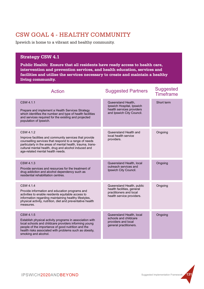## CSW GOAL 4 - HEALTHY COMMUNITY

Ipswich is home to a vibrant and healthy community.

#### **Strategy CSW 4.1**

**Public Health: Ensure that all residents have ready access to health care, intervention and prevention services, and health education, services and facilities and utilise the services necessary to create and maintain a healthy living community.**

| <b>Action</b>                                                                                                                                                                                                                                                                          | <b>Suggested Partners</b>                                                                                       | <b>Suggested</b><br><b>Timeframe</b> |
|----------------------------------------------------------------------------------------------------------------------------------------------------------------------------------------------------------------------------------------------------------------------------------------|-----------------------------------------------------------------------------------------------------------------|--------------------------------------|
| CSW 4.1.1<br>Prepare and implement a Health Services Strategy<br>which identifies the number and type of health facilities<br>and services required for the existing and projected<br>population of Ipswich.                                                                           | Queensland Health,<br>Ipswich Hospital, Ipswich<br>health services providers<br>and Ipswich City Council.       | Short term                           |
| CSW 4.1.2<br>Improve facilities and community services that provide<br>counselling services that respond to a range of needs<br>particularly in the areas of mental health, trauma, trans-<br>cultural mental health, drug and alcohol induced and<br>age-related mental health needs. | Queensland Health and<br>local health service<br>providers.                                                     | Ongoing                              |
| CSW 4.1.3<br>Provide services and resources for the treatment of<br>drug addiction and alcohol dependency such as<br>residential rehabilitation centres.                                                                                                                               | Queensland Health, local<br>outreach services and<br>Ipswich City Council.                                      | Ongoing                              |
| CSW 4.1.4<br>Provide information and education programs and<br>activities to enable residents equitable access to<br>information regarding maintaining healthy lifestyles,<br>physical activity, nutrition, diet and preventative health<br>measures.                                  | Queensland Health, public<br>health facilities, general<br>practitioners and local<br>health service providers. | Ongoing                              |
| CSW 4.1.5<br>Establish physical activity programs in association with<br>local schools and childcare providers informing young<br>people of the importance of good nutrition and the<br>health risks associated with problems such as obesity,<br>smoking and alcohol.                 | Queensland Health, local<br>schools and childcare<br>providers and local<br>general practitioners.              | Ongoing                              |

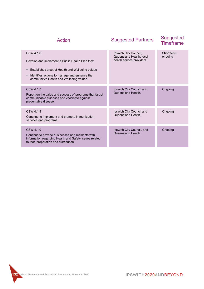| Action                                                                                                                                                                                                            | <b>Suggested Partners</b>                                                      | <b>Suggested</b><br><b>Timeframe</b> |
|-------------------------------------------------------------------------------------------------------------------------------------------------------------------------------------------------------------------|--------------------------------------------------------------------------------|--------------------------------------|
| CSW 4.1.6<br>Develop and implement a Public Health Plan that:<br>Establishes a set of Health and Wellbeing values<br>Identifies actions to manage and enhance the<br>٠<br>community's Health and Wellbeing values | Ipswich City Council,<br>Queensland Health, local<br>health service providers. | Short term.<br>ongoing               |
| CSW 4.1.7<br>Report on the value and success of programs that target<br>communicable diseases and vaccinate against<br>preventable disease.                                                                       | Ipswich City Council and<br>Queensland Health.                                 | Ongoing                              |
| CSW 4.1.8<br>Continue to implement and promote immunisation<br>services and programs.                                                                                                                             | Ipswich City Council and<br>Queensland Health.                                 | Ongoing                              |
| CSW 4.1.9<br>Continue to provide businesses and residents with<br>information regarding Health and Safety issues related<br>to food preparation and distribution.                                                 | Ipswich City Council, and<br>Queensland Health.                                | Ongoing                              |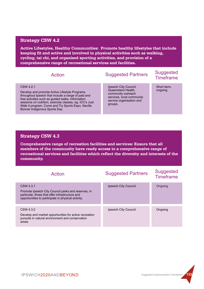#### **Strategy CSW 4.2**

**Active Lifestyles, Healthy Communities: Promote healthy lifestyles that include keeping fit and active and involved in physical activities such as walking, cycling, tai chi, and organised sporting activities, and provision of a comprehensive range of recreational services and facilities.**

# Suggested Partners Suggested Timeframe Action

#### CSW 4.2.1

Develop and promote Active Lifestyle Programs throughout Ipswich that include a range of paid and free activities such as guided walks, information sessions on nutrition, exercise classes, eg. ICC's Just Walk It program, Come and Try Sports Expo, Neville Bonner Indigenous Sports Day.

Ipswich City Council, Queensland Health, community outreach services, local community service organisation and groups.

Short term, ongoing

#### **Strategy CSW 4.3**

**Comprehensive range of recreation facilities and services: Ensure that all members of the community have ready access to a comprehensive range of recreational services and facilities which reflect the diversity and interests of the community.**

| Action                                                                                                                                                                    | <b>Suggested Partners</b> | <b>Suggested</b><br><b>Timeframe</b> |
|---------------------------------------------------------------------------------------------------------------------------------------------------------------------------|---------------------------|--------------------------------------|
| CSW 4.3.1<br>Promote Ipswich City Council parks and reserves, in<br>particular, those that offer infrastructure and<br>opportunities to participate in physical activity. | Ipswich City Council.     | Ongoing                              |
| CSW 4.3.2<br>Develop and market opportunities for active recreation<br>pursuits in natural environment and conservation<br>areas.                                         | Ipswich City Council.     | Ongoing                              |

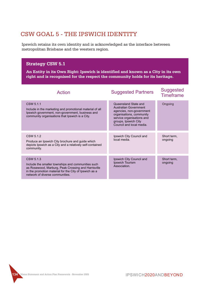## CSW GOAL 5 - THE IPSWICH IDENTITY

Ipswich retains its own identity and is acknowledged as the interface between metropolitan Brisbane and the western region.

#### **Strategy CSW 5.1**

**An Entity in its Own Right: Ipswich is identified and known as a City in its own right and is recognised for the respect the community holds for its heritage.**

| Action                                                                                                                                                                                                              | <b>Suggested Partners</b>                                                                                                                                                                     | <b>Suggested</b><br><b>Timeframe</b> |
|---------------------------------------------------------------------------------------------------------------------------------------------------------------------------------------------------------------------|-----------------------------------------------------------------------------------------------------------------------------------------------------------------------------------------------|--------------------------------------|
| CSW 5.1.1<br>Include in the marketing and promotional material of all<br>Ipswich government, non-government, business and<br>community organisations that Ipswich is a City.                                        | Queensland State and<br><b>Australian Government</b><br>agencies, non-government<br>organisations, community<br>service organisations and<br>groups, Ipswich City<br>Council and local media. | Ongoing                              |
| CSW 5.1.2<br>Produce an Ipswich City brochure and guide which<br>depicts Ipswich as a City and a relatively self-contained<br>community.                                                                            | Ipswich City Council and<br>local media.                                                                                                                                                      | Short term,<br>ongoing               |
| CSW 5.1.3<br>Include the smaller townships and communities such<br>as Rosewood, Marburg, Peak Crossing and Harrisville<br>in the promotion material for the City of Ipswich as a<br>network of diverse communities. | Ipswich City Council and<br>Ipswich Tourism<br>Association.                                                                                                                                   | Short term,<br>ongoing               |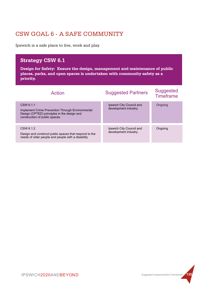## CSW GOAL 6 - A SAFE COMMUNITY

Ipswich is a safe place to live, work and play.

## **Strategy CSW 6.1**

**Design for Safety: Ensure the design, management and maintenance of public places, parks, and open spaces is undertaken with community safety as a priority.**

| Action                                                                                                                                         | <b>Suggested Partners</b>                         | <b>Suggested</b><br>Timeframe |
|------------------------------------------------------------------------------------------------------------------------------------------------|---------------------------------------------------|-------------------------------|
| CSW 6.1.1<br>Implement Crime Prevention Through Environmental<br>Design (CPTED) principles in the design and<br>construction of public spaces. | Ipswich City Council and<br>development industry. | Ongoing                       |
| CSW 6.1.2<br>Design and construct public spaces that respond to the<br>needs of older people and people with a disability.                     | Ipswich City Council and<br>development industry. | Ongoing                       |

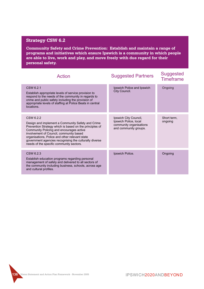### **Strategy CSW 6.2**

**Community Safety and Crime Prevention: Establish and maintain a range of programs and initiatives which ensure Ipswich is a community in which people are able to live, work and play, and move freely with due regard for their personal safety.**

| Action                                                                                                                                                                                                                                                                                                                                                                   | <b>Suggested Partners</b>                                                                          | <b>Suggested</b><br><b>Timeframe</b> |
|--------------------------------------------------------------------------------------------------------------------------------------------------------------------------------------------------------------------------------------------------------------------------------------------------------------------------------------------------------------------------|----------------------------------------------------------------------------------------------------|--------------------------------------|
| CSW 6.2.1<br>Establish appropriate levels of service provision to<br>respond to the needs of the community in regards to<br>crime and public safety including the provision of<br>appropriate levels of staffing at Police Beats in central<br>locations.                                                                                                                | Ipswich Police and Ipswich<br>City Council.                                                        | Ongoing                              |
| CSW 6.2.2<br>Design and implement a Community Safety and Crime<br>Prevention Strategy which is based on the principles of<br>Community Policing and encourages active<br>involvement of Council, community based<br>organisations, Police and other relevant state<br>government agencies recognising the culturally diverse<br>needs of the specific community sectors. | Ipswich City Council,<br>Ipswich Police, local<br>community organisations<br>and community groups. | Short term,<br>ongoing               |
| CSW 6.2.3<br>Establish education programs regarding personal<br>management of safety and delivered to all sectors of<br>the community including business, schools, across age<br>and cultural profiles.                                                                                                                                                                  | Ipswich Police.                                                                                    | Ongoing                              |

**136 Vision Statement and Action Plan Framework - November 2005**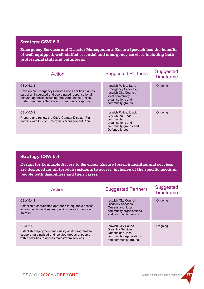#### **Strategy CSW 6.3**

**Emergency Services and Disaster Management: Ensure Ipswich has the benefits of well-equipped, well-staffed essential and emergency services including both professional staff and volunteers.**

| <b>Action</b>                                                                                                                                                                                                                         | <b>Suggested Partners</b>                                                                                                                 | <b>Suggested</b><br><b>Timeframe</b> |
|---------------------------------------------------------------------------------------------------------------------------------------------------------------------------------------------------------------------------------------|-------------------------------------------------------------------------------------------------------------------------------------------|--------------------------------------|
| CSW 6.3.1<br>Develop an Emergency Services and Facilities plan as<br>part of an integrated and coordinated response by all<br>relevant agencies including Fire, Ambulance, Police,<br>State Emergency Service and community response. | Ipswich Police, State<br><b>Emergency Services,</b><br>Ipswich City Council,<br>local community<br>organisations and<br>community groups. | Ongoing                              |
| CSW 6.3.2<br>Prepare and review the City's Counter Disaster Plan<br>and link with District Emergency Management Plan.                                                                                                                 | Ipswich Police, Ipswich<br>City Council, local<br>community<br>organisations and<br>community groups and<br>Defence forces.               | Ongoing                              |

#### **Strategy CSW 6.4**

**Design for Equitable Access to Services: Ensure Ipswich facilities and services are designed for all Ipswich residents to access, inclusive of the specific needs of people with disabilities and their carers.**

| Action                                                                                                                                                                      | <b>Suggested Partners</b>                                                                                                    | <b>Suggested</b><br><b>Timeframe</b> |
|-----------------------------------------------------------------------------------------------------------------------------------------------------------------------------|------------------------------------------------------------------------------------------------------------------------------|--------------------------------------|
| CSW 6.4.1<br>Establish a coordinated approach to equitable access<br>to community facilities and public spaces throughout<br>Ipswich.                                       | Ipswich City Council,<br><b>Disability Services</b><br>Queensland, local<br>community organisations<br>and community groups. | Ongoing                              |
| CSW 6.4.2<br>Establish employment and quality of life programs to<br>support marginalised and isolated groups of people<br>with disabilities to access mainstream services. | Ipswich City Council,<br><b>Disability Services</b><br>Queensland, local<br>community organisations<br>and community groups. | Ongoing                              |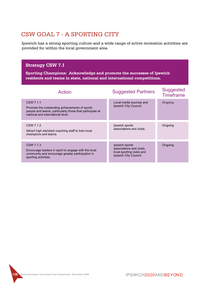## CSW GOAL 7 - A SPORTING CITY

Ipswich has a strong sporting culture and a wide range of active recreation activities are provided for within the local government area.

#### **Strategy CSW 7.1**

**Sporting Champions: Acknowledge and promote the successes of Ipswich residents and teams in state, national and international competitions.**

| Action                                                                                                                                                       | <b>Suggested Partners</b>                                                                      | <b>Suggested</b><br><b>Timeframe</b> |
|--------------------------------------------------------------------------------------------------------------------------------------------------------------|------------------------------------------------------------------------------------------------|--------------------------------------|
| CSW 7.1.1<br>Promote the outstanding achievements of sports<br>people and teams, particularly those that participate at<br>national and international level. | Local media sources and<br>Ipswich City Council.                                               | Ongoing                              |
| CSW 7.1.2<br>Attract high standard coaching staff to train local<br>champions and teams.                                                                     | Ipswich sports<br>associations and clubs.                                                      | Ongoing                              |
| CSW 7.1.3<br>Encourage leaders in sport to engage with the local<br>community and encourage greater participation in<br>sporting activities.                 | Ipswich sports<br>associations and clubs.<br>local sporting clubs and<br>Ipswich City Council. | Ongoing                              |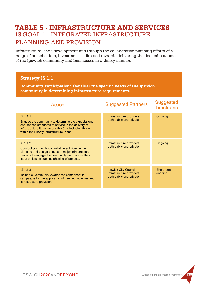## IS GOAL 1 - INTEGRATED INFRASTRUCTURE PLANNING AND PROVISION **TABLE 5 - INFRASTRUCTURE AND SERVICES**

Infrastructure leads development and through the collaborative planning efforts of a range of stakeholders, investment is directed towards delivering the desired outcomes of the Ipswich community and businesses in a timely manner.

#### **Strategy IS 1.1 Community Participation: Consider the specific needs of the Ipswich community in determining infrastructure requirements.** IS 1.1.1. Engage the community to determine the expectations and desired standards of service in the delivery of infrastructure items across the City, including those within the Priority Infrastructure Plans. IS 1.1.3 Include a Community Awareness component in campaigns for the application of new technologies and infrastructure provision. IS 1.1.2 Conduct community consultation activities in the planning and design phases of major infrastructure projects to engage the community and receive their input on issues such as phasing of projects. Infrastructure providers both public and private. Ipswich City Council, Infrastructure providers both public and private. Infrastructure providers both public and private. **Ongoing** Short term, ongoing **Ongoing** Suggested Partners Suggested Timeframe Action

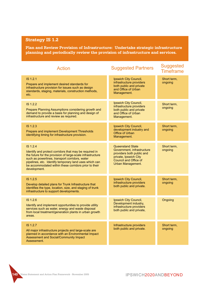**Plan and Review Provision of Infrastructure: Undertake strategic infrastructure planning and periodically review the provision of infrastructure and services.**

| <b>Action</b>                                                                                                                                                                                                                                                                                                         | <b>Suggested Partners</b>                                                                                                                                 | <b>Suggested</b><br><b>Timeframe</b> |
|-----------------------------------------------------------------------------------------------------------------------------------------------------------------------------------------------------------------------------------------------------------------------------------------------------------------------|-----------------------------------------------------------------------------------------------------------------------------------------------------------|--------------------------------------|
| IS 1.2.1<br>Prepare and implement desired standards for<br>infrastructure provision for issues such as design<br>standards, staging, materials, construction methods,<br>etc.                                                                                                                                         | Ipswich City Council,<br>infrastructure providers<br>both public and private<br>and Office of Urban<br>Management.                                        | Short term,<br>ongoing               |
| IS 1.2.2<br>Prepare Planning Assumptions considering growth and<br>demand to provide a basis for planning and design of<br>infrastructure and review as required.                                                                                                                                                     | Ipswich City Council,<br>infrastructure providers<br>both public and private<br>and Office of Urban<br>Management.                                        | Short term,<br>ongoing               |
| IS 1.2.3<br>Prepare and implement Development Thresholds<br>identifying timing for infrastructure provision.                                                                                                                                                                                                          | Ipswich City Council,<br>development industry and<br>Office of Urban<br>Management.                                                                       | Short term,<br>ongoing               |
| IS 1.2.4<br>Identify and protect corridors that may be required in<br>the future for the provision of large-scale infrastructure<br>such as powerlines, transport corridors, water<br>pipelines, etc. Identify temporary land uses which can<br>be accommodated within these corridors prior to their<br>development. | <b>Queensland State</b><br>Government, infrastructure<br>providers both public and<br>private, Ipswich City<br>Council and Office of<br>Urban Management. | Short term,<br>ongoing               |
| IS 1.2.5<br>Develop detailed plans for Trunk Infrastructure that<br>identifies the type, location, size, and staging of trunk<br>infrastructure to support developments.                                                                                                                                              | Ipswich City Council,<br>infrastructure providers<br>both public and private.                                                                             | Short term,<br>ongoing               |
| IS 1.2.6<br>Identify and implement opportunities to provide utility<br>services such as water, energy and waste disposal<br>from local treatment/generation plants in urban growth<br>areas.                                                                                                                          | Ipswich City Council,<br>Development industry,<br>infrastructure providers<br>both public and private,                                                    | Ongoing                              |
| IS 1.2.7<br>All major infrastructure projects and large-scale are<br>planned in accordance with an Environmental Impact<br><b>Assessment and Social/Community Impact</b><br>Assessment.                                                                                                                               | Infrastructure providers<br>both public and private.                                                                                                      | Short term,<br>ongoing               |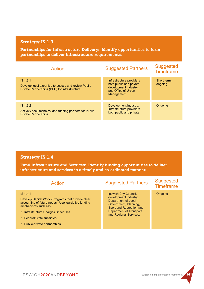**Partnerships for Infrastructure Delivery: Identify opportunities to form partnerships to deliver infrastructure requirements.**

| Action                                                                                                              | <b>Suggested Partners</b>                                                                                          | <b>Suggested</b><br><b>Timeframe</b> |
|---------------------------------------------------------------------------------------------------------------------|--------------------------------------------------------------------------------------------------------------------|--------------------------------------|
| $IS$ 1.3.1<br>Develop local expertise to assess and review Public<br>Private Partnerships (PPP) for infrastructure. | Infrastructure providers<br>both public and private,<br>development industry<br>and Office of Urban<br>Management. | Short term,<br>ongoing               |
|                                                                                                                     |                                                                                                                    |                                      |
| $IS$ 1.3.2<br>Actively seek technical and funding partners for Public<br><b>Private Partnerships.</b>               | Development industry.<br>Infrastructure providers<br>both public and private.                                      | Ongoing                              |

#### **Strategy IS 1.4**

**Fund Infrastructure and Services: Identify funding opportunities to deliver infrastructure and services in a timely and co-ordinated manner.**

| Action                                                                                                                                                                                                                                            | <b>Suggested Partners</b>                                                                                                                                                       | <b>Suggested</b><br><b>Timeframe</b> |
|---------------------------------------------------------------------------------------------------------------------------------------------------------------------------------------------------------------------------------------------------|---------------------------------------------------------------------------------------------------------------------------------------------------------------------------------|--------------------------------------|
| IS 1.4.1<br>Develop Capital Works Programs that provide clear<br>accounting of future needs. Use legislative funding<br>mechanisms such as:-<br>• Infrastructure Charges Schedules<br>◆ Federal/State subsidies<br>• Public-private partnerships. | Ipswich City Council.<br>development industry,<br>Department of Local<br>Government, Planning,<br>Sport and Recreation and<br>Department of Transport<br>and Regional Services. | Ongoing                              |

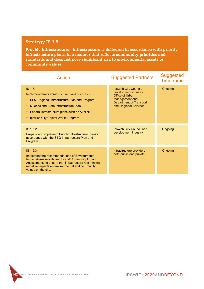**Provide Infrastructure: Infrastructure is delivered in accordance with priority infrastructure plans, in a manner that reflects community priorities and standards and does not pose significant risk to environmental assets or community values.**

| Action                                                                                                                                                                                                                                                 | <b>Suggested Partners</b>                                                                                                                | <b>Suggested</b><br><b>Timeframe</b> |
|--------------------------------------------------------------------------------------------------------------------------------------------------------------------------------------------------------------------------------------------------------|------------------------------------------------------------------------------------------------------------------------------------------|--------------------------------------|
| IS 1.5.1<br>Implement major infrastructure plans such as:-<br>SEQ Regional Infrastructure Plan and Program<br>٠<br>Queensland State Infrastructure Plan<br>• Federal infrastructure plans such as Auslink<br>Ipswich City Capital Works Program        | Ipswich City Council,<br>development industry,<br>Office of Urban<br>Management and<br>Department of Transport<br>and Regional Services. | Ongoing                              |
| IS <sub>1.5.2</sub><br>Prepare and implement Priority Infrastructure Plans in<br>accordance with the SEQ Infrastructure Plan and<br>Program.                                                                                                           | Ipswich City Council and<br>development industry.                                                                                        | Ongoing                              |
| IS 1.5.3<br>Implement the recommendations of Environmental<br><b>Impact Assessments and Social/Community Impact</b><br>Assessments to ensure that infrastructure has minimal<br>negative impacts on environmental and community<br>values on the site. | Infrastructure providers<br>both public and private.                                                                                     | Ongoing                              |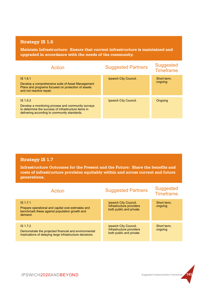**Maintain Infrastructure: Ensure that current infrastructure is maintained and upgraded in accordance with the needs of the community.**

| Action                                                                                                                                                                | <b>Suggested Partners</b> | <b>Suggested</b><br><b>Timeframe</b> |
|-----------------------------------------------------------------------------------------------------------------------------------------------------------------------|---------------------------|--------------------------------------|
| IS 1.6.1<br>Develop a comprehensive suite of Asset Management<br>Plans and programs focused on protection of assets<br>and not reactive repair.                       | Ipswich City Council.     | Short term.<br>ongoing               |
| IS 1.6.2<br>Develop a monitoring process and community surveys<br>to determine the success of infrastructure items in<br>delivering according to community standards. | Ipswich City Council.     | Ongoing                              |

#### **Strategy IS 1.7**

**Infrastructure Outcomes for the Present and the Future: Share the benefits and costs of infrastructure provision equitably within and across current and future generations.**

| Action                                                                                                                        | <b>Suggested Partners</b>                                                     | <b>Suggested</b><br><b>Timeframe</b> |
|-------------------------------------------------------------------------------------------------------------------------------|-------------------------------------------------------------------------------|--------------------------------------|
| IS 1.7.1<br>Prepare operational and capital cost estimates and<br>benchmark these against population growth and<br>demand.    | Ipswich City Council,<br>Infrastructure providers<br>both public and private. | Short term.<br>ongoing               |
|                                                                                                                               |                                                                               |                                      |
| IS 1.7.2<br>Demonstrate the projected financial and environmental<br>implications of delaying large infrastructure decisions. | Ipswich City Council,<br>Infrastructure providers<br>both public and private. | Short term,<br>ongoing               |

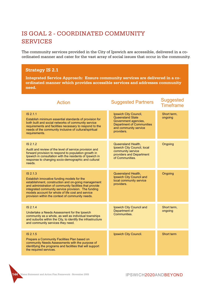# IS GOAL 2 - COORDINATED COMMUNITY SERVICES

The community services provided in the City of Ipswich are accessible, delivered in a coordinated manner and cater for the vast array of social issues that occur in the community.

### **Strategy IS 2.1**

**Integrated Service Approach: Ensure community services are delivered in a coordinated manner which provides accessible services and addresses community need.**

| Action                                                                                                                                                                                                                                                                                                                                    | <b>Suggested Partners</b>                                                                                                                    | <b>Suggested</b><br><b>Timeframe</b> |
|-------------------------------------------------------------------------------------------------------------------------------------------------------------------------------------------------------------------------------------------------------------------------------------------------------------------------------------------|----------------------------------------------------------------------------------------------------------------------------------------------|--------------------------------------|
| IS 2.1.1<br>Establish minimum essential standards of provision for<br>both built and social networks of community service<br>requirements and facilities necessary to respond to the<br>needs of the community inclusive of cultural/spiritual<br>requirements.                                                                           | Ipswich City Council,<br>Queensland State<br>Government agencies,<br><b>Department of Communities</b><br>and community service<br>providers. | Short term,<br>ongoing               |
| IS 2.1.2<br>Audit and review of the level of service provision and<br>forward provision to respond to population growth in<br>Ipswich in consultation with the residents of Ipswich in<br>response to changing socio-demographic and cultural<br>needs.                                                                                   | Queensland Health,<br>Ipswich City Council, local<br>community service<br>providers and Department<br>of Communities.                        | Ongoing                              |
| IS 2.1.3<br>Establish innovative funding models for the<br>establishment, construction and on-going management<br>and administration of community facilities that provide<br>integrated community service provision. The funding<br>models account for whole of life cost and service<br>provision within the context of community needs. | Queensland Health,<br>Ipswich City Council and<br>local community service<br>providers.                                                      | Ongoing                              |
| IS 2.1.4<br>Undertake a Needs Assessment for the Ipswich<br>community as a whole, as well as individual townships<br>and suburbs within the City, to identify the infrastructure<br>and community services they need.                                                                                                                     | Ipswich City Council and<br>Department of<br>Communities.                                                                                    | Short term,<br>ongoing               |
| IS 2.1.5<br>Prepare a Community Facilities Plan based on<br>community Needs Assessments with the purpose of<br>identifying the programs and facilities that will support<br>the required services.                                                                                                                                        | Ipswich City Council.                                                                                                                        | Short term                           |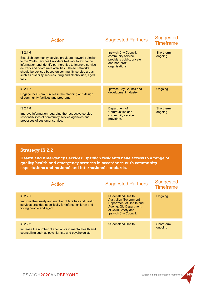| <b>Action</b>                                                                                                                                                                                                                                                                                                                                                           | <b>Suggested Partners</b>                                                                                   | <b>Suggested</b><br><b>Timeframe</b> |
|-------------------------------------------------------------------------------------------------------------------------------------------------------------------------------------------------------------------------------------------------------------------------------------------------------------------------------------------------------------------------|-------------------------------------------------------------------------------------------------------------|--------------------------------------|
| $IS$ 2.1.6<br>Establish community service providers networks similar<br>to the Youth Services Providers Network to exchange<br>information and identify partnerships to improve service<br>delivery and coordinate activities. These networks<br>should be devised based on community service areas<br>such as disability services, drug and alcohol use, aged<br>care. | Ipswich City Council,<br>community service<br>providers public, private<br>and non-profit<br>organisations. | Short term,<br>ongoing               |
| IS 2.1.7<br>Engage local communities in the planning and design<br>of community facilities and programs.                                                                                                                                                                                                                                                                | Ipswich City Council and<br>development industry.                                                           | Ongoing                              |
| IS 2.1.8<br>Improve information regarding the respective service<br>responsibilities of community service agencies and<br>processes of customer service.                                                                                                                                                                                                                | Department of<br>Communities and<br>community service<br>providers.                                         | Short term,<br>ongoing               |

**Health and Emergency Services: Ipswich residents have access to a range of quality health and emergency services in accordance with community expectations and national and international standards.**

| <b>Action</b>                                                                                                                                               | <b>Suggested Partners</b>                                                                                                                                | <b>Suggested</b><br><b>Timeframe</b> |
|-------------------------------------------------------------------------------------------------------------------------------------------------------------|----------------------------------------------------------------------------------------------------------------------------------------------------------|--------------------------------------|
| $IS$ 2.2.1<br>Improve the quality and number of facilities and health<br>services provided specifically for infants, children and<br>young people and aged. | Queensland Health,<br><b>Australian Government</b><br>Department of Health and<br>Ageing, Qld Department<br>of Child Safety and<br>Ipswich City Council. | Ongoing                              |
| IS 2.2.2<br>Increase the number of specialists in mental health and<br>counselling such as psychiatrists and psychologists.                                 | Queensland Health.                                                                                                                                       | Short term.<br>ongoing               |

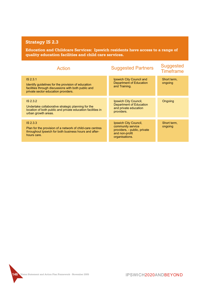**Education and Childcare Services: Ipswich residents have access to a range of quality education facilities and child care services.**

| <b>Action</b>                                                                                                                                                | <b>Suggested Partners</b>                                                                                      | <b>Suggested</b><br><b>Timeframe</b> |
|--------------------------------------------------------------------------------------------------------------------------------------------------------------|----------------------------------------------------------------------------------------------------------------|--------------------------------------|
| IS 2.3.1<br>Identify guidelines for the provision of education<br>facilities through discussions with both public and<br>private sector education providers. | Ipswich City Council and<br>Department of Education<br>and Training.                                           | Short term,<br>ongoing               |
| IS 2.3.2<br>Undertake collaborative strategic planning for the<br>location of both public and private education facilities in<br>urban growth areas.         | Ipswich City Council,<br>Department of Education<br>and private education<br>providers.                        | Ongoing                              |
| $IS$ 2.3.3<br>Plan for the provision of a network of child-care centres<br>throughout Ipswich for both business hours and after-<br>hours care.              | Ipswich City Council,<br>community service<br>providers, - public, private<br>and non-profit<br>organisations. | Short term,<br>ongoing               |

**146 Vision Statement and Action Plan Framework - November 2005**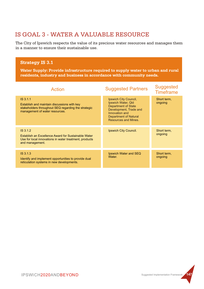# IS GOAL 3 - WATER A VALUABLE RESOURCE

The City of Ipswich respects the value of its precious water resources and manages them in a manner to ensure their sustainable use.

#### **Strategy IS 3.1**

**Water Supply: Provide infrastructure required to supply water to urban and rural residents, industry and business in accordance with community needs.**

| Action                                                                                                                                           | <b>Suggested Partners</b>                                                                                                                                              | <b>Suggested</b><br><b>Timeframe</b> |
|--------------------------------------------------------------------------------------------------------------------------------------------------|------------------------------------------------------------------------------------------------------------------------------------------------------------------------|--------------------------------------|
| IS 3.1.1<br>Establish and maintain discussions with key<br>stakeholders throughout SEQ regarding the strategic<br>management of water resources. | Ipswich City Council,<br>Ipswich Water, Qld<br><b>Department of State</b><br>Development, Trade and<br>Innovation and<br>Department of Natural<br>Resources and Mines. | Short term,<br>ongoing               |
| IS.3.1.2<br>Establish an Excellence Award for Sustainable Water<br>Use for local innovations in water treatment, products<br>and management.     | Ipswich City Council.                                                                                                                                                  | Short term,<br>ongoing               |
| IS.3.1.3<br>Identify and implement opportunities to provide dual<br>reticulation systems in new developments.                                    | Ipswich Water and SEQ<br>Water.                                                                                                                                        | Short term,<br>ongoing               |

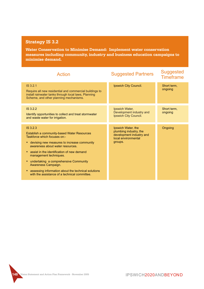**Water Conservation to Minimise Demand: Implement water conservation measures including community, industry and business education campaigns to minimise demand.**

| Action                                                                                                                                                                                                                                                                                                                                                                                                                                      | <b>Suggested Partners</b>                                                                                  | <b>Suggested</b><br><b>Timeframe</b> |
|---------------------------------------------------------------------------------------------------------------------------------------------------------------------------------------------------------------------------------------------------------------------------------------------------------------------------------------------------------------------------------------------------------------------------------------------|------------------------------------------------------------------------------------------------------------|--------------------------------------|
| IS 3.2.1<br>Require all new residential and commercial buildings to<br>install rainwater tanks through local laws, Planning<br>Scheme, and other planning mechanisms.                                                                                                                                                                                                                                                                       | Ipswich City Council.                                                                                      | Short term,<br>ongoing               |
| IS 3.2.2<br>Identify opportunities to collect and treat stormwater<br>and waste water for irrigation.                                                                                                                                                                                                                                                                                                                                       | Ipswich Water,<br>Development industry and<br>Ipswich City Council.                                        | Short term,<br>ongoing               |
| IS 3.2.3<br>Establish a community-based Water Resources<br>Taskforce which focuses on:-<br>devising new measures to increase community<br>٠<br>awareness about water resources.<br>assist in the identification of new demand<br>٠<br>management techniques.<br>undertaking a comprehensive Community<br>٠<br>Awareness Campaign.<br>• assessing information about the technical solutions<br>with the assistance of a technical committee. | Ipswich Water, the<br>plumbing industry, the<br>development industry and<br>local environmental<br>groups. | Ongoing                              |

**148 143 149**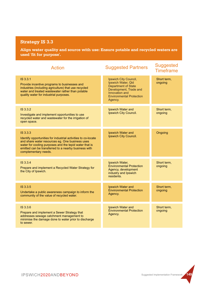**Align water quality and source with use: Ensure potable and recycled waters are used 'fit for purpose'.**

| <b>Action</b>                                                                                                                                                                                                                                                          | <b>Suggested Partners</b>                                                                                                                                           | <b>Suggested</b><br><b>Timeframe</b> |
|------------------------------------------------------------------------------------------------------------------------------------------------------------------------------------------------------------------------------------------------------------------------|---------------------------------------------------------------------------------------------------------------------------------------------------------------------|--------------------------------------|
| IS 3.3.1<br>Provide incentive programs to businesses and<br>industries (including agriculture) that use recycled<br>water and treated wastewater rather than potable<br>quality water for industrial purposes.                                                         | Ipswich City Council,<br>Ipswich Water, Qld<br><b>Department of State</b><br>Development, Trade and<br>Innovation and<br><b>Environmental Protection</b><br>Agency. | Short term,<br>ongoing               |
| IS 3.3.2<br>Investigate and implement opportunities to use<br>recycled water and wastewater for the irrigation of<br>open space.                                                                                                                                       | Ipswich Water and<br>Ipswich City Council.                                                                                                                          | Short term,<br>ongoing               |
| IS 3.3.3<br>Identify opportunities for industrial activities to co-locate<br>and share water resources eg. One business uses<br>water for cooling purposes and the tepid water that is<br>emitted can be transferred to a nearby business with<br>complementary needs. | Ipswich Water and<br>Ipswich City Council.                                                                                                                          | Ongoing                              |
| IS 3.3.4<br>Prepare and implement a Recycled Water Strategy for<br>the City of Ipswich.                                                                                                                                                                                | Ipswich Water,<br><b>Environmental Protection</b><br>Agency, development<br>industry and Ipswich<br>residents.                                                      | Short term,<br>ongoing               |
| IS 3.3.5<br>Undertake a public awareness campaign to inform the<br>community of the value of recycled water.                                                                                                                                                           | Ipswich Water and<br><b>Environmental Protection</b><br>Agency.                                                                                                     | Short term,<br>ongoing               |
| IS 3.3.6<br>Prepare and implement a Sewer Strategy that<br>addresses sewage catchment management to<br>minimise the damage done to water prior to discharge<br>to sewer.                                                                                               | Ipswich Water and<br><b>Environmental Protection</b><br>Agency.                                                                                                     | Short term,<br>ongoing               |

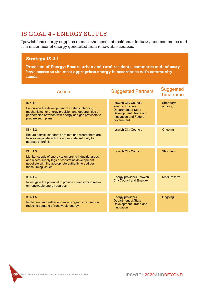### IS GOAL 4 - ENERGY SUPPLY

Ipswich has energy supplies to meet the needs of residents, industry and commerce and is a major user of energy generated from renewable sources.

### **Strategy IS 4.1**

**Provision of Energy: Ensure urban and rural residents, commerce and industry have access to the most appropriate energy in accordance with community needs.**

| <b>Action</b>                                                                                                                                                                                                  | <b>Suggested Partners</b>                                                                                                                          | <b>Suggested</b><br><b>Timeframe</b> |
|----------------------------------------------------------------------------------------------------------------------------------------------------------------------------------------------------------------|----------------------------------------------------------------------------------------------------------------------------------------------------|--------------------------------------|
| IS 4.1.1<br>Encourage the development of strategic planning<br>mechanisms for energy provision and opportunities of<br>partnerships between with energy and gas providers to<br>prepare such plans.            | Ipswich City Council,<br>energy providers,<br><b>Department of State</b><br>Development, Trade and<br><b>Innovation and Federal</b><br>government. | Short term,<br>ongoing               |
| IS 4.1.2<br>Ensure service standards are met and where there are<br>failures negotiate with the appropriate authority to<br>address shortfalls.                                                                | Ipswich City Council.                                                                                                                              | Ongoing                              |
| IS <sub>4.1.3</sub><br>Monitor supply of energy to emerging industrial areas<br>and where supply lags or constrains development<br>negotiate with the appropriate authority to address<br>these timing issues. | Ipswich City Council.                                                                                                                              | Short term                           |
| IS 4.1.4<br>Investigate the potential to provide street lighting reliant<br>on renewable energy sources.                                                                                                       | Energy providers, Ipswich<br><b>City Council and Energex.</b>                                                                                      | Medium term                          |
| IS 4.1.5<br>Implement and further enhance programs focused on<br>reducing demand of renewable energy.                                                                                                          | Energy providers,<br><b>Department of State</b><br>Development, Trade and<br>Innovation.                                                           | Ongoing                              |

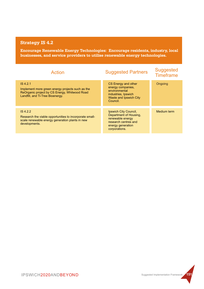**Encourage Renewable Energy Technologies: Encourage residents, industry, local businesses, and service providers to utilise renewable energy technologies.**

| Action                                                                                                                                             | <b>Suggested Partners</b>                                                                                                         | <b>Suggested</b><br><b>Timeframe</b> |
|----------------------------------------------------------------------------------------------------------------------------------------------------|-----------------------------------------------------------------------------------------------------------------------------------|--------------------------------------|
| IS 4.2.1<br>Implement more green energy projects such as the<br>ReOrganic project by CS Energy, Whitwood Road<br>Landfill, and Ti-Tree Bioenergy.  | CS Energy and other<br>energy companies,<br>environmental<br>industries, Ipswich<br>Waste and Ipswich City<br>Council.            | Ongoing                              |
| IS <sub>4.2.2</sub><br>Research the viable opportunities to incorporate small-<br>scale renewable energy generation plants in new<br>developments. | Ipswich City Council,<br>Department of Housing,<br>renewable energy<br>research centres and<br>energy generation<br>corporations. | Medium term                          |

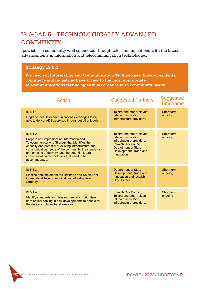# IS GOAL 5 - TECHNOLOGICALLY ADVANCED COMMUNITY

Ipswich is a community well connected through telecommunications with the latest advancements in information and telecommunication technologies.

#### **Strategy IS 5.1**

**Provision of Information and Communication Technologies: Ensure residents, commerce and industries have access to the most appropriate telecommunications technologies in accordance with community needs.**

| Action                                                                                                                                                                                                                                                                                                                                       | <b>Suggested Partners</b>                                                                                                                                                    | <b>Suggested</b><br><b>Timeframe</b> |
|----------------------------------------------------------------------------------------------------------------------------------------------------------------------------------------------------------------------------------------------------------------------------------------------------------------------------------------------|------------------------------------------------------------------------------------------------------------------------------------------------------------------------------|--------------------------------------|
| IS 5.1.1<br>Upgrade local telecommunications exchanges to be<br>able to deliver ADSL services throughout all of Ipswich.                                                                                                                                                                                                                     | Telstra and other relevant<br>telecommunication<br>infrastructure providers.                                                                                                 | Short term,<br>ongoing               |
| IS 5.1.2<br>Prepare and implement an Information and<br>Telecommunications Strategy that identifies the<br>capacity and potential of existing infrastructure, the<br>communication needs of the community, the standards<br>and phasing of delivery, and the potential future<br>communication technologies that need to be<br>accommodated. | Telstra and other relevant<br>telecommunication<br>infrastructure providers,<br>Ipswich City Council,<br><b>Department of State</b><br>Development, Trade and<br>Innovation. | Short term.<br>ongoing               |
| IS 5.1.3<br>Finalise and implement the Brisbane and South East<br>Queensland Telecommunications Infrastructure<br>Strategy.                                                                                                                                                                                                                  | <b>Department of State</b><br>Development, Trade and<br>Innovation and Ipswich<br>City Council.                                                                              | Short term,<br>ongoing               |
| IS 5.1.4<br>Identify standards for infrastructure which prioritises<br>fibre optical cabling in new developments to enable for<br>the delivery of broadband services.                                                                                                                                                                        | Ipswich City Council,<br>Telstra and other relevant<br>telecommunication<br>infrastructure providers.                                                                        | Short term.<br>ongoing               |

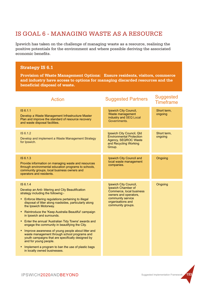### IS GOAL 6 - MANAGING WASTE AS A RESOURCE

Ipswich has taken on the challenge of managing waste as a resource, realising the positive potentials for the environment and where possible deriving the associated economic benefits.

#### **Strategy IS 6.1**

**Provision of Waste Management Options: Ensure residents, visitors, commerce and industry have access to options for managing discarded resources and the beneficial disposal of waste.**

| <b>Action</b>                                                                                                                                                                                                                                                                                                                                                                                                                                                                                                                                                                                                                                                                                                                | <b>Suggested Partners</b>                                                                                                                                       | <b>Suggested</b><br><b>Timeframe</b> |
|------------------------------------------------------------------------------------------------------------------------------------------------------------------------------------------------------------------------------------------------------------------------------------------------------------------------------------------------------------------------------------------------------------------------------------------------------------------------------------------------------------------------------------------------------------------------------------------------------------------------------------------------------------------------------------------------------------------------------|-----------------------------------------------------------------------------------------------------------------------------------------------------------------|--------------------------------------|
| IS 6.1.1<br>Develop a Waste Management Infrastructure Master<br>Plan and improve the standard of resource recovery<br>and waste disposal facilities.                                                                                                                                                                                                                                                                                                                                                                                                                                                                                                                                                                         | Ipswich City Council,<br>Waste management<br>industry and SEQ Local<br>Governments.                                                                             | Short term,<br>ongoing               |
| IS 6.1.2<br>Develop and implement a Waste Management Strategy<br>for Ipswich.                                                                                                                                                                                                                                                                                                                                                                                                                                                                                                                                                                                                                                                | Ipswich City Council, Qld<br><b>Environmental Protection</b><br><b>Agency, SEQROC Waste</b><br>and Recycling Working<br>Group.                                  | Short term,<br>ongoing               |
| IS 6.1.3<br>Provide information on managing waste and resources<br>through environmental education programs to schools,<br>community groups, local business owners and<br>operators and residents.                                                                                                                                                                                                                                                                                                                                                                                                                                                                                                                           | Ipswich City Council and<br>local waste management<br>companies.                                                                                                | Ongoing                              |
| IS 6.1.4<br>Develop an Anti- littering and City Beautification<br>strategy including the following:-<br>• Enforce littering regulations pertaining to illegal<br>disposal of litter along roadsides, particularly along<br>the Ipswich Motorway.<br>• Reintroduce the 'Keep Australia Beautiful' campaign<br>in Ipswich and surrounds.<br>• Enter the annual 'Australian Tidy Towns' awards and<br>engage the community in beautifying the City.<br>• Improve awareness of young people about litter and<br>waste management through school programs and<br>youth campaigns that are specifically designed by<br>and for young people.<br>Implement a program to ban the use of plastic bags<br>in locally owned businesses. | Ipswich City Council,<br>Ipswich Chamber of<br>Commerce, local business<br>owners and operators,<br>community service<br>organisations and<br>community groups. | Ongoing                              |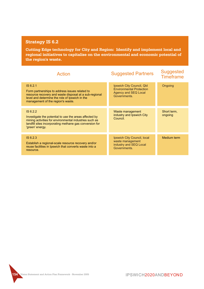**Cutting Edge technology for City and Region: Identify and implement local and regional initiatives to capitalise on the environmental and economic potential of the region's waste.**

| Action                                                                                                                                                                                                      | <b>Suggested Partners</b>                                                                            | <b>Suggested</b><br><b>Timeframe</b> |
|-------------------------------------------------------------------------------------------------------------------------------------------------------------------------------------------------------------|------------------------------------------------------------------------------------------------------|--------------------------------------|
| IS 6.2.1<br>Form partnerships to address issues related to<br>resource recovery and waste disposal at a sub-regional<br>level and determine the role of Ipswich in the<br>management of the region's waste. | Ipswich City Council, Qld<br><b>Environmental Protection</b><br>Agency and SEQ Local<br>Governments. | Ongoing                              |
| IS 6.2.2<br>Investigate the potential to use the areas affected by<br>mining activities for environmental industries such as<br>landfill sites incorporating methane gas conversion for<br>'green' energy.  | Waste management<br>industry and Ipswich City<br>Council.                                            | Short term,<br>ongoing               |
| IS 6.2.3<br>Establish a regional-scale resource recovery and/or<br>reuse facilities in Ipswich that converts waste into a<br>resource.                                                                      | Ipswich City Council, local<br>waste management<br>industry and SEQ Local<br>Governments.            | Medium term                          |

```
154 Vision Statement and Action Plan Framework - November 2005
```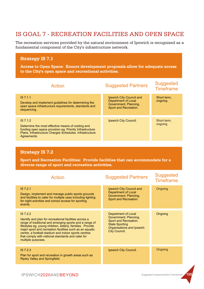## IS GOAL 7 - RECREATION FACILITIES AND OPEN SPACE

The recreation services provided by the natural environment of Ipswich is recognized as a fundamental component of the City's infrastructure network.

#### **Strategy IS 7.1**

**Access to Open Space: Ensure development proposals allow for adequate access to the City's open space and recreational activities.**

| Action                                                                                                                                                                                              | <b>Suggested Partners</b>                                                                         | <b>Suggested</b><br><b>Timeframe</b> |
|-----------------------------------------------------------------------------------------------------------------------------------------------------------------------------------------------------|---------------------------------------------------------------------------------------------------|--------------------------------------|
| IS 7.1.1<br>Develop and implement quidelines for determining the<br>open space infrastructure requirements, standards and<br>sequencing.                                                            | Ipswich City Council and<br>Department of Local<br>Government, Planning,<br>Sport and Recreation. | Short term.<br>ongoing               |
| IS 7.1.2<br>Determine the most effective means of costing and<br>funding open space provision eg. Priority Infrastructure<br>Plans, Infrastructure Charges Schedules, Infrastructure<br>Agreements. | Ipswich City Council.                                                                             | Short term,<br>ongoing               |

#### **Strategy IS 7.2**

**Sport and Recreation Facilities: Provide facilities that can accommodate for a diverse range of sport and recreation activities.**

| <b>Action</b>                                                                                                                                                                                                                                                                                                                                                                             | <b>Suggested Partners</b>                                                                                                                    | <b>Suggested</b><br><b>Timeframe</b> |
|-------------------------------------------------------------------------------------------------------------------------------------------------------------------------------------------------------------------------------------------------------------------------------------------------------------------------------------------------------------------------------------------|----------------------------------------------------------------------------------------------------------------------------------------------|--------------------------------------|
| IS 7.2.1<br>Design, implement and manage public sports grounds<br>and facilities to cater for multiple uses including lighting<br>for night activities and school access for sporting<br>events.                                                                                                                                                                                          | Ipswich City Council and<br>Department of Local<br>Government, Planning,<br>Sport and Recreation.                                            | Ongoing                              |
| IS 7.2.2<br>Identify and plan for recreational facilities across a<br>range of traditional and emerging sports and a range of<br>lifestyles eg. young children, elderly, families. Provide<br>major sport and recreation facilities such as an aquatic<br>centre, a football stadium and indoor sports centres<br>that comply with national standards and cater for<br>multiple purposes. | Department of Local<br>Government, Planning,<br>Sport and Recreation,<br><b>State Sporting</b><br>Organisations and Ipswich<br>City Council. | Ongoing                              |
| ISZ.2.3<br>Plan for sport and recreation in growth areas such as<br><b>Ripley Valley and Springfield.</b>                                                                                                                                                                                                                                                                                 | Ipswich City Council.                                                                                                                        | Ongoing                              |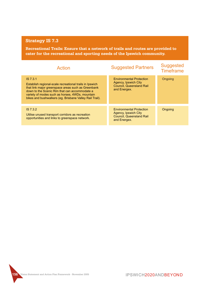**Recreational Trails: Ensure that a network of trails and routes are provided to cater for the recreational and sporting needs of the Ipswich community.**

| Action                                                                                                                                                                                                                                                                                   | <b>Suggested Partners</b>                                                                                  | <b>Suggested</b><br><b>Timeframe</b> |
|------------------------------------------------------------------------------------------------------------------------------------------------------------------------------------------------------------------------------------------------------------------------------------------|------------------------------------------------------------------------------------------------------------|--------------------------------------|
| IS 7.3.1<br>Establish regional-scale recreational trails in Ipswich<br>that link major greenspace areas such as Greenbank<br>down to the Scenic Rim that can accommodate a<br>variety of modes such as horses, 4WDs, mountain<br>bikes and bushwalkers (eq. Brisbane Valley Rail Trail). | <b>Environmental Protection</b><br>Agency, Ipswich City<br><b>Council, Queensland Rail</b><br>and Energex. | Ongoing                              |
|                                                                                                                                                                                                                                                                                          |                                                                                                            |                                      |
| IS7.3.2<br>Utilise unused transport corridors as recreation<br>opportunities and links to greenspace network.                                                                                                                                                                            | <b>Environmental Protection</b><br>Agency, Ipswich City<br><b>Council, Queensland Rail</b><br>and Energex. | Ongoing                              |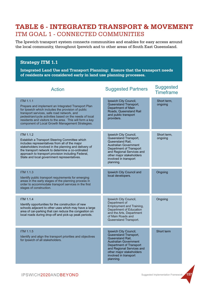# ITM GOAL 1 - CONNECTED COMMUNITIES **TABLE 6 - INTEGRATED TRANSPORT & MOVEMENT**

The Ipswich transport system connects communities and enables for easy access around the local community, throughout Ipswich and to other areas of South East Queensland.

#### **Strategy ITM 1.1**

**Integrated Land Use and Transport Planning: Ensure that the transport needs of residents are considered early in land use planning processes.**

| Action                                                                                                                                                                                                                                                                                                                                                | <b>Suggested Partners</b>                                                                                                                                                                                                           | <b>Suggested</b><br><b>Timeframe</b> |
|-------------------------------------------------------------------------------------------------------------------------------------------------------------------------------------------------------------------------------------------------------------------------------------------------------------------------------------------------------|-------------------------------------------------------------------------------------------------------------------------------------------------------------------------------------------------------------------------------------|--------------------------------------|
| <b>ITM 1.1.1</b><br>Prepare and implement an Integrated Transport Plan<br>for Ipswich which includes the provision of public<br>transport services, safe road network, and<br>pedestrian/cycle activities based on the needs of local<br>residents and visitors to the area. This will form a key<br>component of Local Growth Management Strategies. | Ipswich City Council,<br>Queensland Transport,<br><b>Department of Main</b><br>Roads, Queensland Rail<br>and public transport<br>providers.                                                                                         | Short term,<br>ongoing               |
| <b>ITM 1.1.2</b><br>Establish a Transport Steering Committee which<br>includes representatives from all of the major<br>stakeholders involved in the planning and delivery of<br>the transport network to determine a co-ordinated<br>approach to transport provision including Federal,<br>State and local government representatives.               | Ipswich City Council,<br>Queensland Transport,<br>Queensland Rail,<br><b>Australian Government</b><br>Department of Transport<br>and Regional Services and<br>other major stakeholders<br>involved in transport<br>planning.        | Short term,<br>ongoing               |
| <b>ITM 1.1.3</b><br>Identify public transport requirements for emerging<br>areas in the early stages of the planning process in<br>order to accommodate transport services in the first<br>stages of construction.                                                                                                                                    | Ipswich City Council and<br>local developers.                                                                                                                                                                                       | Ongoing                              |
| <b>ITM 1.1.4</b><br>Identify opportunities for the construction of new<br>schools adjacent to other uses which may have a large<br>area of car-parking that can reduce the congestion on<br>local roads during drop-off and pick-up peak periods.                                                                                                     | Ipswich City Council,<br>Department of<br>Employment and Training,<br>Department of Education<br>and the Arts, Department<br>of Main Roads and<br>Queensland Transport.                                                             | Ongoing                              |
| <b>ITM 1.1.5</b><br>Identify and align the transport priorities and objectives<br>for Ipswich of all stakeholders.                                                                                                                                                                                                                                    | Ipswich City Council,<br>Queensland Transport,<br>Queensland Rail,<br><b>Australian Government</b><br><b>Department of Transport</b><br>and Regional Services and<br>other major stakeholders<br>involved in transport<br>planning. | Short term                           |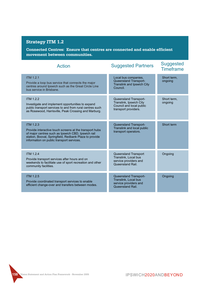**Connected Centres: Ensure that centres are connected and enable efficient movement between communities.**

| <b>Action</b>                                                                                                                                                                                                                            | <b>Suggested Partners</b>                                                                            | <b>Suggested</b><br><b>Timeframe</b> |
|------------------------------------------------------------------------------------------------------------------------------------------------------------------------------------------------------------------------------------------|------------------------------------------------------------------------------------------------------|--------------------------------------|
| <b>ITM 1.2.1</b><br>Provide a loop bus service that connects the major<br>centres around Ipswich such as the Great Circle Line<br>bus service in Brisbane.                                                                               | Local bus companies,<br>Queensland Transport-<br><b>Translink and Ipswich City</b><br>Council.       | Short term,<br>ongoing               |
| <b>ITM 1.2.2</b><br>Investigate and implement opportunities to expand<br>public transport services to and from rural centres such<br>as Rosewood, Harrisville, Peak Crossing and Marburg.                                                | Queensland Transport-<br>Translink, Ipswich City<br>Council and local public<br>transport providers. | Short term,<br>ongoing               |
| <b>ITM 1.2.3</b><br>Provide interactive touch screens at the transport hubs<br>of major centres such as Ipswich CBD, Ipswich rail<br>station, Booval, Springfield, Redbank Plaza to provide<br>information on public transport services. | Queensland Transport-<br>Translink and local public<br>transport operators.                          | Short term                           |
| <b>ITM 1.2.4</b><br>Provide transport services after hours and on<br>weekends to facilitate use of sport recreation and other<br>community facilities.                                                                                   | Queensland Transport<br>Translink. Local bus<br>service providers and<br>Queensland Rail.            | Ongoing                              |
| <b>ITM 1.2.5</b><br>Provide coordinated transport services to enable<br>efficient change-over and transfers between modes.                                                                                                               | Queensland Transport-<br>Translink, Local bus<br>service providers and<br>Queensland Rail.           | Ongoing                              |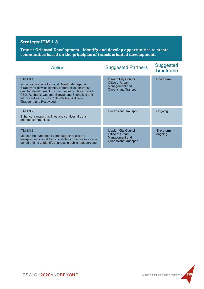**Transit Oriented Development: Identify and develop opportunities to create communities based on the principles of transit oriented development.**

| Action                                                                                                                                                                                                                                                                                                                 | <b>Suggested Partners</b>                                                           | <b>Suggested</b><br><b>Timeframe</b> |
|------------------------------------------------------------------------------------------------------------------------------------------------------------------------------------------------------------------------------------------------------------------------------------------------------------------------|-------------------------------------------------------------------------------------|--------------------------------------|
| <b>ITM 1.3.1</b><br>In the preparation of a Local Growth Management<br>Strategy for Ipswich identify opportunities for transit<br>oriented development in communities such as Ipswich<br>CBD, Redbank, Goodna, Booval, and Springfield and<br>future centres such as Ripley Valley, Walloon-<br>Thagoona and Rosewood. | Ipswich City Council,<br>Office of Urban<br>Management and<br>Queensland Transport. | Short term                           |
| <b>ITM 1.3.2</b><br>Enhance transport facilities and services at transit<br>oriented communities.                                                                                                                                                                                                                      | Queensland Transport.                                                               | Ongoing                              |
| <b>ITM 1.3.3</b><br>Monitor the numbers of commuters that use the<br>transport services at transit oriented communities over a<br>period of time to identify changes in public transport use.                                                                                                                          | Ipswich City Council,<br>Office of Urban<br>Management and<br>Queensland Transport. | Short term,<br>ongoing               |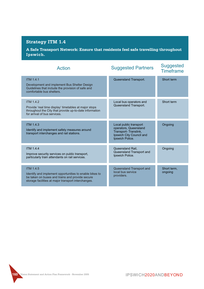**A Safe Transport Network: Ensure that residents feel safe travelling throughout Ipswich.**

| <b>Action</b>                                                                                                                                                                         | <b>Suggested Partners</b>                                                                                              | <b>Suggested</b><br><b>Timeframe</b> |
|---------------------------------------------------------------------------------------------------------------------------------------------------------------------------------------|------------------------------------------------------------------------------------------------------------------------|--------------------------------------|
| <b>ITM 1.4.1</b><br>Development and implement Bus Shelter Design<br>Guidelines that include the provision of safe and<br>comfortable bus shelters.                                    | Queensland Transport.                                                                                                  | Short term                           |
| <b>ITM 1.4.2</b><br>Provide 'real time display' timetables at major stops<br>throughout the City that provide up-to-date information<br>for arrival of bus services.                  | Local bus operators and<br>Queensland Transport.                                                                       | Short term                           |
| <b>ITM 1.4.3</b><br>Identify and implement safety measures around<br>transport interchanges and rail stations.                                                                        | Local public transport<br>operators, Queensland<br>Transport-Translink,<br>Ipswich City Council and<br>Ipswich Police. | Ongoing                              |
| <b>ITM 1.4.4</b><br>Improve security services on public transport,<br>particularly train attendants on rail services.                                                                 | Queensland Rail,<br>Queensland Transport and<br>Ipswich Police.                                                        | Ongoing                              |
| <b>ITM 1.4.5</b><br>Identify and implement opportunities to enable bikes to<br>be taken on buses and trains and provide secure<br>storage facilities at major transport interchanges. | Queensland Transport and<br>local bus service<br>providers.                                                            | Short term,<br>ongoing               |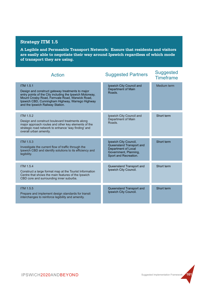**A Legible and Permeable Transport Network: Ensure that residents and visitors are easily able to negotiate their way around Ipswich regardless of which mode of transport they are using.**

| <b>Action</b>                                                                                                                                                                                                                                                               | <b>Suggested Partners</b>                                                                                                  | <b>Suggested</b><br><b>Timeframe</b> |
|-----------------------------------------------------------------------------------------------------------------------------------------------------------------------------------------------------------------------------------------------------------------------------|----------------------------------------------------------------------------------------------------------------------------|--------------------------------------|
| <b>ITM 1.5.1</b><br>Design and construct gateway treatments to major<br>entry points of the City including the Ipswich Motorway,<br>Mount Crosby Road, Fernvale Road, Warwick Road,<br>Ipswich CBD, Cunningham Highway, Warrego Highway<br>and the Ipswich Railway Station. | Ipswich City Council and<br>Department of Main<br>Roads.                                                                   | Medium term                          |
| <b>ITM 1.5.2</b><br>Design and construct boulevard treatments along<br>major approach routes and other key elements of the<br>strategic road network to enhance 'way finding' and<br>overall urban amenity.                                                                 | Ipswich City Council and<br>Department of Main<br>Roads.                                                                   | Short term                           |
| <b>ITM 1.5.3</b><br>Investigate the current flow of traffic through the<br>Ipswich CBD and identify solutions to its efficiency and<br>legibility.                                                                                                                          | Ipswich City Council,<br>Queensland Transport and<br>Department of Local<br>Government, Planning,<br>Sport and Recreation. | Short term                           |
| <b>ITM 1.5.4</b><br>Construct a large format map at the Tourist Information<br>Centre that shows the main features of the Ipswich<br>CBD core and surrounding inner suburbs.                                                                                                | Queensland Transport and<br>Ipswich City Council.                                                                          | Short term                           |
| ITM 1.5.5<br>Prepare and implement design standards for transit<br>interchanges to reinforce legibility and amenity.                                                                                                                                                        | Queensland Transport and<br>Ipswich City Council.                                                                          | Short term                           |

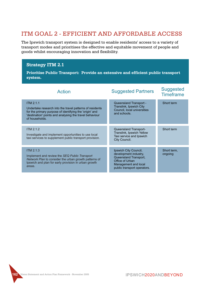### ITM GOAL 2 - EFFICIENT AND AFFORDABLE ACCESS

The Ipswich transport system is designed to enable residents' access to a variety of transport modes and prioritises the effective and equitable movement of people and goods whilst encouraging innovation and flexibility.

#### **Strategy ITM 2.1**

**Prioritise Public Transport: Provide an extensive and efficient public transport system.**

| <b>Action</b>                                                                                                                                                                                                        | <b>Suggested Partners</b>                                                                                                                         | <b>Suggested</b><br><b>Timeframe</b> |
|----------------------------------------------------------------------------------------------------------------------------------------------------------------------------------------------------------------------|---------------------------------------------------------------------------------------------------------------------------------------------------|--------------------------------------|
| <b>ITM 2.1.1</b><br>Undertake research into the travel patterns of residents<br>for the primary purpose of identifying the 'origin' and<br>'destination' points and analysing the travel behaviour<br>of households. | Queensland Transport -<br>Translink, Ipswich City<br>Council, local universities<br>and schools.                                                  | Short term                           |
| <b>ITM 2.1.2</b><br>Investigate and implement opportunities to use local<br>taxi services to supplement public transport provision.                                                                                  | Queensland Transport-<br>Translink, Ipswich Yellow<br>Taxi service and Ipswich<br>City Council.                                                   | Short term                           |
| <b>ITM 2.1.3</b><br>Implement and review the SEQ Public Transport<br>Network Plan to consider the urban growth patterns of<br>Ipswich and plan for early provision in urban growth<br>areas.                         | Ipswich City Council,<br>development industry,<br>Queensland Transport,<br>Office of Urban<br>Management and local<br>public transport operators. | Short term,<br>ongoing               |

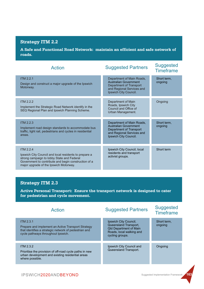**A Safe and Functional Road Network: maintain an efficient and safe network of roads.**

| <b>Action</b>                                                                                                                                                                                                             | <b>Suggested Partners</b>                                                                                                                  | <b>Suggested</b><br><b>Timeframe</b> |
|---------------------------------------------------------------------------------------------------------------------------------------------------------------------------------------------------------------------------|--------------------------------------------------------------------------------------------------------------------------------------------|--------------------------------------|
| <b>ITM 2.2.1</b><br>Design and construct a major upgrade of the Ipswich<br>Motorway.                                                                                                                                      | Department of Main Roads,<br>Australian Government<br>Department of Transport<br>and Regional Services and<br>Ipswich City Council.        | Short term,<br>ongoing               |
| ITM 2.2.2<br>Implement the Strategic Road Network identify in the<br>SEQ Regional Plan and Ipswich Planning Scheme.                                                                                                       | Department of Main<br>Roads, Ipswich City<br>Council and Office of<br>Urban Management.                                                    | Ongoing                              |
| <b>ITM 2.2.3</b><br>Implement road design standards to accommodate bus<br>traffic, light rail, pedestrians and cycles in residential<br>areas.                                                                            | Department of Main Roads,<br><b>Australian Government</b><br>Department of Transport<br>and Regional Services and<br>Ipswich City Council. | Short term,<br>ongoing               |
| <b>ITM 2.2.4</b><br>Ipswich City Council and local residents to prepare a<br>strong campaign to lobby State and Federal<br>Government to contribute and begin construction of a<br>major upgrade of the Ipswich Motorway. | Ipswich City Council, local<br>residents and transport<br>activist groups.                                                                 | Short term                           |

#### **Strategy ITM 2.3**

**Active Personal Transport: Ensure the transport network is designed to cater for pedestrian and cycle movement.**

| Action                                                                                                                                                                | <b>Suggested Partners</b>                                                                                                      | <b>Suggested</b><br><b>Timeframe</b> |
|-----------------------------------------------------------------------------------------------------------------------------------------------------------------------|--------------------------------------------------------------------------------------------------------------------------------|--------------------------------------|
| <b>ITM 2.3.1</b><br>Prepare and implement an Active Transport Strategy<br>that identifies a strategic network of pedestrian and<br>cycle pathways throughout Ipswich. | Ipswich City Council,<br>Queensland Transport,<br><b>Qld Department of Main</b><br>Roads, local walking and<br>cycling groups. | Short term,<br>ongoing               |
| <b>ITM 2.3.2</b><br>Prioritise the provision of off-road cycle paths in new<br>urban development and existing residential areas<br>where possible.                    | Ipswich City Council and<br>Queensland Transport.                                                                              | Ongoing                              |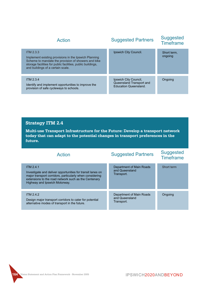| Action                                                                                                                                                                                                                        | <b>Suggested Partners</b>                                                         | <b>Suggested</b><br><b>Timeframe</b> |
|-------------------------------------------------------------------------------------------------------------------------------------------------------------------------------------------------------------------------------|-----------------------------------------------------------------------------------|--------------------------------------|
| ITM 2.3.3<br>Implement existing provisions in the Ipswich Planning<br>Scheme to mandate the provision of showers and bike<br>storage facilities for public facilities, public buildings,<br>and buildings of a certain scale. | Ipswich City Council.                                                             | Short term,<br>ongoing               |
| <b>ITM 2.3.4</b><br>Identify and implement opportunities to improve the<br>provision of safe cycleways to schools.                                                                                                            | Ipswich City Council,<br>Queensland Transport and<br><b>Education Queensland.</b> | Ongoing                              |

**Multi-use Transport Infrastructure for the Future: Develop a transport network today that can adapt to the potential changes in transport preferences in the future.**

| Action                                                                                                                                                                                                                              | <b>Suggested Partners</b>                                | <b>Suggested</b><br><b>Timeframe</b> |
|-------------------------------------------------------------------------------------------------------------------------------------------------------------------------------------------------------------------------------------|----------------------------------------------------------|--------------------------------------|
| <b>ITM 2.4.1</b><br>Investigate and deliver opportunities for transit lanes on<br>major transport corridors, particularly when considering<br>extensions to the road network such as the Centenary<br>Highway and Ipswich Motorway. | Department of Main Roads<br>and Queensland<br>Transport. | Short term                           |
| <b>ITM 2.4.2</b><br>Design major transport corridors to cater for potential<br>alternative modes of transport in the future.                                                                                                        | Department of Main Roads<br>and Queensland<br>Transport. | Ongoing                              |

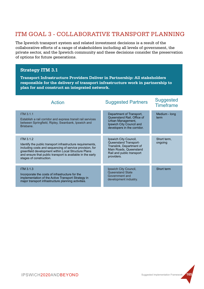## ITM GOAL 3 - COLLABORATIVE TRANSPORT PLANNING

The Ipswich transport system and related investment decisions is a result of the collaborative efforts of a range of stakeholders including all levels of government, the private sector, and the Ipswich community and these decisions consider the preservation of options for future generations.

#### **Strategy ITM 3.1**

**Transport Infrastructure Providers Deliver in Partnership: All stakeholders responsible for the delivery of transport infrastructure work in partnership to plan for and construct an integrated network.**

| <b>Action</b>                                                                                                                                                                                                                                                                              | <b>Suggested Partners</b>                                                                                                                       | <b>Suggested</b><br><b>Timeframe</b> |
|--------------------------------------------------------------------------------------------------------------------------------------------------------------------------------------------------------------------------------------------------------------------------------------------|-------------------------------------------------------------------------------------------------------------------------------------------------|--------------------------------------|
| <b>ITM 3.1.1</b><br>Establish a rail corridor and express transit rail services<br>between Springfield, Ripley, Swanbank, Ipswich and<br>Brisbane.                                                                                                                                         | Department of Transport,<br>Queensland Rail, Office of<br>Urban Management,<br>Ipswich City Council and<br>developers in the corridor.          | Medium - long<br>term                |
| <b>ITM 3.1.2</b><br>Identify the public transport infrastructure requirements,<br>including costs and sequencing of service provision, for<br>greenfield development within Local Structure Plans<br>and ensure that public transport is available in the early<br>stages of construction. | Ipswich City Council,<br>Queensland Transport-<br>Translink, Department of<br>Main Roads, Queensland<br>Rail and public transport<br>providers. | Short term,<br>ongoing               |
| <b>ITM 3.1.3</b><br>Incorporate the costs of infrastructure for the<br>implementation of the Active Transport Strategy in<br>major transport infrastructure planning activities.                                                                                                           | Ipswich City Council,<br>Queensland State<br>Government and<br>development industry.                                                            | Short term                           |

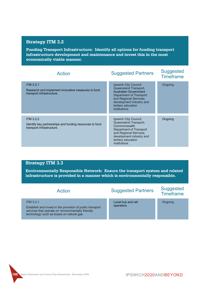**Funding Transport Infrastructure: Identify all options for funding transport infrastructure development and maintenance and invest this in the most economically viable manner.**

| <b>Action</b>                                                                                            | <b>Suggested Partners</b>                                                                                                                                                                              | <b>Suggested</b><br><b>Timeframe</b> |
|----------------------------------------------------------------------------------------------------------|--------------------------------------------------------------------------------------------------------------------------------------------------------------------------------------------------------|--------------------------------------|
| <b>ITM 3.2.1</b><br>Research and implement innovative measures to fund<br>transport infrastructure.      | Ipswich City Council,<br>Queensland Transport,<br><b>Australian Government</b><br>Department of Transport<br>and Regional Services,<br>development industry and<br>tertiary education<br>institutions. | Ongoing                              |
| <b>ITM 3.2.2</b><br>Identify key partnerships and funding resources to fund<br>transport infrastructure. | Ipswich City Council,<br>Queensland Transport,<br>Commonwealth<br>Department of Transport<br>and Regional Services,<br>development industry and<br>tertiary education<br>institutions.                 | Ongoing                              |

#### **Strategy ITM 3.3**

**Environmentally Responsible Network: Ensure the transport system and related infrastructure is provided in a manner which is environmentally responsible.**

| Action                                                                                                                                                                           | <b>Suggested Partners</b>        | <b>Suggested</b><br><b>Timeframe</b> |
|----------------------------------------------------------------------------------------------------------------------------------------------------------------------------------|----------------------------------|--------------------------------------|
| <b>ITM 3.3.1</b><br>Establish and invest in the provision of public transport<br>services that operate on 'environmentally friendly<br>technology' such as buses on natural gas. | Local bus and rail<br>operators. | Ongoing                              |

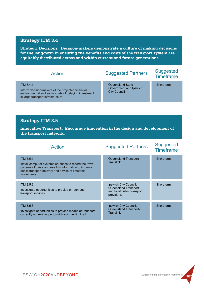**Strategic Decisions: Decision-makers demonstrate a culture of making decisions for the long-term in ensuring the benefits and costs of the transport system are equitably distributed across and within current and future generations.**

| Action                                                                                                                                                                | <b>Suggested Partners</b>                                   | <b>Suggested</b><br><b>Timeframe</b> |
|-----------------------------------------------------------------------------------------------------------------------------------------------------------------------|-------------------------------------------------------------|--------------------------------------|
| <b>ITM 3.4.1</b><br>Inform decision-makers of the projected financial,<br>environmental and social costs of delaying investment<br>in large transport infrastructure. | Queensland State<br>Government and Ipswich<br>City Council. | Short term                           |
|                                                                                                                                                                       |                                                             |                                      |
| <b>Strategy ITM 3.5</b>                                                                                                                                               |                                                             |                                      |
| Innovative Transport: Encourage innovation in the design and development of<br>the transport network.                                                                 |                                                             |                                      |
| <u>Action</u>                                                                                                                                                         | Suggested Partners                                          | <b>Suggested</b>                     |

| Action                                                                                                                                                                                                 | <b>Suggested Partners</b>                                                                 | <b>Suggested</b><br><b>Timeframe</b> |
|--------------------------------------------------------------------------------------------------------------------------------------------------------------------------------------------------------|-------------------------------------------------------------------------------------------|--------------------------------------|
| <b>ITM 3.5.1</b><br>Install computer systems on buses to record the travel<br>patterns of users and use this information to improve<br>public transport delivery and advise of timetable<br>movements. | Queensland Transport-<br>Translink.                                                       | Short term                           |
| <b>ITM 3.5.2</b><br>Investigate opportunities to provide on-demand<br>transport services.                                                                                                              | Ipswich City Council,<br>Queensland Transport<br>and local public transport<br>providers. | Short term                           |
| <b>ITM 3.5.3</b><br>Investigate opportunities to provide modes of transport<br>currently not existing in Ipswich such as light rail.                                                                   | Ipswich City Council,<br>Queensland Transport-<br>Translink.                              | Short term                           |

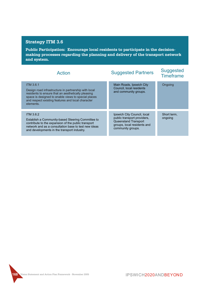**Public Participation: Encourage local residents to participate in the decisionmaking processes regarding the planning and delivery of the transport network and system.**

| <b>Action</b>                                                                                                                                                                                                                                           | <b>Suggested Partners</b>                                                                                                              | <b>Suggested</b><br><b>Timeframe</b> |
|---------------------------------------------------------------------------------------------------------------------------------------------------------------------------------------------------------------------------------------------------------|----------------------------------------------------------------------------------------------------------------------------------------|--------------------------------------|
| <b>ITM 3.6.1</b><br>Design road infrastructure in partnership with local<br>residents to ensure that an aesthetically pleasing<br>space is designed to enable views to special places<br>and respect existing features and local character<br>elements. | Main Roads, Ipswich City<br>Council, local residents<br>and community groups.                                                          | Ongoing                              |
| <b>ITM 3.6.2</b><br>Establish a Community-based Steering Committee to<br>contribute to the expansion of the public transport<br>network and as a consultation base to test new ideas<br>and developments in the transport industry.                     | Ipswich City Council, local<br>public transport providers,<br>Queensland Transport<br>groups, local residents and<br>community groups. | Short term,<br>ongoing               |

**168 Vision Statement and Action Plan Framework - November 2005**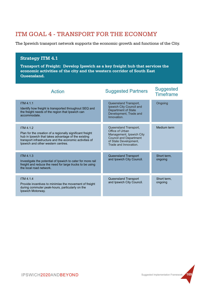## ITM GOAL 4 - TRANSPORT FOR THE ECONOMY

The Ipswich transport network supports the economic growth and functions of the City.

#### **Strategy ITM 4.1**

**Transport of Freight: Develop Ipswich as a key freight hub that services the economic activities of the city and the western corridor of South East Queensland.**

| <b>Action</b>                                                                                                                                                                                                                         | <b>Suggested Partners</b>                                                                                                                               | <b>Suggested</b><br><b>Timeframe</b> |
|---------------------------------------------------------------------------------------------------------------------------------------------------------------------------------------------------------------------------------------|---------------------------------------------------------------------------------------------------------------------------------------------------------|--------------------------------------|
| <b>ITM 4.1.1</b><br>Identify how freight is transported throughout SEQ and<br>the freight needs of the region that Ipswich can<br>accommodate.                                                                                        | Queensland Transport,<br>Ipswich City Council and<br><b>Department of State</b><br>Development, Trade and<br>Innovation.                                | Ongoing                              |
| <b>ITM 4.1.2</b><br>Plan for the creation of a regionally significant freight<br>hub in Ipswich that takes advantage of the existing<br>transport infrastructure and the economic activities of<br>Ipswich and other western centres. | Queensland Transport,<br>Office of Urban<br>Management, Ipswich City<br><b>Council and Department</b><br>of State Development,<br>Trade and Innovation. | Medium term                          |
| <b>ITM 4.1.3</b><br>Investigate the potential of Ipswich to cater for more rail<br>freight and reduce the need for large trucks to be using<br>the local road network.                                                                | Queensland Transport<br>and Ipswich City Council.                                                                                                       | Short term.<br>ongoing               |
| <b>ITM 4.1.4</b><br>Provide incentives to minimise the movement of freight<br>during commuter peak-hours, particularly on the<br>Ipswich Motorway.                                                                                    | Queensland Transport<br>and Ipswich City Council.                                                                                                       | Short term,<br>ongoing               |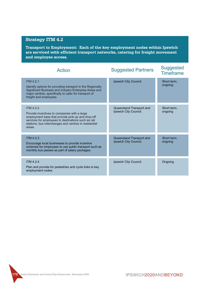**Transport to Employment: Each of the key employment nodes within Ipswich are serviced with efficient transport networks, catering for freight movement and employee access.**

| <b>Action</b>                                                                                                                                                                                                                              | <b>Suggested Partners</b>                         | <b>Suggested</b><br><b>Timeframe</b> |
|--------------------------------------------------------------------------------------------------------------------------------------------------------------------------------------------------------------------------------------------|---------------------------------------------------|--------------------------------------|
| <b>ITM 4.2.1</b><br>Identify options for providing transport in the Regionally<br>Significant Business and Industry Enterprise Areas and<br>major centres, specifically to cater for transport of<br>freight and employees.                | Ipswich City Council.                             | Short term,<br>ongoing               |
| ITM $4.2.2$<br>Provide incentives to companies with a large<br>employment base that provide pick-up and drop-off<br>services for employees to destinations such as rail<br>stations, bus interchanges and centres in residential<br>areas. | Queensland Transport and<br>Ipswich City Council. | Short term,<br>ongoing               |
| <b>ITM 4.2.3</b><br>Encourage local businesses to provide incentive<br>schemes for employees to use public transport such as<br>monthly bus passes as part of salary packages.                                                             | Queensland Transport and<br>Ipswich City Council. | Short term,<br>ongoing               |
| <b>ITM 4.2.4</b><br>Plan and provide for pedestrian and cycle links to key<br>employment nodes.                                                                                                                                            | Ipswich City Council.                             | Ongoing                              |

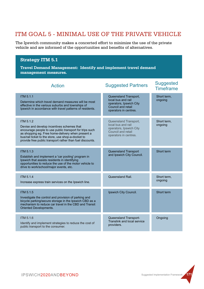## ITM GOAL 5 - MINIMAL USE OF THE PRIVATE VEHICLE

The Ipswich community makes a concerted effort to minimize the use of the private vehicle and are informed of the opportunities and benefits of alternatives.

### **Strategy ITM 5.1**

**Travel Demand Management: Identify and implement travel demand management measures.**

| <b>Action</b>                                                                                                                                                                                                                                                                                     | <b>Suggested Partners</b>                                                                                             | <b>Suggested</b><br><b>Timeframe</b> |
|---------------------------------------------------------------------------------------------------------------------------------------------------------------------------------------------------------------------------------------------------------------------------------------------------|-----------------------------------------------------------------------------------------------------------------------|--------------------------------------|
| <b>ITM 5.1.1</b><br>Determine which travel demand measures will be most<br>effective in the various suburbs and townships of<br>Ipswich in accordance with travel patterns of residents.                                                                                                          | Queensland Transport,<br>local bus and rail<br>operators, Ipswich City<br>Council and retail<br>operators in centres. | Short term,<br>ongoing               |
| <b>ITM 5.1.2</b><br>Devise and develop incentives schemes that<br>encourage people to use public transport for trips such<br>as shopping eg. Free home-delivery when present a<br>bus/rail ticket to the store, use shop-a-docket to<br>provide free public transport rather than fuel discounts. | Queensland Transport,<br>local bus and rail<br>operators, Ipswich City<br>Council and retail<br>operators in centres. | Short term,<br>ongoing               |
| <b>ITM 5.1.3</b><br>Establish and implement a 'car pooling' program in<br>Ipswich that assists residents in identifying<br>opportunities to reduce the use of the motor vehicle to<br>drive to work/school/major events, etc.                                                                     | Queensland Transport<br>and Ipswich City Council.                                                                     | Short term                           |
| <b>ITM 5.1.4</b><br>Increase express train services on the Ipswich line.                                                                                                                                                                                                                          | Queensland Rail.                                                                                                      | Short term,<br>ongoing               |
| <b>ITM 5.1.5</b><br>Investigate the control and provision of parking and<br>bicycle parking/secure storage in the Ipswich CBD as a<br>mechanism to reduce car travel in the CBD and Transit<br>Oriented Developments.                                                                             | Ipswich City Council.                                                                                                 | Short term                           |
| <b>ITM 5.1.6</b><br>Identify and implement strategies to reduce the cost of<br>public transport to the consumer.                                                                                                                                                                                  | Queensland Transport-<br>Translink and local service<br>providers.                                                    | Ongoing                              |